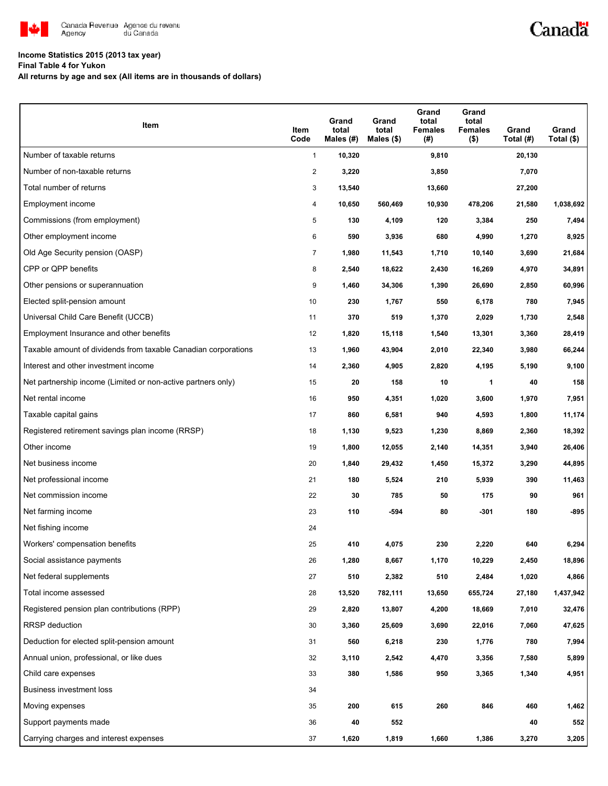

## **Income Statistics 2015 (2013 tax year)**

**Final Table 4 for Yukon**

**All returns by age and sex (All items are in thousands of dollars)**

| Item                                                           | Item<br>Code   | Grand<br>total<br>Males (#) | Grand<br>total<br>Males $(\$)$ | Grand<br>total<br><b>Females</b><br>$(\#)$ | Grand<br>total<br><b>Females</b><br>$($ \$) | Grand<br>Total (#) | Grand<br>Total (\$) |
|----------------------------------------------------------------|----------------|-----------------------------|--------------------------------|--------------------------------------------|---------------------------------------------|--------------------|---------------------|
| Number of taxable returns                                      | $\mathbf{1}$   | 10,320                      |                                | 9,810                                      |                                             | 20,130             |                     |
| Number of non-taxable returns                                  | $\overline{c}$ | 3,220                       |                                | 3,850                                      |                                             | 7,070              |                     |
| Total number of returns                                        | 3              | 13,540                      |                                | 13,660                                     |                                             | 27,200             |                     |
| Employment income                                              | 4              | 10,650                      | 560,469                        | 10,930                                     | 478,206                                     | 21,580             | 1,038,692           |
| Commissions (from employment)                                  | 5              | 130                         | 4,109                          | 120                                        | 3,384                                       | 250                | 7,494               |
| Other employment income                                        | 6              | 590                         | 3,936                          | 680                                        | 4,990                                       | 1,270              | 8,925               |
| Old Age Security pension (OASP)                                | 7              | 1,980                       | 11,543                         | 1,710                                      | 10,140                                      | 3,690              | 21,684              |
| CPP or QPP benefits                                            | 8              | 2,540                       | 18,622                         | 2,430                                      | 16,269                                      | 4,970              | 34,891              |
| Other pensions or superannuation                               | 9              | 1,460                       | 34,306                         | 1,390                                      | 26,690                                      | 2,850              | 60,996              |
| Elected split-pension amount                                   | 10             | 230                         | 1,767                          | 550                                        | 6,178                                       | 780                | 7,945               |
| Universal Child Care Benefit (UCCB)                            | 11             | 370                         | 519                            | 1,370                                      | 2,029                                       | 1,730              | 2,548               |
| Employment Insurance and other benefits                        | 12             | 1,820                       | 15,118                         | 1,540                                      | 13,301                                      | 3,360              | 28,419              |
| Taxable amount of dividends from taxable Canadian corporations | 13             | 1,960                       | 43,904                         | 2,010                                      | 22,340                                      | 3,980              | 66,244              |
| Interest and other investment income                           | 14             | 2,360                       | 4,905                          | 2,820                                      | 4,195                                       | 5,190              | 9,100               |
| Net partnership income (Limited or non-active partners only)   | 15             | 20                          | 158                            | 10                                         | 1                                           | 40                 | 158                 |
| Net rental income                                              | 16             | 950                         | 4,351                          | 1,020                                      | 3,600                                       | 1,970              | 7,951               |
| Taxable capital gains                                          | 17             | 860                         | 6,581                          | 940                                        | 4,593                                       | 1,800              | 11,174              |
| Registered retirement savings plan income (RRSP)               | 18             | 1,130                       | 9,523                          | 1,230                                      | 8,869                                       | 2,360              | 18,392              |
| Other income                                                   | 19             | 1,800                       | 12,055                         | 2,140                                      | 14,351                                      | 3,940              | 26,406              |
| Net business income                                            | 20             | 1,840                       | 29,432                         | 1,450                                      | 15,372                                      | 3,290              | 44,895              |
| Net professional income                                        | 21             | 180                         | 5,524                          | 210                                        | 5,939                                       | 390                | 11,463              |
| Net commission income                                          | 22             | 30                          | 785                            | 50                                         | 175                                         | 90                 | 961                 |
| Net farming income                                             | 23             | 110                         | $-594$                         | 80                                         | $-301$                                      | 180                | $-895$              |
| Net fishing income                                             | 24             |                             |                                |                                            |                                             |                    |                     |
| Workers' compensation benefits                                 | 25             | 410                         | 4,075                          | 230                                        | 2,220                                       | 640                | 6,294               |
| Social assistance payments                                     | 26             | 1,280                       | 8,667                          | 1,170                                      | 10,229                                      | 2,450              | 18,896              |
| Net federal supplements                                        | 27             | 510                         | 2,382                          | 510                                        | 2,484                                       | 1,020              | 4,866               |
| Total income assessed                                          | 28             | 13,520                      | 782,111                        | 13,650                                     | 655,724                                     | 27,180             | 1,437,942           |
| Registered pension plan contributions (RPP)                    | 29             | 2,820                       | 13,807                         | 4,200                                      | 18,669                                      | 7,010              | 32,476              |
| RRSP deduction                                                 | 30             | 3,360                       | 25,609                         | 3,690                                      | 22,016                                      | 7,060              | 47,625              |
| Deduction for elected split-pension amount                     | 31             | 560                         | 6,218                          | 230                                        | 1,776                                       | 780                | 7,994               |
| Annual union, professional, or like dues                       | 32             | 3,110                       | 2,542                          | 4,470                                      | 3,356                                       | 7,580              | 5,899               |
| Child care expenses                                            | 33             | 380                         | 1,586                          | 950                                        | 3,365                                       | 1,340              | 4,951               |
| Business investment loss                                       | 34             |                             |                                |                                            |                                             |                    |                     |
| Moving expenses                                                | 35             | 200                         | 615                            | 260                                        | 846                                         | 460                | 1,462               |
| Support payments made                                          | 36             | 40                          | 552                            |                                            |                                             | 40                 | 552                 |
| Carrying charges and interest expenses                         | 37             | 1,620                       | 1,819                          | 1,660                                      | 1,386                                       | 3,270              | 3,205               |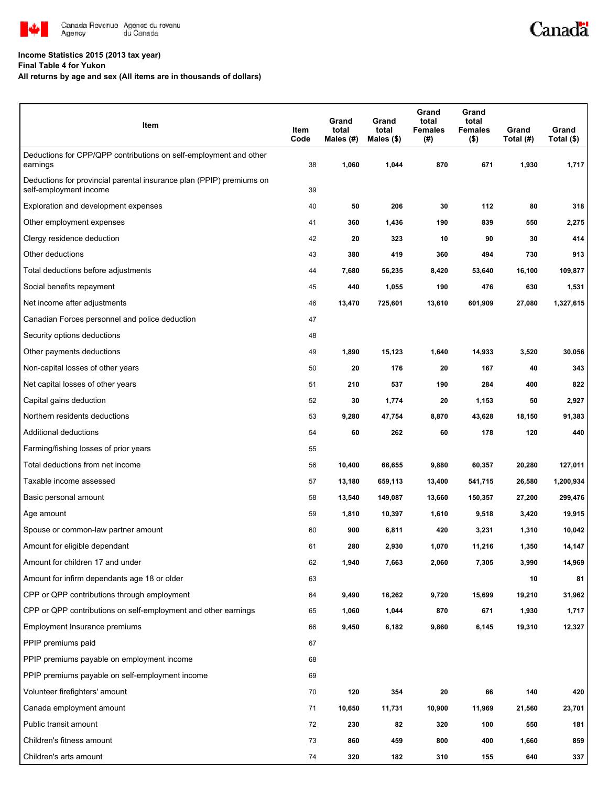

## **Income Statistics 2015 (2013 tax year)**

**Final Table 4 for Yukon**

## **All returns by age and sex (All items are in thousands of dollars)**

| Item                                                                                           | Item<br>Code | Grand<br>total<br>Males (#) | Grand<br>total<br>Males $($)$ | Grand<br>total<br><b>Females</b><br>(#) | Grand<br>total<br><b>Females</b><br>$($ \$) | Grand<br>Total (#) | Grand<br>Total (\$) |
|------------------------------------------------------------------------------------------------|--------------|-----------------------------|-------------------------------|-----------------------------------------|---------------------------------------------|--------------------|---------------------|
| Deductions for CPP/QPP contributions on self-employment and other<br>earnings                  | 38           | 1,060                       | 1,044                         | 870                                     | 671                                         | 1,930              | 1,717               |
| Deductions for provincial parental insurance plan (PPIP) premiums on<br>self-employment income | 39           |                             |                               |                                         |                                             |                    |                     |
| Exploration and development expenses                                                           | 40           | 50                          | 206                           | 30                                      | 112                                         | 80                 | 318                 |
| Other employment expenses                                                                      | 41           | 360                         | 1,436                         | 190                                     | 839                                         | 550                | 2,275               |
| Clergy residence deduction                                                                     | 42           | 20                          | 323                           | 10                                      | 90                                          | 30                 | 414                 |
| Other deductions                                                                               | 43           | 380                         | 419                           | 360                                     | 494                                         | 730                | 913                 |
| Total deductions before adjustments                                                            | 44           | 7,680                       | 56,235                        | 8,420                                   | 53,640                                      | 16,100             | 109,877             |
| Social benefits repayment                                                                      | 45           | 440                         | 1,055                         | 190                                     | 476                                         | 630                | 1,531               |
| Net income after adjustments                                                                   | 46           | 13,470                      | 725,601                       | 13,610                                  | 601,909                                     | 27,080             | 1,327,615           |
| Canadian Forces personnel and police deduction                                                 | 47           |                             |                               |                                         |                                             |                    |                     |
| Security options deductions                                                                    | 48           |                             |                               |                                         |                                             |                    |                     |
| Other payments deductions                                                                      | 49           | 1,890                       | 15,123                        | 1,640                                   | 14,933                                      | 3,520              | 30,056              |
| Non-capital losses of other years                                                              | 50           | 20                          | 176                           | 20                                      | 167                                         | 40                 | 343                 |
| Net capital losses of other years                                                              | 51           | 210                         | 537                           | 190                                     | 284                                         | 400                | 822                 |
| Capital gains deduction                                                                        | 52           | 30                          | 1,774                         | 20                                      | 1,153                                       | 50                 | 2,927               |
| Northern residents deductions                                                                  | 53           | 9,280                       | 47,754                        | 8,870                                   | 43,628                                      | 18,150             | 91,383              |
| Additional deductions                                                                          | 54           | 60                          | 262                           | 60                                      | 178                                         | 120                | 440                 |
| Farming/fishing losses of prior years                                                          | 55           |                             |                               |                                         |                                             |                    |                     |
| Total deductions from net income                                                               | 56           | 10,400                      | 66,655                        | 9,880                                   | 60,357                                      | 20,280             | 127,011             |
| Taxable income assessed                                                                        | 57           | 13,180                      | 659,113                       | 13,400                                  | 541,715                                     | 26,580             | 1,200,934           |
| Basic personal amount                                                                          | 58           | 13,540                      | 149,087                       | 13,660                                  | 150,357                                     | 27,200             | 299,476             |
| Age amount                                                                                     | 59           | 1,810                       | 10,397                        | 1,610                                   | 9,518                                       | 3,420              | 19,915              |
| Spouse or common-law partner amount                                                            | 60           | 900                         | 6,811                         | 420                                     | 3,231                                       | 1,310              | 10,042              |
| Amount for eligible dependant                                                                  | 61           | 280                         | 2,930                         | 1,070                                   | 11,216                                      | 1,350              | 14,147              |
| Amount for children 17 and under                                                               | 62           | 1,940                       | 7,663                         | 2,060                                   | 7,305                                       | 3,990              | 14,969              |
| Amount for infirm dependants age 18 or older                                                   | 63           |                             |                               |                                         |                                             | 10                 | 81                  |
| CPP or QPP contributions through employment                                                    | 64           | 9,490                       | 16,262                        | 9,720                                   | 15,699                                      | 19,210             | 31,962              |
| CPP or QPP contributions on self-employment and other earnings                                 | 65           | 1,060                       | 1,044                         | 870                                     | 671                                         | 1,930              | 1,717               |
| Employment Insurance premiums                                                                  | 66           | 9,450                       | 6,182                         | 9,860                                   | 6,145                                       | 19,310             | 12,327              |
| PPIP premiums paid                                                                             | 67           |                             |                               |                                         |                                             |                    |                     |
| PPIP premiums payable on employment income                                                     | 68           |                             |                               |                                         |                                             |                    |                     |
| PPIP premiums payable on self-employment income                                                | 69           |                             |                               |                                         |                                             |                    |                     |
| Volunteer firefighters' amount                                                                 | 70           | 120                         | 354                           | 20                                      | 66                                          | 140                | 420                 |
| Canada employment amount                                                                       | 71           | 10,650                      | 11,731                        | 10,900                                  | 11,969                                      | 21,560             | 23,701              |
| Public transit amount                                                                          | 72           | 230                         | 82                            | 320                                     | 100                                         | 550                | 181                 |
| Children's fitness amount                                                                      | 73           | 860                         | 459                           | 800                                     | 400                                         | 1,660              | 859                 |
| Children's arts amount                                                                         | 74           | 320                         | 182                           | 310                                     | 155                                         | 640                | 337                 |

Canadä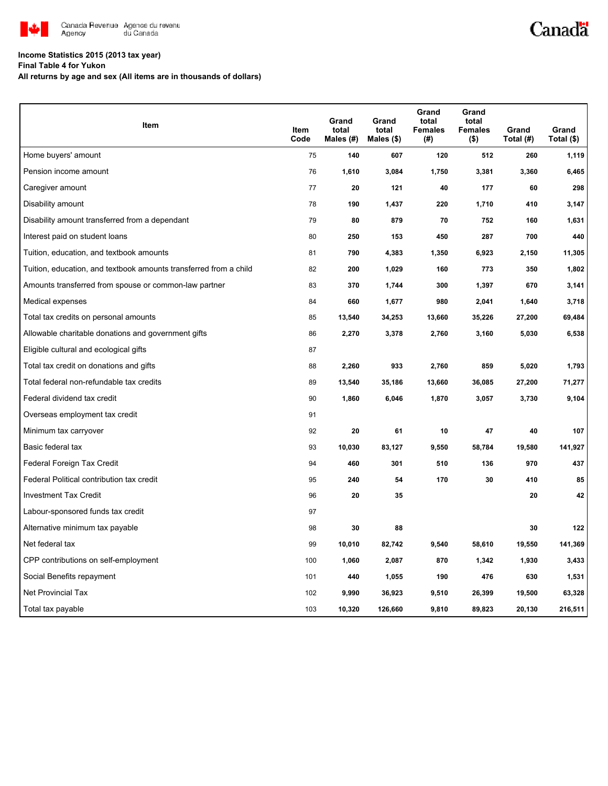

## **Income Statistics 2015 (2013 tax year)**

**Final Table 4 for Yukon**

**All returns by age and sex (All items are in thousands of dollars)**

| Item                                                              | Item<br>Code | Grand<br>total<br>Males (#) | Grand<br>total<br>Males $(\$)$ | Grand<br>total<br><b>Females</b><br>(#) | Grand<br>total<br><b>Females</b><br>$($ \$) | Grand<br>Total (#) | Grand<br>Total (\$) |
|-------------------------------------------------------------------|--------------|-----------------------------|--------------------------------|-----------------------------------------|---------------------------------------------|--------------------|---------------------|
| Home buyers' amount                                               | 75           | 140                         | 607                            | 120                                     | 512                                         | 260                | 1,119               |
| Pension income amount                                             | 76           | 1,610                       | 3,084                          | 1,750                                   | 3,381                                       | 3,360              | 6,465               |
| Caregiver amount                                                  | 77           | 20                          | 121                            | 40                                      | 177                                         | 60                 | 298                 |
| Disability amount                                                 | 78           | 190                         | 1,437                          | 220                                     | 1,710                                       | 410                | 3,147               |
| Disability amount transferred from a dependant                    | 79           | 80                          | 879                            | 70                                      | 752                                         | 160                | 1,631               |
| Interest paid on student loans                                    | 80           | 250                         | 153                            | 450                                     | 287                                         | 700                | 440                 |
| Tuition, education, and textbook amounts                          | 81           | 790                         | 4,383                          | 1,350                                   | 6,923                                       | 2,150              | 11,305              |
| Tuition, education, and textbook amounts transferred from a child | 82           | 200                         | 1,029                          | 160                                     | 773                                         | 350                | 1,802               |
| Amounts transferred from spouse or common-law partner             | 83           | 370                         | 1,744                          | 300                                     | 1,397                                       | 670                | 3,141               |
| Medical expenses                                                  | 84           | 660                         | 1,677                          | 980                                     | 2,041                                       | 1,640              | 3,718               |
| Total tax credits on personal amounts                             | 85           | 13,540                      | 34,253                         | 13,660                                  | 35,226                                      | 27,200             | 69,484              |
| Allowable charitable donations and government gifts               | 86           | 2,270                       | 3,378                          | 2,760                                   | 3,160                                       | 5,030              | 6,538               |
| Eligible cultural and ecological gifts                            | 87           |                             |                                |                                         |                                             |                    |                     |
| Total tax credit on donations and gifts                           | 88           | 2,260                       | 933                            | 2,760                                   | 859                                         | 5,020              | 1,793               |
| Total federal non-refundable tax credits                          | 89           | 13,540                      | 35,186                         | 13,660                                  | 36,085                                      | 27,200             | 71,277              |
| Federal dividend tax credit                                       | 90           | 1,860                       | 6,046                          | 1,870                                   | 3,057                                       | 3,730              | 9,104               |
| Overseas employment tax credit                                    | 91           |                             |                                |                                         |                                             |                    |                     |
| Minimum tax carryover                                             | 92           | 20                          | 61                             | 10                                      | 47                                          | 40                 | 107                 |
| Basic federal tax                                                 | 93           | 10,030                      | 83,127                         | 9,550                                   | 58,784                                      | 19,580             | 141,927             |
| Federal Foreign Tax Credit                                        | 94           | 460                         | 301                            | 510                                     | 136                                         | 970                | 437                 |
| Federal Political contribution tax credit                         | 95           | 240                         | 54                             | 170                                     | 30                                          | 410                | 85                  |
| <b>Investment Tax Credit</b>                                      | 96           | 20                          | 35                             |                                         |                                             | 20                 | 42                  |
| Labour-sponsored funds tax credit                                 | 97           |                             |                                |                                         |                                             |                    |                     |
| Alternative minimum tax payable                                   | 98           | 30                          | 88                             |                                         |                                             | 30                 | 122                 |
| Net federal tax                                                   | 99           | 10,010                      | 82,742                         | 9,540                                   | 58,610                                      | 19,550             | 141,369             |
| CPP contributions on self-employment                              | 100          | 1,060                       | 2,087                          | 870                                     | 1,342                                       | 1,930              | 3,433               |
| Social Benefits repayment                                         | 101          | 440                         | 1,055                          | 190                                     | 476                                         | 630                | 1,531               |
| Net Provincial Tax                                                | 102          | 9,990                       | 36,923                         | 9,510                                   | 26,399                                      | 19,500             | 63,328              |
| Total tax payable                                                 | 103          | 10,320                      | 126,660                        | 9,810                                   | 89,823                                      | 20,130             | 216,511             |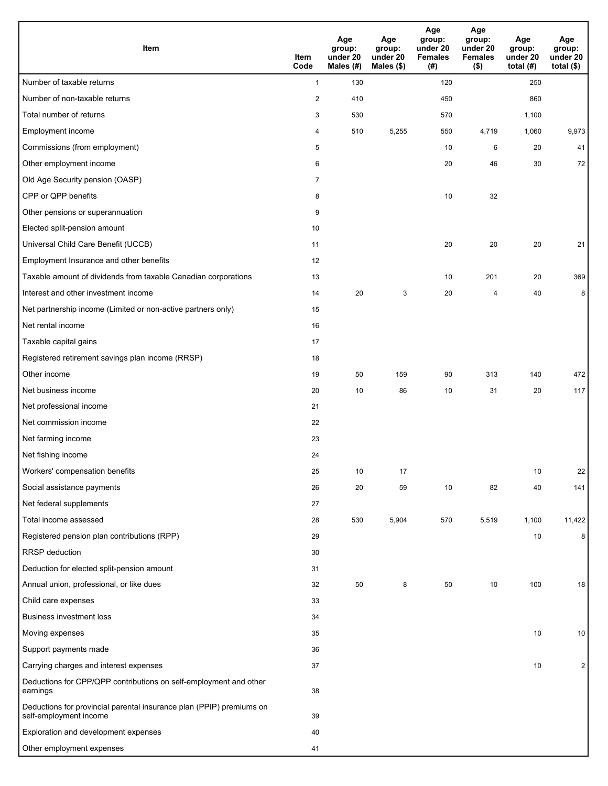| Item                                                                                           | Item<br>Code   | Age<br>group:<br>under 20<br>Males (#) | Age<br>group:<br>under 20<br>Males (\$) | Age<br>group:<br>under 20<br><b>Females</b><br>(# ) | Age<br>group:<br>under 20<br><b>Females</b><br>$($ \$) | Age<br>group:<br>under 20<br>total $(H)$ | Age<br>group:<br>under 20<br>total $($)$ |
|------------------------------------------------------------------------------------------------|----------------|----------------------------------------|-----------------------------------------|-----------------------------------------------------|--------------------------------------------------------|------------------------------------------|------------------------------------------|
| Number of taxable returns                                                                      | $\mathbf{1}$   | 130                                    |                                         | 120                                                 |                                                        | 250                                      |                                          |
| Number of non-taxable returns                                                                  | $\sqrt{2}$     | 410                                    |                                         | 450                                                 |                                                        | 860                                      |                                          |
| Total number of returns                                                                        | 3              | 530                                    |                                         | 570                                                 |                                                        | 1,100                                    |                                          |
| Employment income                                                                              | 4              | 510                                    | 5,255                                   | 550                                                 | 4,719                                                  | 1,060                                    | 9,973                                    |
| Commissions (from employment)                                                                  | 5              |                                        |                                         | 10                                                  | 6                                                      | 20                                       | 41                                       |
| Other employment income                                                                        | 6              |                                        |                                         | 20                                                  | 46                                                     | 30                                       | 72                                       |
| Old Age Security pension (OASP)                                                                | $\overline{7}$ |                                        |                                         |                                                     |                                                        |                                          |                                          |
| CPP or QPP benefits                                                                            | 8              |                                        |                                         | 10                                                  | 32                                                     |                                          |                                          |
| Other pensions or superannuation                                                               | 9              |                                        |                                         |                                                     |                                                        |                                          |                                          |
| Elected split-pension amount                                                                   | 10             |                                        |                                         |                                                     |                                                        |                                          |                                          |
| Universal Child Care Benefit (UCCB)                                                            | 11             |                                        |                                         | 20                                                  | 20                                                     | 20                                       | 21                                       |
| Employment Insurance and other benefits                                                        | 12             |                                        |                                         |                                                     |                                                        |                                          |                                          |
| Taxable amount of dividends from taxable Canadian corporations                                 | 13             |                                        |                                         | 10                                                  | 201                                                    | 20                                       | 369                                      |
| Interest and other investment income                                                           | 14             | 20                                     | 3                                       | 20                                                  | 4                                                      | 40                                       | 8                                        |
| Net partnership income (Limited or non-active partners only)                                   | 15             |                                        |                                         |                                                     |                                                        |                                          |                                          |
| Net rental income                                                                              | 16             |                                        |                                         |                                                     |                                                        |                                          |                                          |
| Taxable capital gains                                                                          | 17             |                                        |                                         |                                                     |                                                        |                                          |                                          |
| Registered retirement savings plan income (RRSP)                                               | 18             |                                        |                                         |                                                     |                                                        |                                          |                                          |
| Other income                                                                                   | 19             | 50                                     | 159                                     | 90                                                  | 313                                                    | 140                                      | 472                                      |
| Net business income                                                                            | 20             | 10                                     | 86                                      | 10                                                  | 31                                                     | 20                                       | 117                                      |
| Net professional income                                                                        | 21             |                                        |                                         |                                                     |                                                        |                                          |                                          |
| Net commission income                                                                          | 22             |                                        |                                         |                                                     |                                                        |                                          |                                          |
| Net farming income                                                                             | 23             |                                        |                                         |                                                     |                                                        |                                          |                                          |
| Net fishing income                                                                             | 24             |                                        |                                         |                                                     |                                                        |                                          |                                          |
| Workers' compensation benefits                                                                 | 25             | 10                                     | 17                                      |                                                     |                                                        | 10                                       | 22                                       |
| Social assistance payments                                                                     | 26             | 20                                     | 59                                      | 10                                                  | 82                                                     | 40                                       | 141                                      |
| Net federal supplements                                                                        | 27             |                                        |                                         |                                                     |                                                        |                                          |                                          |
| Total income assessed                                                                          | 28             | 530                                    | 5,904                                   | 570                                                 | 5,519                                                  | 1,100                                    | 11,422                                   |
| Registered pension plan contributions (RPP)                                                    | 29             |                                        |                                         |                                                     |                                                        | 10                                       | 8                                        |
| <b>RRSP</b> deduction                                                                          | 30             |                                        |                                         |                                                     |                                                        |                                          |                                          |
| Deduction for elected split-pension amount                                                     | 31             |                                        |                                         |                                                     |                                                        |                                          |                                          |
| Annual union, professional, or like dues                                                       | 32             | 50                                     | 8                                       | 50                                                  | 10                                                     | 100                                      | 18                                       |
| Child care expenses                                                                            | 33             |                                        |                                         |                                                     |                                                        |                                          |                                          |
| <b>Business investment loss</b>                                                                | 34             |                                        |                                         |                                                     |                                                        |                                          |                                          |
| Moving expenses                                                                                | 35             |                                        |                                         |                                                     |                                                        | 10                                       | 10                                       |
| Support payments made                                                                          | 36             |                                        |                                         |                                                     |                                                        |                                          |                                          |
| Carrying charges and interest expenses                                                         | 37             |                                        |                                         |                                                     |                                                        | 10                                       | $\overline{2}$                           |
| Deductions for CPP/QPP contributions on self-employment and other<br>earnings                  | 38             |                                        |                                         |                                                     |                                                        |                                          |                                          |
| Deductions for provincial parental insurance plan (PPIP) premiums on<br>self-employment income | 39             |                                        |                                         |                                                     |                                                        |                                          |                                          |
| Exploration and development expenses                                                           | 40             |                                        |                                         |                                                     |                                                        |                                          |                                          |
| Other employment expenses                                                                      | 41             |                                        |                                         |                                                     |                                                        |                                          |                                          |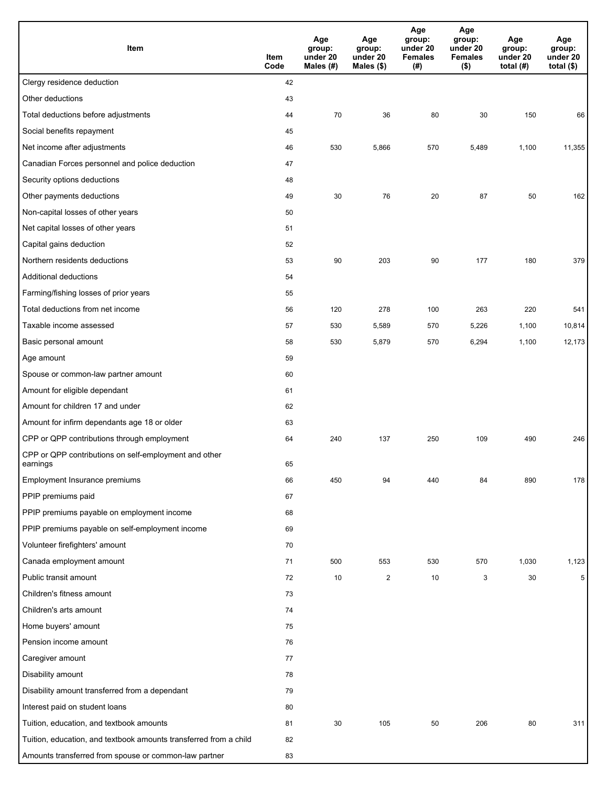| Item                                                              | Item<br>Code | Age<br>group:<br>under 20<br>Males (#) | Age<br>group:<br>under 20<br>Males (\$) | Age<br>group:<br>under 20<br><b>Females</b><br>(# ) | Age<br>group:<br>under 20<br><b>Females</b><br>$($ \$) | Age<br>group:<br>under 20<br>total $(#)$ | Age<br>group:<br>under 20<br>total $($)$ |
|-------------------------------------------------------------------|--------------|----------------------------------------|-----------------------------------------|-----------------------------------------------------|--------------------------------------------------------|------------------------------------------|------------------------------------------|
| Clergy residence deduction                                        | 42           |                                        |                                         |                                                     |                                                        |                                          |                                          |
| Other deductions                                                  | 43           |                                        |                                         |                                                     |                                                        |                                          |                                          |
| Total deductions before adjustments                               | 44           | 70                                     | 36                                      | 80                                                  | 30                                                     | 150                                      | 66                                       |
| Social benefits repayment                                         | 45           |                                        |                                         |                                                     |                                                        |                                          |                                          |
| Net income after adjustments                                      | 46           | 530                                    | 5,866                                   | 570                                                 | 5,489                                                  | 1,100                                    | 11,355                                   |
| Canadian Forces personnel and police deduction                    | 47           |                                        |                                         |                                                     |                                                        |                                          |                                          |
| Security options deductions                                       | 48           |                                        |                                         |                                                     |                                                        |                                          |                                          |
| Other payments deductions                                         | 49           | 30                                     | 76                                      | 20                                                  | 87                                                     | 50                                       | 162                                      |
| Non-capital losses of other years                                 | 50           |                                        |                                         |                                                     |                                                        |                                          |                                          |
| Net capital losses of other years                                 | 51           |                                        |                                         |                                                     |                                                        |                                          |                                          |
| Capital gains deduction                                           | 52           |                                        |                                         |                                                     |                                                        |                                          |                                          |
| Northern residents deductions                                     | 53           | 90                                     | 203                                     | 90                                                  | 177                                                    | 180                                      | 379                                      |
| Additional deductions                                             | 54           |                                        |                                         |                                                     |                                                        |                                          |                                          |
| Farming/fishing losses of prior years                             | 55           |                                        |                                         |                                                     |                                                        |                                          |                                          |
| Total deductions from net income                                  | 56           | 120                                    | 278                                     | 100                                                 | 263                                                    | 220                                      | 541                                      |
| Taxable income assessed                                           | 57           | 530                                    | 5,589                                   | 570                                                 | 5,226                                                  | 1,100                                    | 10,814                                   |
| Basic personal amount                                             | 58           | 530                                    | 5,879                                   | 570                                                 | 6,294                                                  | 1,100                                    | 12,173                                   |
| Age amount                                                        | 59           |                                        |                                         |                                                     |                                                        |                                          |                                          |
| Spouse or common-law partner amount                               | 60           |                                        |                                         |                                                     |                                                        |                                          |                                          |
| Amount for eligible dependant                                     | 61           |                                        |                                         |                                                     |                                                        |                                          |                                          |
| Amount for children 17 and under                                  | 62           |                                        |                                         |                                                     |                                                        |                                          |                                          |
| Amount for infirm dependants age 18 or older                      | 63           |                                        |                                         |                                                     |                                                        |                                          |                                          |
| CPP or QPP contributions through employment                       | 64           | 240                                    | 137                                     | 250                                                 | 109                                                    | 490                                      | 246                                      |
| CPP or QPP contributions on self-employment and other<br>earnings | 65           |                                        |                                         |                                                     |                                                        |                                          |                                          |
| Employment Insurance premiums                                     | 66           | 450                                    | 94                                      | 440                                                 | 84                                                     | 890                                      | 178                                      |
| PPIP premiums paid                                                | 67           |                                        |                                         |                                                     |                                                        |                                          |                                          |
| PPIP premiums payable on employment income                        | 68           |                                        |                                         |                                                     |                                                        |                                          |                                          |
| PPIP premiums payable on self-employment income                   | 69           |                                        |                                         |                                                     |                                                        |                                          |                                          |
| Volunteer firefighters' amount                                    | 70           |                                        |                                         |                                                     |                                                        |                                          |                                          |
| Canada employment amount                                          | 71           | 500                                    | 553                                     | 530                                                 | 570                                                    | 1,030                                    | 1,123                                    |
| Public transit amount                                             | 72           | 10                                     | $\overline{c}$                          | 10                                                  | 3                                                      | 30                                       | 5                                        |
| Children's fitness amount                                         | 73           |                                        |                                         |                                                     |                                                        |                                          |                                          |
| Children's arts amount                                            | 74           |                                        |                                         |                                                     |                                                        |                                          |                                          |
| Home buyers' amount                                               | 75           |                                        |                                         |                                                     |                                                        |                                          |                                          |
| Pension income amount                                             | 76           |                                        |                                         |                                                     |                                                        |                                          |                                          |
| Caregiver amount                                                  | 77           |                                        |                                         |                                                     |                                                        |                                          |                                          |
| Disability amount                                                 | 78           |                                        |                                         |                                                     |                                                        |                                          |                                          |
| Disability amount transferred from a dependant                    | 79           |                                        |                                         |                                                     |                                                        |                                          |                                          |
| Interest paid on student loans                                    | 80           |                                        |                                         |                                                     |                                                        |                                          |                                          |
| Tuition, education, and textbook amounts                          | 81           | 30                                     | 105                                     | 50                                                  | 206                                                    | 80                                       | 311                                      |
| Tuition, education, and textbook amounts transferred from a child | 82           |                                        |                                         |                                                     |                                                        |                                          |                                          |
| Amounts transferred from spouse or common-law partner             | 83           |                                        |                                         |                                                     |                                                        |                                          |                                          |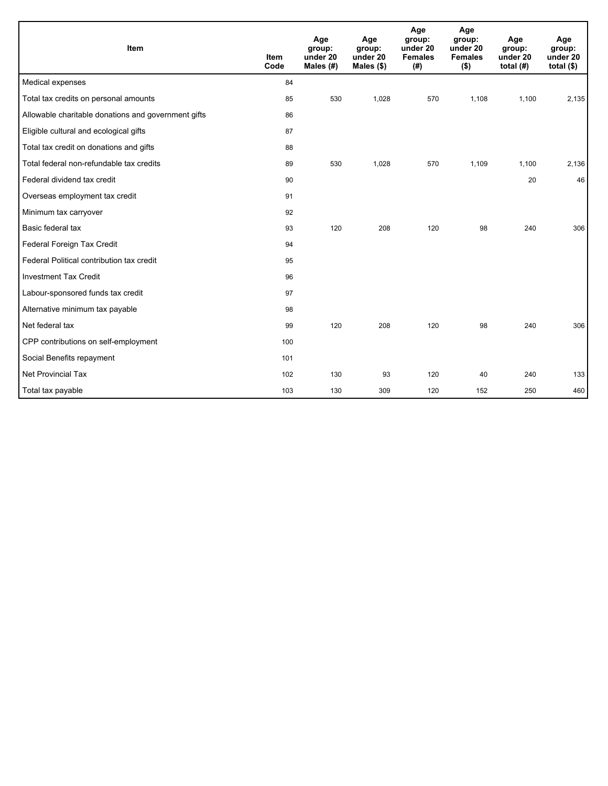| Item                                                | <b>Item</b><br>Code | Age<br>group:<br>under 20<br>Males (#) | Age<br>group:<br>under 20<br>Males $(\$)$ | Age<br>group:<br>under 20<br><b>Females</b><br>(# ) | Age<br>group:<br>under 20<br><b>Females</b><br>$($ \$) | Age<br>group:<br>under 20<br>total $(H)$ | Age<br>group:<br>under 20<br>total $($ |
|-----------------------------------------------------|---------------------|----------------------------------------|-------------------------------------------|-----------------------------------------------------|--------------------------------------------------------|------------------------------------------|----------------------------------------|
| Medical expenses                                    | 84                  |                                        |                                           |                                                     |                                                        |                                          |                                        |
| Total tax credits on personal amounts               | 85                  | 530                                    | 1,028                                     | 570                                                 | 1,108                                                  | 1,100                                    | 2,135                                  |
| Allowable charitable donations and government gifts | 86                  |                                        |                                           |                                                     |                                                        |                                          |                                        |
| Eligible cultural and ecological gifts              | 87                  |                                        |                                           |                                                     |                                                        |                                          |                                        |
| Total tax credit on donations and gifts             | 88                  |                                        |                                           |                                                     |                                                        |                                          |                                        |
| Total federal non-refundable tax credits            | 89                  | 530                                    | 1,028                                     | 570                                                 | 1,109                                                  | 1,100                                    | 2,136                                  |
| Federal dividend tax credit                         | 90                  |                                        |                                           |                                                     |                                                        | 20                                       | 46                                     |
| Overseas employment tax credit                      | 91                  |                                        |                                           |                                                     |                                                        |                                          |                                        |
| Minimum tax carryover                               | 92                  |                                        |                                           |                                                     |                                                        |                                          |                                        |
| Basic federal tax                                   | 93                  | 120                                    | 208                                       | 120                                                 | 98                                                     | 240                                      | 306                                    |
| Federal Foreign Tax Credit                          | 94                  |                                        |                                           |                                                     |                                                        |                                          |                                        |
| Federal Political contribution tax credit           | 95                  |                                        |                                           |                                                     |                                                        |                                          |                                        |
| <b>Investment Tax Credit</b>                        | 96                  |                                        |                                           |                                                     |                                                        |                                          |                                        |
| Labour-sponsored funds tax credit                   | 97                  |                                        |                                           |                                                     |                                                        |                                          |                                        |
| Alternative minimum tax payable                     | 98                  |                                        |                                           |                                                     |                                                        |                                          |                                        |
| Net federal tax                                     | 99                  | 120                                    | 208                                       | 120                                                 | 98                                                     | 240                                      | 306                                    |
| CPP contributions on self-employment                | 100                 |                                        |                                           |                                                     |                                                        |                                          |                                        |
| Social Benefits repayment                           | 101                 |                                        |                                           |                                                     |                                                        |                                          |                                        |
| <b>Net Provincial Tax</b>                           | 102                 | 130                                    | 93                                        | 120                                                 | 40                                                     | 240                                      | 133                                    |
| Total tax payable                                   | 103                 | 130                                    | 309                                       | 120                                                 | 152                                                    | 250                                      | 460                                    |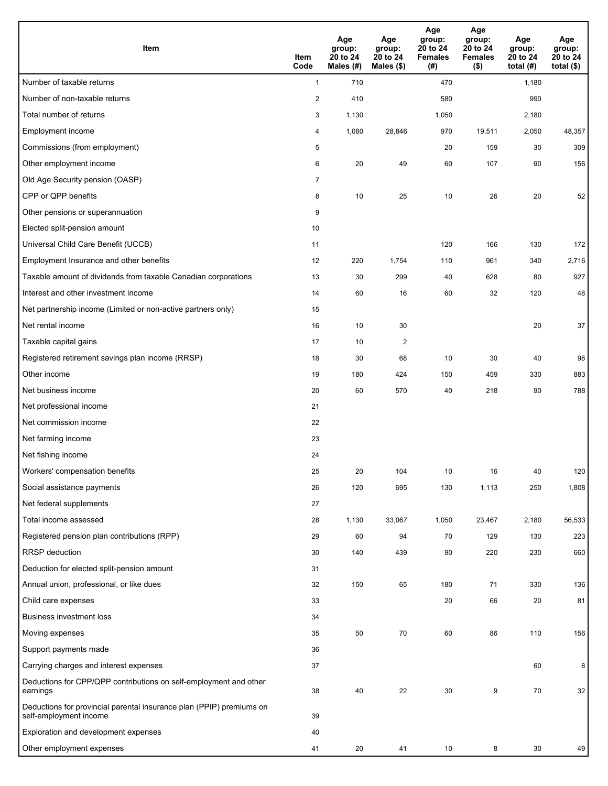| <b>Item</b>                                                                                    | Item<br>Code            | Age<br>group:<br>20 to 24<br>Males (#) | Age<br>group:<br>20 to 24<br>Males (\$) | Age<br>group:<br>20 to 24<br><b>Females</b><br>(# ) | Age<br>group:<br>20 to 24<br><b>Females</b><br>$($ \$) | Age<br>group:<br>20 to 24<br>total $(#)$ | Age<br>group:<br>20 to 24<br>total $($)$ |
|------------------------------------------------------------------------------------------------|-------------------------|----------------------------------------|-----------------------------------------|-----------------------------------------------------|--------------------------------------------------------|------------------------------------------|------------------------------------------|
| Number of taxable returns                                                                      | $\mathbf{1}$            | 710                                    |                                         | 470                                                 |                                                        | 1,180                                    |                                          |
| Number of non-taxable returns                                                                  | $\overline{\mathbf{c}}$ | 410                                    |                                         | 580                                                 |                                                        | 990                                      |                                          |
| Total number of returns                                                                        | 3                       | 1,130                                  |                                         | 1,050                                               |                                                        | 2,180                                    |                                          |
| Employment income                                                                              | 4                       | 1,080                                  | 28,846                                  | 970                                                 | 19,511                                                 | 2,050                                    | 48,357                                   |
| Commissions (from employment)                                                                  | 5                       |                                        |                                         | 20                                                  | 159                                                    | 30                                       | 309                                      |
| Other employment income                                                                        | 6                       | 20                                     | 49                                      | 60                                                  | 107                                                    | 90                                       | 156                                      |
| Old Age Security pension (OASP)                                                                | $\overline{7}$          |                                        |                                         |                                                     |                                                        |                                          |                                          |
| CPP or QPP benefits                                                                            | 8                       | 10                                     | 25                                      | 10                                                  | 26                                                     | 20                                       | 52                                       |
| Other pensions or superannuation                                                               | 9                       |                                        |                                         |                                                     |                                                        |                                          |                                          |
| Elected split-pension amount                                                                   | 10                      |                                        |                                         |                                                     |                                                        |                                          |                                          |
| Universal Child Care Benefit (UCCB)                                                            | 11                      |                                        |                                         | 120                                                 | 166                                                    | 130                                      | 172                                      |
| Employment Insurance and other benefits                                                        | 12                      | 220                                    | 1,754                                   | 110                                                 | 961                                                    | 340                                      | 2,716                                    |
| Taxable amount of dividends from taxable Canadian corporations                                 | 13                      | 30                                     | 299                                     | 40                                                  | 628                                                    | 80                                       | 927                                      |
| Interest and other investment income                                                           | 14                      | 60                                     | 16                                      | 60                                                  | 32                                                     | 120                                      | 48                                       |
| Net partnership income (Limited or non-active partners only)                                   | 15                      |                                        |                                         |                                                     |                                                        |                                          |                                          |
| Net rental income                                                                              | 16                      | 10                                     | 30                                      |                                                     |                                                        | 20                                       | 37                                       |
| Taxable capital gains                                                                          | 17                      | 10                                     | $\overline{c}$                          |                                                     |                                                        |                                          |                                          |
| Registered retirement savings plan income (RRSP)                                               | 18                      | 30                                     | 68                                      | 10                                                  | 30                                                     | 40                                       | 98                                       |
| Other income                                                                                   | 19                      | 180                                    | 424                                     | 150                                                 | 459                                                    | 330                                      | 883                                      |
| Net business income                                                                            | 20                      | 60                                     | 570                                     | 40                                                  | 218                                                    | 90                                       | 788                                      |
| Net professional income                                                                        | 21                      |                                        |                                         |                                                     |                                                        |                                          |                                          |
| Net commission income                                                                          | 22                      |                                        |                                         |                                                     |                                                        |                                          |                                          |
| Net farming income                                                                             | 23                      |                                        |                                         |                                                     |                                                        |                                          |                                          |
| Net fishing income                                                                             | 24                      |                                        |                                         |                                                     |                                                        |                                          |                                          |
| Workers' compensation benefits                                                                 | 25                      | 20                                     | 104                                     | 10                                                  | 16                                                     | 40                                       | 120                                      |
| Social assistance payments                                                                     | 26                      | 120                                    | 695                                     | 130                                                 | 1,113                                                  | 250                                      | 1,808                                    |
| Net federal supplements                                                                        | 27                      |                                        |                                         |                                                     |                                                        |                                          |                                          |
| Total income assessed                                                                          | 28                      | 1,130                                  | 33,067                                  | 1,050                                               | 23,467                                                 | 2,180                                    | 56,533                                   |
| Registered pension plan contributions (RPP)                                                    | 29                      | 60                                     | 94                                      | 70                                                  | 129                                                    | 130                                      | 223                                      |
| RRSP deduction                                                                                 | 30                      | 140                                    | 439                                     | 90                                                  | 220                                                    | 230                                      | 660                                      |
| Deduction for elected split-pension amount                                                     | 31                      |                                        |                                         |                                                     |                                                        |                                          |                                          |
| Annual union, professional, or like dues                                                       | 32                      | 150                                    | 65                                      | 180                                                 | 71                                                     | 330                                      | 136                                      |
| Child care expenses                                                                            | 33                      |                                        |                                         | 20                                                  | 66                                                     | 20                                       | 81                                       |
| <b>Business investment loss</b>                                                                | 34                      |                                        |                                         |                                                     |                                                        |                                          |                                          |
| Moving expenses                                                                                | 35                      | 50                                     | 70                                      | 60                                                  | 86                                                     | 110                                      | 156                                      |
| Support payments made                                                                          | 36                      |                                        |                                         |                                                     |                                                        |                                          |                                          |
| Carrying charges and interest expenses                                                         | 37                      |                                        |                                         |                                                     |                                                        | 60                                       | 8                                        |
| Deductions for CPP/QPP contributions on self-employment and other<br>earnings                  | 38                      | 40                                     | 22                                      | 30                                                  | 9                                                      | 70                                       | 32                                       |
| Deductions for provincial parental insurance plan (PPIP) premiums on<br>self-employment income | 39                      |                                        |                                         |                                                     |                                                        |                                          |                                          |
| Exploration and development expenses                                                           | 40                      |                                        |                                         |                                                     |                                                        |                                          |                                          |
| Other employment expenses                                                                      | 41                      | 20                                     | 41                                      | 10                                                  | 8                                                      | 30                                       | 49                                       |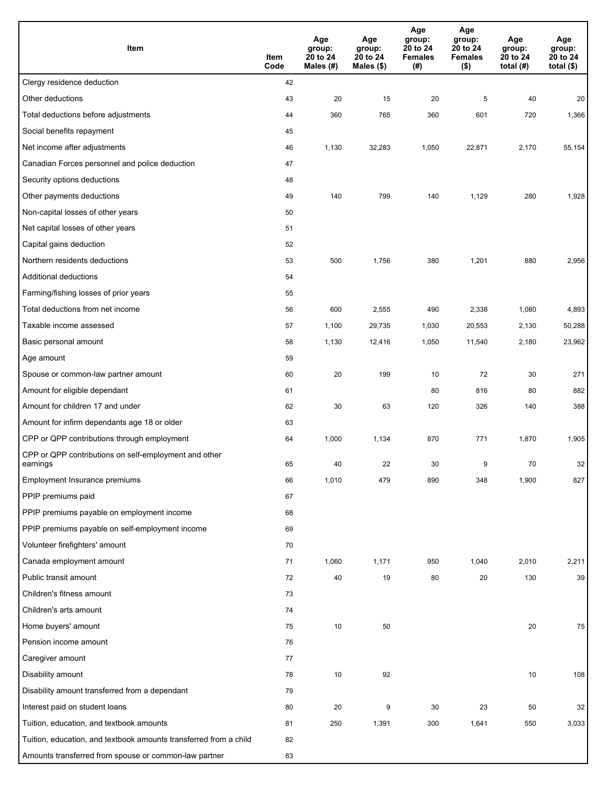| Item                                                              | Item<br>Code | Age<br>group:<br>20 to 24<br>Males (#) | Age<br>group:<br>20 to 24<br>Males (\$) | Age<br>group:<br>20 to 24<br><b>Females</b><br>(#) | Age<br>group:<br>20 to 24<br><b>Females</b><br>$($ \$) | Age<br>group:<br>20 to 24<br>total $(H)$ | Age<br>group:<br>20 to 24<br>total $($)$ |
|-------------------------------------------------------------------|--------------|----------------------------------------|-----------------------------------------|----------------------------------------------------|--------------------------------------------------------|------------------------------------------|------------------------------------------|
| Clergy residence deduction                                        | 42           |                                        |                                         |                                                    |                                                        |                                          |                                          |
| Other deductions                                                  | 43           | 20                                     | 15                                      | 20                                                 | 5                                                      | 40                                       | 20                                       |
| Total deductions before adjustments                               | 44           | 360                                    | 765                                     | 360                                                | 601                                                    | 720                                      | 1,366                                    |
| Social benefits repayment                                         | 45           |                                        |                                         |                                                    |                                                        |                                          |                                          |
| Net income after adjustments                                      | 46           | 1,130                                  | 32,283                                  | 1,050                                              | 22,871                                                 | 2,170                                    | 55,154                                   |
| Canadian Forces personnel and police deduction                    | 47           |                                        |                                         |                                                    |                                                        |                                          |                                          |
| Security options deductions                                       | 48           |                                        |                                         |                                                    |                                                        |                                          |                                          |
| Other payments deductions                                         | 49           | 140                                    | 799                                     | 140                                                | 1,129                                                  | 280                                      | 1,928                                    |
| Non-capital losses of other years                                 | 50           |                                        |                                         |                                                    |                                                        |                                          |                                          |
| Net capital losses of other years                                 | 51           |                                        |                                         |                                                    |                                                        |                                          |                                          |
| Capital gains deduction                                           | 52           |                                        |                                         |                                                    |                                                        |                                          |                                          |
| Northern residents deductions                                     | 53           | 500                                    | 1,756                                   | 380                                                | 1,201                                                  | 880                                      | 2,956                                    |
| Additional deductions                                             | 54           |                                        |                                         |                                                    |                                                        |                                          |                                          |
| Farming/fishing losses of prior years                             | 55           |                                        |                                         |                                                    |                                                        |                                          |                                          |
| Total deductions from net income                                  | 56           | 600                                    | 2,555                                   | 490                                                | 2,338                                                  | 1,080                                    | 4,893                                    |
| Taxable income assessed                                           | 57           | 1,100                                  | 29,735                                  | 1,030                                              | 20,553                                                 | 2,130                                    | 50,288                                   |
| Basic personal amount                                             | 58           | 1,130                                  | 12,416                                  | 1,050                                              | 11,540                                                 | 2,180                                    | 23,962                                   |
| Age amount                                                        | 59           |                                        |                                         |                                                    |                                                        |                                          |                                          |
| Spouse or common-law partner amount                               | 60           | 20                                     | 199                                     | 10                                                 | 72                                                     | 30                                       | 271                                      |
| Amount for eligible dependant                                     | 61           |                                        |                                         | 80                                                 | 816                                                    | 80                                       | 882                                      |
| Amount for children 17 and under                                  | 62           | 30                                     | 63                                      | 120                                                | 326                                                    | 140                                      | 388                                      |
| Amount for infirm dependants age 18 or older                      | 63           |                                        |                                         |                                                    |                                                        |                                          |                                          |
| CPP or QPP contributions through employment                       | 64           | 1,000                                  | 1,134                                   | 870                                                | 771                                                    | 1,870                                    | 1,905                                    |
| CPP or QPP contributions on self-employment and other<br>earnings | 65           | 40                                     | 22                                      | 30                                                 | 9                                                      | 70                                       | 32                                       |
| Employment Insurance premiums                                     | 66           | 1,010                                  | 479                                     | 890                                                | 348                                                    | 1,900                                    | 827                                      |
| PPIP premiums paid                                                | 67           |                                        |                                         |                                                    |                                                        |                                          |                                          |
| PPIP premiums payable on employment income                        | 68           |                                        |                                         |                                                    |                                                        |                                          |                                          |
| PPIP premiums payable on self-employment income                   | 69           |                                        |                                         |                                                    |                                                        |                                          |                                          |
| Volunteer firefighters' amount                                    | 70           |                                        |                                         |                                                    |                                                        |                                          |                                          |
| Canada employment amount                                          | 71           | 1,060                                  | 1,171                                   | 950                                                | 1,040                                                  | 2,010                                    | 2,211                                    |
| Public transit amount                                             | 72           | 40                                     | 19                                      | 80                                                 | 20                                                     | 130                                      | 39                                       |
| Children's fitness amount                                         | 73           |                                        |                                         |                                                    |                                                        |                                          |                                          |
| Children's arts amount                                            | 74           |                                        |                                         |                                                    |                                                        |                                          |                                          |
| Home buyers' amount                                               | 75           | $10\,$                                 | 50                                      |                                                    |                                                        | 20                                       | 75                                       |
| Pension income amount                                             | 76           |                                        |                                         |                                                    |                                                        |                                          |                                          |
| Caregiver amount                                                  | 77           |                                        |                                         |                                                    |                                                        |                                          |                                          |
| Disability amount                                                 | 78           | 10                                     | 92                                      |                                                    |                                                        | 10                                       | 108                                      |
| Disability amount transferred from a dependant                    | 79           |                                        |                                         |                                                    |                                                        |                                          |                                          |
| Interest paid on student loans                                    | 80           | 20                                     | 9                                       | 30                                                 | 23                                                     | 50                                       | 32                                       |
| Tuition, education, and textbook amounts                          | 81           | 250                                    | 1,391                                   | 300                                                | 1,641                                                  | 550                                      | 3,033                                    |
| Tuition, education, and textbook amounts transferred from a child | 82           |                                        |                                         |                                                    |                                                        |                                          |                                          |
| Amounts transferred from spouse or common-law partner             | 83           |                                        |                                         |                                                    |                                                        |                                          |                                          |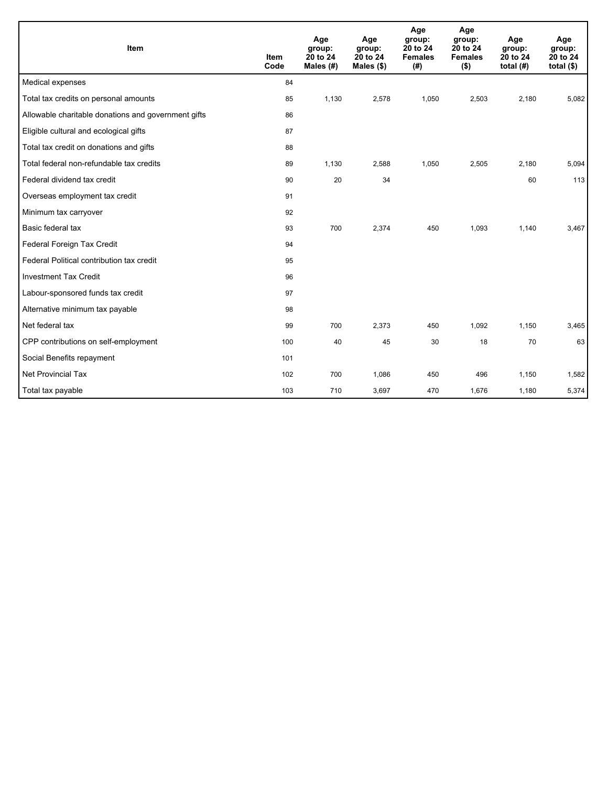| Item                                                | <b>Item</b><br>Code | Age<br>group:<br>20 to 24<br>Males (#) | Age<br>group:<br>20 to 24<br>Males $(\$)$ | Age<br>group:<br>20 to 24<br><b>Females</b><br>(# ) | Age<br>group:<br>20 to 24<br><b>Females</b><br>$($ \$) | Age<br>group:<br>20 to 24<br>total $(H)$ | Age<br>group:<br>20 to 24<br>total $($)$ |
|-----------------------------------------------------|---------------------|----------------------------------------|-------------------------------------------|-----------------------------------------------------|--------------------------------------------------------|------------------------------------------|------------------------------------------|
| Medical expenses                                    | 84                  |                                        |                                           |                                                     |                                                        |                                          |                                          |
| Total tax credits on personal amounts               | 85                  | 1,130                                  | 2,578                                     | 1,050                                               | 2,503                                                  | 2,180                                    | 5,082                                    |
| Allowable charitable donations and government gifts | 86                  |                                        |                                           |                                                     |                                                        |                                          |                                          |
| Eligible cultural and ecological gifts              | 87                  |                                        |                                           |                                                     |                                                        |                                          |                                          |
| Total tax credit on donations and gifts             | 88                  |                                        |                                           |                                                     |                                                        |                                          |                                          |
| Total federal non-refundable tax credits            | 89                  | 1,130                                  | 2,588                                     | 1,050                                               | 2,505                                                  | 2,180                                    | 5,094                                    |
| Federal dividend tax credit                         | 90                  | 20                                     | 34                                        |                                                     |                                                        | 60                                       | 113                                      |
| Overseas employment tax credit                      | 91                  |                                        |                                           |                                                     |                                                        |                                          |                                          |
| Minimum tax carryover                               | 92                  |                                        |                                           |                                                     |                                                        |                                          |                                          |
| Basic federal tax                                   | 93                  | 700                                    | 2,374                                     | 450                                                 | 1,093                                                  | 1,140                                    | 3,467                                    |
| Federal Foreign Tax Credit                          | 94                  |                                        |                                           |                                                     |                                                        |                                          |                                          |
| Federal Political contribution tax credit           | 95                  |                                        |                                           |                                                     |                                                        |                                          |                                          |
| <b>Investment Tax Credit</b>                        | 96                  |                                        |                                           |                                                     |                                                        |                                          |                                          |
| Labour-sponsored funds tax credit                   | 97                  |                                        |                                           |                                                     |                                                        |                                          |                                          |
| Alternative minimum tax payable                     | 98                  |                                        |                                           |                                                     |                                                        |                                          |                                          |
| Net federal tax                                     | 99                  | 700                                    | 2,373                                     | 450                                                 | 1,092                                                  | 1,150                                    | 3,465                                    |
| CPP contributions on self-employment                | 100                 | 40                                     | 45                                        | 30                                                  | 18                                                     | 70                                       | 63                                       |
| Social Benefits repayment                           | 101                 |                                        |                                           |                                                     |                                                        |                                          |                                          |
| <b>Net Provincial Tax</b>                           | 102                 | 700                                    | 1,086                                     | 450                                                 | 496                                                    | 1,150                                    | 1,582                                    |
| Total tax payable                                   | 103                 | 710                                    | 3,697                                     | 470                                                 | 1,676                                                  | 1,180                                    | 5,374                                    |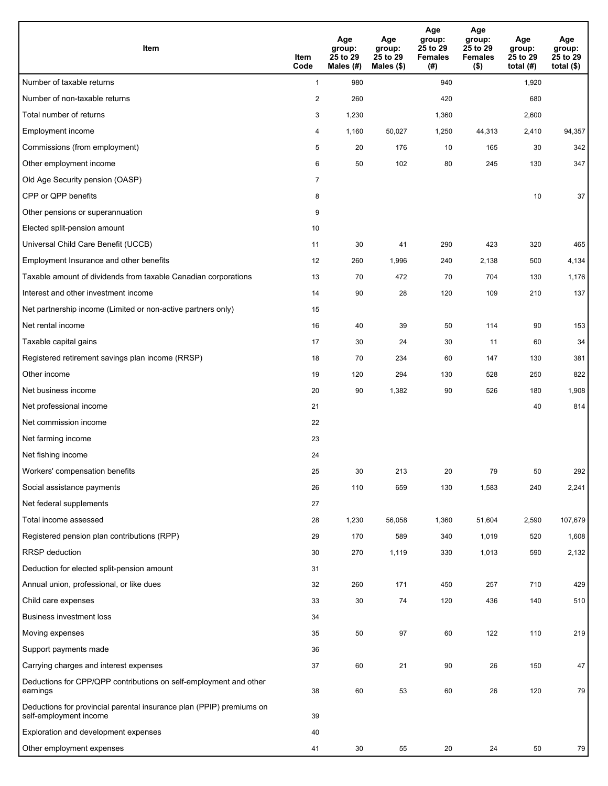| Item                                                                                           | Item<br>Code   | Age<br>group:<br>25 to 29<br>Males (#) | Age<br>group:<br>25 to 29<br>Males (\$) | Age<br>group:<br>25 to 29<br><b>Females</b><br>(#) | Age<br>group:<br>25 to 29<br><b>Females</b><br>$($ \$) | Age<br>group:<br>25 to 29<br>total $(H)$ | Age<br>group:<br>25 to 29<br>total $($)$ |
|------------------------------------------------------------------------------------------------|----------------|----------------------------------------|-----------------------------------------|----------------------------------------------------|--------------------------------------------------------|------------------------------------------|------------------------------------------|
| Number of taxable returns                                                                      | $\mathbf{1}$   | 980                                    |                                         | 940                                                |                                                        | 1,920                                    |                                          |
| Number of non-taxable returns                                                                  | $\overline{2}$ | 260                                    |                                         | 420                                                |                                                        | 680                                      |                                          |
| Total number of returns                                                                        | 3              | 1,230                                  |                                         | 1,360                                              |                                                        | 2,600                                    |                                          |
| Employment income                                                                              | 4              | 1,160                                  | 50,027                                  | 1,250                                              | 44,313                                                 | 2,410                                    | 94,357                                   |
| Commissions (from employment)                                                                  | 5              | 20                                     | 176                                     | 10                                                 | 165                                                    | 30                                       | 342                                      |
| Other employment income                                                                        | 6              | 50                                     | 102                                     | 80                                                 | 245                                                    | 130                                      | 347                                      |
| Old Age Security pension (OASP)                                                                | $\overline{7}$ |                                        |                                         |                                                    |                                                        |                                          |                                          |
| CPP or QPP benefits                                                                            | 8              |                                        |                                         |                                                    |                                                        | 10                                       | 37                                       |
| Other pensions or superannuation                                                               | 9              |                                        |                                         |                                                    |                                                        |                                          |                                          |
| Elected split-pension amount                                                                   | 10             |                                        |                                         |                                                    |                                                        |                                          |                                          |
| Universal Child Care Benefit (UCCB)                                                            | 11             | 30                                     | 41                                      | 290                                                | 423                                                    | 320                                      | 465                                      |
| Employment Insurance and other benefits                                                        | 12             | 260                                    | 1,996                                   | 240                                                | 2,138                                                  | 500                                      | 4,134                                    |
| Taxable amount of dividends from taxable Canadian corporations                                 | 13             | 70                                     | 472                                     | 70                                                 | 704                                                    | 130                                      | 1,176                                    |
| Interest and other investment income                                                           | 14             | 90                                     | 28                                      | 120                                                | 109                                                    | 210                                      | 137                                      |
| Net partnership income (Limited or non-active partners only)                                   | 15             |                                        |                                         |                                                    |                                                        |                                          |                                          |
| Net rental income                                                                              | 16             | 40                                     | 39                                      | 50                                                 | 114                                                    | 90                                       | 153                                      |
| Taxable capital gains                                                                          | 17             | 30                                     | 24                                      | 30                                                 | 11                                                     | 60                                       | 34                                       |
| Registered retirement savings plan income (RRSP)                                               | 18             | 70                                     | 234                                     | 60                                                 | 147                                                    | 130                                      | 381                                      |
| Other income                                                                                   | 19             | 120                                    | 294                                     | 130                                                | 528                                                    | 250                                      | 822                                      |
| Net business income                                                                            | 20             | 90                                     | 1,382                                   | 90                                                 | 526                                                    | 180                                      | 1,908                                    |
| Net professional income                                                                        | 21             |                                        |                                         |                                                    |                                                        | 40                                       | 814                                      |
| Net commission income                                                                          | 22             |                                        |                                         |                                                    |                                                        |                                          |                                          |
| Net farming income                                                                             | 23             |                                        |                                         |                                                    |                                                        |                                          |                                          |
| Net fishing income                                                                             | 24             |                                        |                                         |                                                    |                                                        |                                          |                                          |
| Workers' compensation benefits                                                                 | 25             | 30                                     | 213                                     | 20                                                 | 79                                                     | 50                                       | 292                                      |
| Social assistance payments                                                                     | 26             | 110                                    | 659                                     | 130                                                | 1,583                                                  | 240                                      | 2,241                                    |
| Net federal supplements                                                                        | 27             |                                        |                                         |                                                    |                                                        |                                          |                                          |
| Total income assessed                                                                          | 28             | 1,230                                  | 56,058                                  | 1,360                                              | 51,604                                                 | 2,590                                    | 107,679                                  |
| Registered pension plan contributions (RPP)                                                    | 29             | 170                                    | 589                                     | 340                                                | 1,019                                                  | 520                                      | 1,608                                    |
| <b>RRSP</b> deduction                                                                          | 30             | 270                                    | 1,119                                   | 330                                                | 1,013                                                  | 590                                      | 2,132                                    |
| Deduction for elected split-pension amount                                                     | 31             |                                        |                                         |                                                    |                                                        |                                          |                                          |
| Annual union, professional, or like dues                                                       | 32             | 260                                    | 171                                     | 450                                                | 257                                                    | 710                                      | 429                                      |
| Child care expenses                                                                            | 33             | 30                                     | 74                                      | 120                                                | 436                                                    | 140                                      | 510                                      |
| <b>Business investment loss</b>                                                                | 34             |                                        |                                         |                                                    |                                                        |                                          |                                          |
| Moving expenses                                                                                | 35             | 50                                     | 97                                      | 60                                                 | 122                                                    | 110                                      | 219                                      |
| Support payments made                                                                          | 36             |                                        |                                         |                                                    |                                                        |                                          |                                          |
| Carrying charges and interest expenses                                                         | 37             | 60                                     | 21                                      | 90                                                 | 26                                                     | 150                                      | 47                                       |
| Deductions for CPP/QPP contributions on self-employment and other<br>earnings                  | 38             | 60                                     | 53                                      | 60                                                 | 26                                                     | 120                                      | 79                                       |
| Deductions for provincial parental insurance plan (PPIP) premiums on<br>self-employment income | 39             |                                        |                                         |                                                    |                                                        |                                          |                                          |
| Exploration and development expenses                                                           | 40             |                                        |                                         |                                                    |                                                        |                                          |                                          |
| Other employment expenses                                                                      | 41             | 30                                     | 55                                      | 20                                                 | 24                                                     | 50                                       | 79                                       |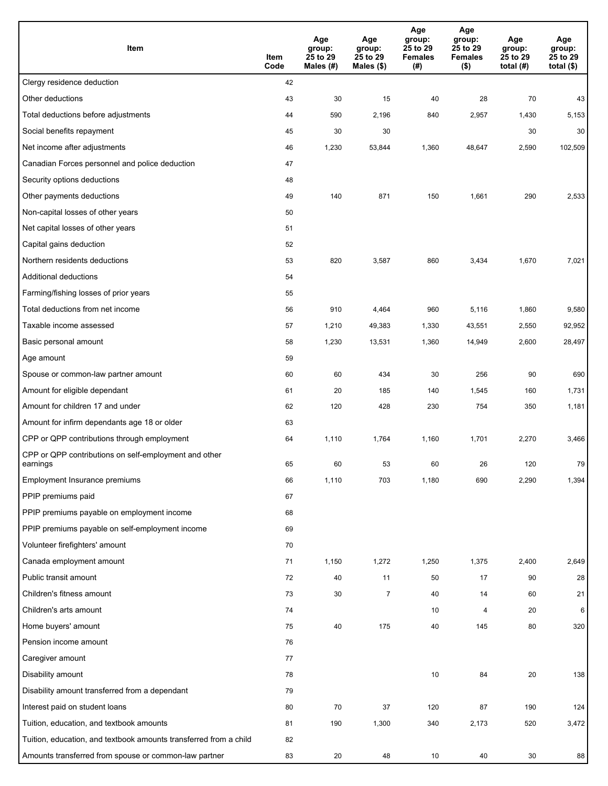| Item                                                              | Item<br>Code | Age<br>group:<br>25 to 29<br>Males (#) | Age<br>group:<br>25 to 29<br>Males (\$) | Age<br>group:<br>25 to 29<br><b>Females</b><br>(#) | Age<br>group:<br>25 to 29<br><b>Females</b><br>$($ \$) | Age<br>group:<br>25 to 29<br>total $(#)$ | Age<br>group:<br>25 to 29<br>total $($)$ |
|-------------------------------------------------------------------|--------------|----------------------------------------|-----------------------------------------|----------------------------------------------------|--------------------------------------------------------|------------------------------------------|------------------------------------------|
| Clergy residence deduction                                        | 42           |                                        |                                         |                                                    |                                                        |                                          |                                          |
| Other deductions                                                  | 43           | 30                                     | 15                                      | 40                                                 | 28                                                     | 70                                       | 43                                       |
| Total deductions before adjustments                               | 44           | 590                                    | 2,196                                   | 840                                                | 2,957                                                  | 1,430                                    | 5,153                                    |
| Social benefits repayment                                         | 45           | 30                                     | 30                                      |                                                    |                                                        | 30                                       | 30                                       |
| Net income after adjustments                                      | 46           | 1,230                                  | 53,844                                  | 1,360                                              | 48,647                                                 | 2,590                                    | 102,509                                  |
| Canadian Forces personnel and police deduction                    | 47           |                                        |                                         |                                                    |                                                        |                                          |                                          |
| Security options deductions                                       | 48           |                                        |                                         |                                                    |                                                        |                                          |                                          |
| Other payments deductions                                         | 49           | 140                                    | 871                                     | 150                                                | 1,661                                                  | 290                                      | 2,533                                    |
| Non-capital losses of other years                                 | 50           |                                        |                                         |                                                    |                                                        |                                          |                                          |
| Net capital losses of other years                                 | 51           |                                        |                                         |                                                    |                                                        |                                          |                                          |
| Capital gains deduction                                           | 52           |                                        |                                         |                                                    |                                                        |                                          |                                          |
| Northern residents deductions                                     | 53           | 820                                    | 3,587                                   | 860                                                | 3,434                                                  | 1,670                                    | 7,021                                    |
| Additional deductions                                             | 54           |                                        |                                         |                                                    |                                                        |                                          |                                          |
| Farming/fishing losses of prior years                             | 55           |                                        |                                         |                                                    |                                                        |                                          |                                          |
| Total deductions from net income                                  | 56           | 910                                    | 4,464                                   | 960                                                | 5,116                                                  | 1,860                                    | 9,580                                    |
| Taxable income assessed                                           | 57           | 1,210                                  | 49,383                                  | 1,330                                              | 43,551                                                 | 2,550                                    | 92,952                                   |
| Basic personal amount                                             | 58           | 1,230                                  | 13,531                                  | 1,360                                              | 14,949                                                 | 2,600                                    | 28,497                                   |
| Age amount                                                        | 59           |                                        |                                         |                                                    |                                                        |                                          |                                          |
| Spouse or common-law partner amount                               | 60           | 60                                     | 434                                     | 30                                                 | 256                                                    | 90                                       | 690                                      |
| Amount for eligible dependant                                     | 61           | 20                                     | 185                                     | 140                                                | 1,545                                                  | 160                                      | 1,731                                    |
| Amount for children 17 and under                                  | 62           | 120                                    | 428                                     | 230                                                | 754                                                    | 350                                      | 1,181                                    |
| Amount for infirm dependants age 18 or older                      | 63           |                                        |                                         |                                                    |                                                        |                                          |                                          |
| CPP or QPP contributions through employment                       | 64           | 1,110                                  | 1,764                                   | 1,160                                              | 1,701                                                  | 2,270                                    | 3,466                                    |
| CPP or QPP contributions on self-employment and other<br>earnings | 65           | 60                                     | 53                                      | 60                                                 | 26                                                     | 120                                      | 79                                       |
| Employment Insurance premiums                                     | 66           | 1,110                                  | 703                                     | 1,180                                              | 690                                                    | 2,290                                    | 1,394                                    |
| PPIP premiums paid                                                | 67           |                                        |                                         |                                                    |                                                        |                                          |                                          |
| PPIP premiums payable on employment income                        | 68           |                                        |                                         |                                                    |                                                        |                                          |                                          |
| PPIP premiums payable on self-employment income                   | 69           |                                        |                                         |                                                    |                                                        |                                          |                                          |
| Volunteer firefighters' amount                                    | 70           |                                        |                                         |                                                    |                                                        |                                          |                                          |
| Canada employment amount                                          | 71           | 1,150                                  | 1,272                                   | 1,250                                              | 1,375                                                  | 2,400                                    | 2,649                                    |
| Public transit amount                                             | 72           | 40                                     | 11                                      | 50                                                 | 17                                                     | 90                                       | 28                                       |
| Children's fitness amount                                         | 73           | 30                                     | $\overline{7}$                          | 40                                                 | 14                                                     | 60                                       | 21                                       |
| Children's arts amount                                            | 74           |                                        |                                         | 10                                                 | $\overline{4}$                                         | 20                                       | 6                                        |
| Home buyers' amount                                               | 75           | 40                                     | 175                                     | 40                                                 | 145                                                    | 80                                       | 320                                      |
| Pension income amount                                             | 76           |                                        |                                         |                                                    |                                                        |                                          |                                          |
| Caregiver amount                                                  | 77           |                                        |                                         |                                                    |                                                        |                                          |                                          |
| Disability amount                                                 | 78           |                                        |                                         | 10                                                 | 84                                                     | $20\,$                                   | 138                                      |
| Disability amount transferred from a dependant                    | 79           |                                        |                                         |                                                    |                                                        |                                          |                                          |
| Interest paid on student loans                                    | 80           | 70                                     | 37                                      | 120                                                | 87                                                     | 190                                      | 124                                      |
| Tuition, education, and textbook amounts                          | 81           | 190                                    | 1,300                                   | 340                                                | 2,173                                                  | 520                                      | 3,472                                    |
| Tuition, education, and textbook amounts transferred from a child | 82           |                                        |                                         |                                                    |                                                        |                                          |                                          |
| Amounts transferred from spouse or common-law partner             | 83           | 20                                     | 48                                      | 10                                                 | 40                                                     | 30                                       | 88                                       |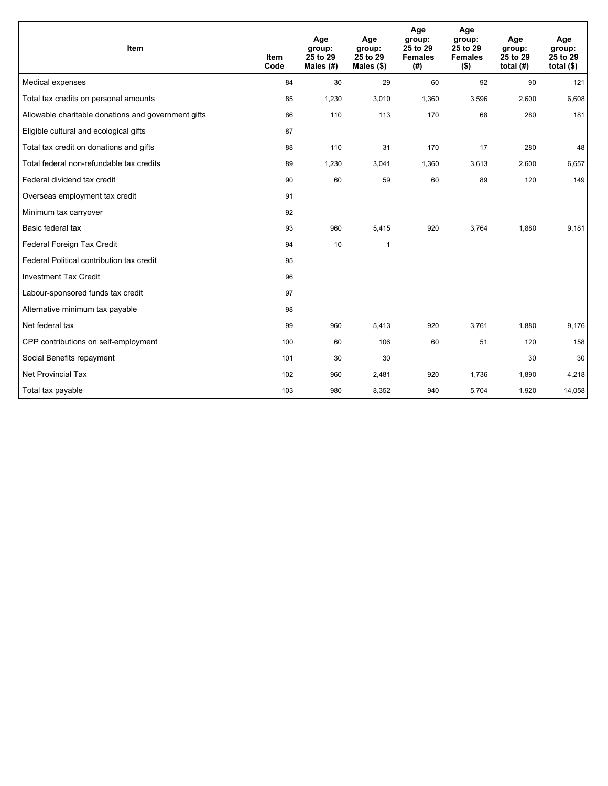| <b>Item</b>                                         | <b>Item</b><br>Code | Age<br>group:<br>25 to 29<br>Males $(H)$ | Age<br>group:<br>25 to 29<br>Males $(\$)$ | Age<br>group:<br>25 to 29<br><b>Females</b><br>(# ) | Age<br>group:<br>25 to 29<br><b>Females</b><br>$($ \$) | Age<br>group:<br>25 to 29<br>total $(H)$ | Age<br>group:<br>25 to 29<br>total $(§)$ |
|-----------------------------------------------------|---------------------|------------------------------------------|-------------------------------------------|-----------------------------------------------------|--------------------------------------------------------|------------------------------------------|------------------------------------------|
| Medical expenses                                    | 84                  | 30                                       | 29                                        | 60                                                  | 92                                                     | 90                                       | 121                                      |
| Total tax credits on personal amounts               | 85                  | 1,230                                    | 3,010                                     | 1,360                                               | 3,596                                                  | 2,600                                    | 6,608                                    |
| Allowable charitable donations and government gifts | 86                  | 110                                      | 113                                       | 170                                                 | 68                                                     | 280                                      | 181                                      |
| Eligible cultural and ecological gifts              | 87                  |                                          |                                           |                                                     |                                                        |                                          |                                          |
| Total tax credit on donations and gifts             | 88                  | 110                                      | 31                                        | 170                                                 | 17                                                     | 280                                      | 48                                       |
| Total federal non-refundable tax credits            | 89                  | 1,230                                    | 3,041                                     | 1,360                                               | 3,613                                                  | 2,600                                    | 6,657                                    |
| Federal dividend tax credit                         | 90                  | 60                                       | 59                                        | 60                                                  | 89                                                     | 120                                      | 149                                      |
| Overseas employment tax credit                      | 91                  |                                          |                                           |                                                     |                                                        |                                          |                                          |
| Minimum tax carryover                               | 92                  |                                          |                                           |                                                     |                                                        |                                          |                                          |
| Basic federal tax                                   | 93                  | 960                                      | 5,415                                     | 920                                                 | 3,764                                                  | 1,880                                    | 9,181                                    |
| Federal Foreign Tax Credit                          | 94                  | 10                                       | $\mathbf{1}$                              |                                                     |                                                        |                                          |                                          |
| Federal Political contribution tax credit           | 95                  |                                          |                                           |                                                     |                                                        |                                          |                                          |
| <b>Investment Tax Credit</b>                        | 96                  |                                          |                                           |                                                     |                                                        |                                          |                                          |
| Labour-sponsored funds tax credit                   | 97                  |                                          |                                           |                                                     |                                                        |                                          |                                          |
| Alternative minimum tax payable                     | 98                  |                                          |                                           |                                                     |                                                        |                                          |                                          |
| Net federal tax                                     | 99                  | 960                                      | 5,413                                     | 920                                                 | 3,761                                                  | 1,880                                    | 9,176                                    |
| CPP contributions on self-employment                | 100                 | 60                                       | 106                                       | 60                                                  | 51                                                     | 120                                      | 158                                      |
| Social Benefits repayment                           | 101                 | 30                                       | 30                                        |                                                     |                                                        | 30                                       | 30                                       |
| <b>Net Provincial Tax</b>                           | 102                 | 960                                      | 2,481                                     | 920                                                 | 1,736                                                  | 1,890                                    | 4,218                                    |
| Total tax payable                                   | 103                 | 980                                      | 8,352                                     | 940                                                 | 5,704                                                  | 1,920                                    | 14,058                                   |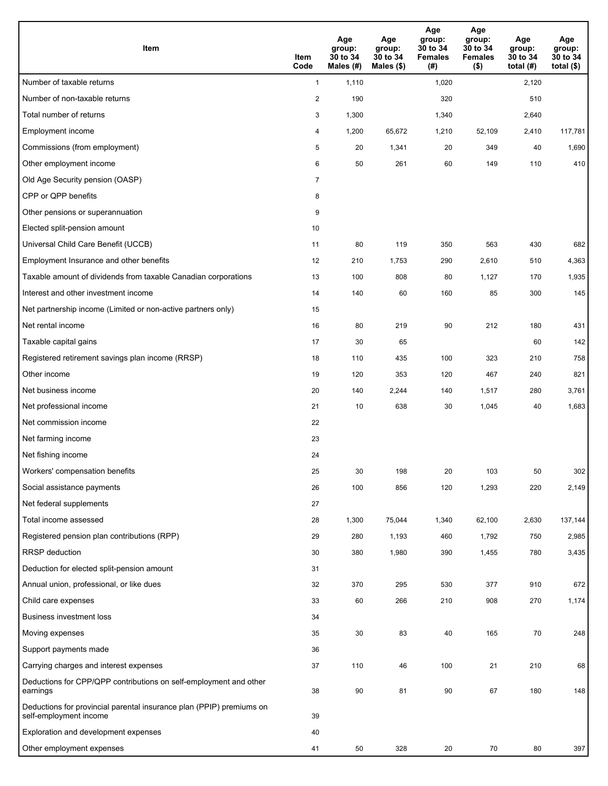| <b>Item</b>                                                                                    | Item<br>Code   | Age<br>group:<br>30 to 34<br>Males (#) | Age<br>group:<br>30 to 34<br>Males (\$) | Age<br>group:<br>30 to 34<br><b>Females</b><br>(#) | Age<br>group:<br>30 to 34<br><b>Females</b><br>$($ \$) | Age<br>group:<br>30 to 34<br>total $(#)$ | Age<br>group:<br>30 to 34<br>total $($)$ |
|------------------------------------------------------------------------------------------------|----------------|----------------------------------------|-----------------------------------------|----------------------------------------------------|--------------------------------------------------------|------------------------------------------|------------------------------------------|
| Number of taxable returns                                                                      | $\mathbf{1}$   | 1,110                                  |                                         | 1,020                                              |                                                        | 2,120                                    |                                          |
| Number of non-taxable returns                                                                  | $\overline{2}$ | 190                                    |                                         | 320                                                |                                                        | 510                                      |                                          |
| Total number of returns                                                                        | 3              | 1,300                                  |                                         | 1,340                                              |                                                        | 2,640                                    |                                          |
| Employment income                                                                              | 4              | 1,200                                  | 65,672                                  | 1,210                                              | 52,109                                                 | 2,410                                    | 117,781                                  |
| Commissions (from employment)                                                                  | 5              | 20                                     | 1,341                                   | 20                                                 | 349                                                    | 40                                       | 1,690                                    |
| Other employment income                                                                        | 6              | 50                                     | 261                                     | 60                                                 | 149                                                    | 110                                      | 410                                      |
| Old Age Security pension (OASP)                                                                | $\overline{7}$ |                                        |                                         |                                                    |                                                        |                                          |                                          |
| CPP or QPP benefits                                                                            | 8              |                                        |                                         |                                                    |                                                        |                                          |                                          |
| Other pensions or superannuation                                                               | 9              |                                        |                                         |                                                    |                                                        |                                          |                                          |
| Elected split-pension amount                                                                   | 10             |                                        |                                         |                                                    |                                                        |                                          |                                          |
| Universal Child Care Benefit (UCCB)                                                            | 11             | 80                                     | 119                                     | 350                                                | 563                                                    | 430                                      | 682                                      |
| Employment Insurance and other benefits                                                        | 12             | 210                                    | 1,753                                   | 290                                                | 2,610                                                  | 510                                      | 4,363                                    |
| Taxable amount of dividends from taxable Canadian corporations                                 | 13             | 100                                    | 808                                     | 80                                                 | 1,127                                                  | 170                                      | 1,935                                    |
| Interest and other investment income                                                           | 14             | 140                                    | 60                                      | 160                                                | 85                                                     | 300                                      | 145                                      |
| Net partnership income (Limited or non-active partners only)                                   | 15             |                                        |                                         |                                                    |                                                        |                                          |                                          |
| Net rental income                                                                              | 16             | 80                                     | 219                                     | 90                                                 | 212                                                    | 180                                      | 431                                      |
| Taxable capital gains                                                                          | 17             | 30                                     | 65                                      |                                                    |                                                        | 60                                       | 142                                      |
| Registered retirement savings plan income (RRSP)                                               | 18             | 110                                    | 435                                     | 100                                                | 323                                                    | 210                                      | 758                                      |
| Other income                                                                                   | 19             | 120                                    | 353                                     | 120                                                | 467                                                    | 240                                      | 821                                      |
| Net business income                                                                            | 20             | 140                                    | 2,244                                   | 140                                                | 1,517                                                  | 280                                      | 3,761                                    |
| Net professional income                                                                        | 21             | 10                                     | 638                                     | 30                                                 | 1,045                                                  | 40                                       | 1,683                                    |
| Net commission income                                                                          | 22             |                                        |                                         |                                                    |                                                        |                                          |                                          |
| Net farming income                                                                             | 23             |                                        |                                         |                                                    |                                                        |                                          |                                          |
| Net fishing income                                                                             | 24             |                                        |                                         |                                                    |                                                        |                                          |                                          |
| Workers' compensation benefits                                                                 | 25             | 30                                     | 198                                     | 20                                                 | 103                                                    | 50                                       | 302                                      |
| Social assistance payments                                                                     | 26             | 100                                    | 856                                     | 120                                                | 1,293                                                  | 220                                      | 2,149                                    |
| Net federal supplements                                                                        | 27             |                                        |                                         |                                                    |                                                        |                                          |                                          |
| Total income assessed                                                                          | 28             | 1,300                                  | 75,044                                  | 1,340                                              | 62,100                                                 | 2,630                                    | 137,144                                  |
| Registered pension plan contributions (RPP)                                                    | 29             | 280                                    | 1,193                                   | 460                                                | 1,792                                                  | 750                                      | 2,985                                    |
| RRSP deduction                                                                                 | 30             | 380                                    | 1,980                                   | 390                                                | 1,455                                                  | 780                                      | 3,435                                    |
| Deduction for elected split-pension amount                                                     | 31             |                                        |                                         |                                                    |                                                        |                                          |                                          |
| Annual union, professional, or like dues                                                       | 32             | 370                                    | 295                                     | 530                                                | 377                                                    | 910                                      | 672                                      |
| Child care expenses                                                                            | 33             | 60                                     | 266                                     | 210                                                | 908                                                    | 270                                      | 1,174                                    |
| <b>Business investment loss</b>                                                                | 34             |                                        |                                         |                                                    |                                                        |                                          |                                          |
| Moving expenses                                                                                | 35             | 30                                     | 83                                      | 40                                                 | 165                                                    | 70                                       | 248                                      |
| Support payments made                                                                          | 36             |                                        |                                         |                                                    |                                                        |                                          |                                          |
| Carrying charges and interest expenses                                                         | 37             | 110                                    | 46                                      | 100                                                | 21                                                     | 210                                      | 68                                       |
| Deductions for CPP/QPP contributions on self-employment and other<br>earnings                  | 38             | 90                                     | 81                                      | 90                                                 | 67                                                     | 180                                      | 148                                      |
| Deductions for provincial parental insurance plan (PPIP) premiums on<br>self-employment income | 39             |                                        |                                         |                                                    |                                                        |                                          |                                          |
| Exploration and development expenses                                                           | 40             |                                        |                                         |                                                    |                                                        |                                          |                                          |
| Other employment expenses                                                                      | 41             | 50                                     | 328                                     | 20                                                 | 70                                                     | 80                                       | 397                                      |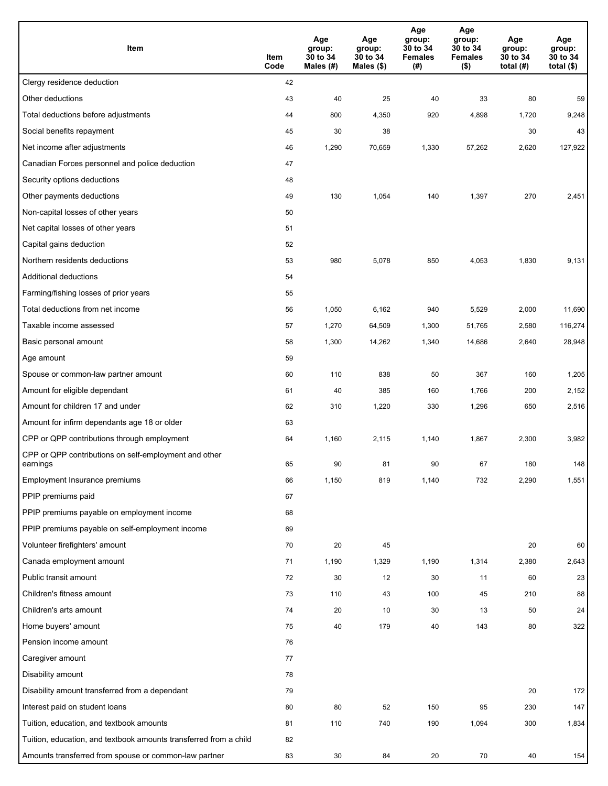| Item                                                              | Item<br>Code | Age<br>group:<br>30 to 34<br>Males (#) | Age<br>group:<br>30 to 34<br>Males (\$) | Age<br>group:<br>30 to 34<br><b>Females</b><br>(#) | Age<br>group:<br>30 to 34<br><b>Females</b><br>$($ \$) | Age<br>group:<br>30 to 34<br>total $(H)$ | Age<br>group:<br>30 to 34<br>total $($)$ |
|-------------------------------------------------------------------|--------------|----------------------------------------|-----------------------------------------|----------------------------------------------------|--------------------------------------------------------|------------------------------------------|------------------------------------------|
| Clergy residence deduction                                        | 42           |                                        |                                         |                                                    |                                                        |                                          |                                          |
| Other deductions                                                  | 43           | 40                                     | 25                                      | 40                                                 | 33                                                     | 80                                       | 59                                       |
| Total deductions before adjustments                               | 44           | 800                                    | 4,350                                   | 920                                                | 4,898                                                  | 1,720                                    | 9,248                                    |
| Social benefits repayment                                         | 45           | 30                                     | 38                                      |                                                    |                                                        | 30                                       | 43                                       |
| Net income after adjustments                                      | 46           | 1,290                                  | 70,659                                  | 1,330                                              | 57,262                                                 | 2,620                                    | 127,922                                  |
| Canadian Forces personnel and police deduction                    | 47           |                                        |                                         |                                                    |                                                        |                                          |                                          |
| Security options deductions                                       | 48           |                                        |                                         |                                                    |                                                        |                                          |                                          |
| Other payments deductions                                         | 49           | 130                                    | 1,054                                   | 140                                                | 1,397                                                  | 270                                      | 2,451                                    |
| Non-capital losses of other years                                 | 50           |                                        |                                         |                                                    |                                                        |                                          |                                          |
| Net capital losses of other years                                 | 51           |                                        |                                         |                                                    |                                                        |                                          |                                          |
| Capital gains deduction                                           | 52           |                                        |                                         |                                                    |                                                        |                                          |                                          |
| Northern residents deductions                                     | 53           | 980                                    | 5,078                                   | 850                                                | 4,053                                                  | 1,830                                    | 9,131                                    |
| Additional deductions                                             | 54           |                                        |                                         |                                                    |                                                        |                                          |                                          |
| Farming/fishing losses of prior years                             | 55           |                                        |                                         |                                                    |                                                        |                                          |                                          |
| Total deductions from net income                                  | 56           | 1,050                                  | 6,162                                   | 940                                                | 5,529                                                  | 2,000                                    | 11,690                                   |
| Taxable income assessed                                           | 57           | 1,270                                  | 64,509                                  | 1,300                                              | 51,765                                                 | 2,580                                    | 116,274                                  |
| Basic personal amount                                             | 58           | 1,300                                  | 14,262                                  | 1,340                                              | 14,686                                                 | 2,640                                    | 28,948                                   |
| Age amount                                                        | 59           |                                        |                                         |                                                    |                                                        |                                          |                                          |
| Spouse or common-law partner amount                               | 60           | 110                                    | 838                                     | 50                                                 | 367                                                    | 160                                      | 1,205                                    |
| Amount for eligible dependant                                     | 61           | 40                                     | 385                                     | 160                                                | 1,766                                                  | 200                                      | 2,152                                    |
| Amount for children 17 and under                                  | 62           | 310                                    | 1,220                                   | 330                                                | 1,296                                                  | 650                                      | 2,516                                    |
| Amount for infirm dependants age 18 or older                      | 63           |                                        |                                         |                                                    |                                                        |                                          |                                          |
| CPP or QPP contributions through employment                       | 64           | 1,160                                  | 2,115                                   | 1,140                                              | 1,867                                                  | 2,300                                    | 3,982                                    |
| CPP or QPP contributions on self-employment and other<br>earnings | 65           | 90                                     | 81                                      | 90                                                 | 67                                                     | 180                                      | 148                                      |
| Employment Insurance premiums                                     | 66           | 1,150                                  | 819                                     | 1,140                                              | 732                                                    | 2,290                                    | 1,551                                    |
| PPIP premiums paid                                                | 67           |                                        |                                         |                                                    |                                                        |                                          |                                          |
| PPIP premiums payable on employment income                        | 68           |                                        |                                         |                                                    |                                                        |                                          |                                          |
| PPIP premiums payable on self-employment income                   | 69           |                                        |                                         |                                                    |                                                        |                                          |                                          |
| Volunteer firefighters' amount                                    | 70           | 20                                     | 45                                      |                                                    |                                                        | 20                                       | 60                                       |
| Canada employment amount                                          | 71           | 1,190                                  | 1,329                                   | 1,190                                              | 1,314                                                  | 2,380                                    | 2,643                                    |
| Public transit amount                                             | 72           | 30                                     | 12                                      | 30                                                 | 11                                                     | 60                                       | 23                                       |
| Children's fitness amount                                         | 73           | 110                                    | 43                                      | 100                                                | 45                                                     | 210                                      | 88                                       |
| Children's arts amount                                            | 74           | 20                                     | 10                                      | 30                                                 | 13                                                     | 50                                       | 24                                       |
| Home buyers' amount                                               | 75           | 40                                     | 179                                     | 40                                                 | 143                                                    | 80                                       | 322                                      |
| Pension income amount                                             | 76           |                                        |                                         |                                                    |                                                        |                                          |                                          |
| Caregiver amount                                                  | 77           |                                        |                                         |                                                    |                                                        |                                          |                                          |
| Disability amount                                                 | 78           |                                        |                                         |                                                    |                                                        |                                          |                                          |
| Disability amount transferred from a dependant                    | 79           |                                        |                                         |                                                    |                                                        | 20                                       | 172                                      |
| Interest paid on student loans                                    | 80           | 80                                     | 52                                      | 150                                                | 95                                                     | 230                                      | 147                                      |
| Tuition, education, and textbook amounts                          | 81           | 110                                    | 740                                     | 190                                                | 1,094                                                  | 300                                      | 1,834                                    |
| Tuition, education, and textbook amounts transferred from a child | 82           |                                        |                                         |                                                    |                                                        |                                          |                                          |
| Amounts transferred from spouse or common-law partner             | 83           | 30                                     | 84                                      | 20                                                 | 70                                                     | 40                                       | 154                                      |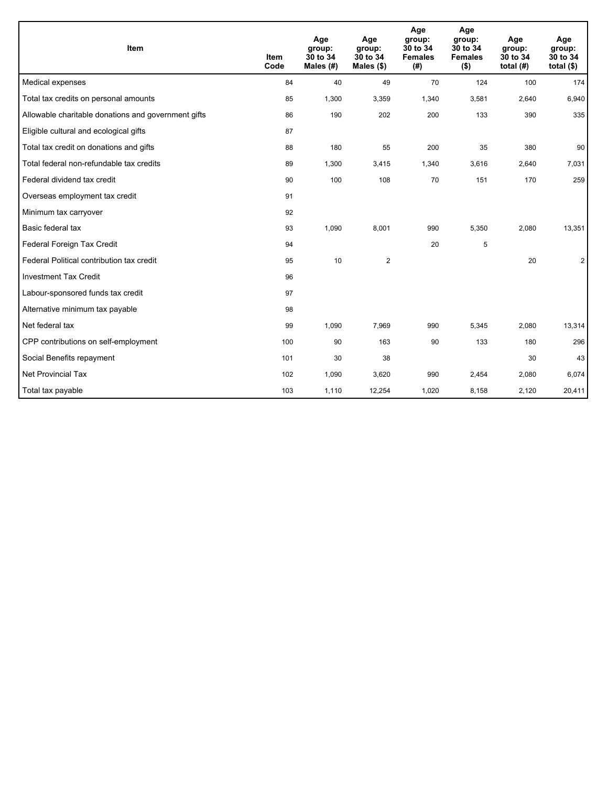| Item                                                | <b>Item</b><br>Code | Age<br>group:<br>30 to 34<br>Males $(H)$ | Age<br>group:<br>30 to 34<br>Males $(\$)$ | Age<br>group:<br>30 to 34<br><b>Females</b><br>(# ) | Age<br>group:<br>30 to 34<br><b>Females</b><br>$($ \$) | Age<br>group:<br>30 to 34<br>total $(H)$ | Age<br>group:<br>30 to 34<br>total $(§)$ |
|-----------------------------------------------------|---------------------|------------------------------------------|-------------------------------------------|-----------------------------------------------------|--------------------------------------------------------|------------------------------------------|------------------------------------------|
| Medical expenses                                    | 84                  | 40                                       | 49                                        | 70                                                  | 124                                                    | 100                                      | 174                                      |
| Total tax credits on personal amounts               | 85                  | 1,300                                    | 3,359                                     | 1,340                                               | 3,581                                                  | 2,640                                    | 6,940                                    |
| Allowable charitable donations and government gifts | 86                  | 190                                      | 202                                       | 200                                                 | 133                                                    | 390                                      | 335                                      |
| Eligible cultural and ecological gifts              | 87                  |                                          |                                           |                                                     |                                                        |                                          |                                          |
| Total tax credit on donations and gifts             | 88                  | 180                                      | 55                                        | 200                                                 | 35                                                     | 380                                      | 90                                       |
| Total federal non-refundable tax credits            | 89                  | 1,300                                    | 3,415                                     | 1,340                                               | 3,616                                                  | 2,640                                    | 7,031                                    |
| Federal dividend tax credit                         | 90                  | 100                                      | 108                                       | 70                                                  | 151                                                    | 170                                      | 259                                      |
| Overseas employment tax credit                      | 91                  |                                          |                                           |                                                     |                                                        |                                          |                                          |
| Minimum tax carryover                               | 92                  |                                          |                                           |                                                     |                                                        |                                          |                                          |
| Basic federal tax                                   | 93                  | 1,090                                    | 8,001                                     | 990                                                 | 5,350                                                  | 2,080                                    | 13,351                                   |
| Federal Foreign Tax Credit                          | 94                  |                                          |                                           | 20                                                  | 5                                                      |                                          |                                          |
| Federal Political contribution tax credit           | 95                  | 10                                       | $\overline{2}$                            |                                                     |                                                        | 20                                       | $\overline{2}$                           |
| <b>Investment Tax Credit</b>                        | 96                  |                                          |                                           |                                                     |                                                        |                                          |                                          |
| Labour-sponsored funds tax credit                   | 97                  |                                          |                                           |                                                     |                                                        |                                          |                                          |
| Alternative minimum tax payable                     | 98                  |                                          |                                           |                                                     |                                                        |                                          |                                          |
| Net federal tax                                     | 99                  | 1,090                                    | 7.969                                     | 990                                                 | 5,345                                                  | 2,080                                    | 13,314                                   |
| CPP contributions on self-employment                | 100                 | 90                                       | 163                                       | 90                                                  | 133                                                    | 180                                      | 296                                      |
| Social Benefits repayment                           | 101                 | 30                                       | 38                                        |                                                     |                                                        | 30                                       | 43                                       |
| Net Provincial Tax                                  | 102                 | 1,090                                    | 3,620                                     | 990                                                 | 2,454                                                  | 2,080                                    | 6,074                                    |
| Total tax payable                                   | 103                 | 1,110                                    | 12,254                                    | 1,020                                               | 8,158                                                  | 2,120                                    | 20,411                                   |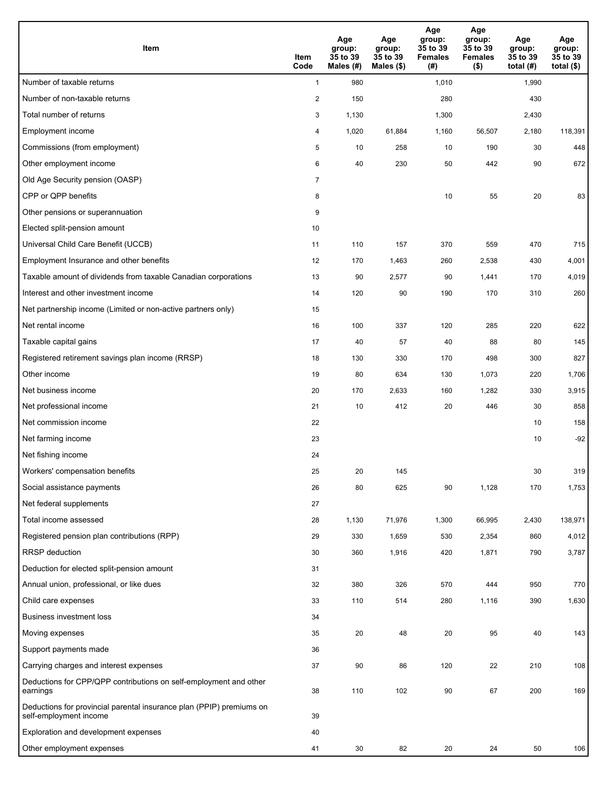| Item                                                                                           | Item<br>Code   | Age<br>group:<br>35 to 39<br>Males (#) | Age<br>group:<br>35 to 39<br>Males (\$) | Age<br>group:<br>35 to 39<br><b>Females</b><br>(#) | Age<br>group:<br>35 to 39<br><b>Females</b><br>$($ \$) | Age<br>group:<br>35 to 39<br>total $(H)$ | Age<br>group:<br>35 to 39<br>total $($)$ |
|------------------------------------------------------------------------------------------------|----------------|----------------------------------------|-----------------------------------------|----------------------------------------------------|--------------------------------------------------------|------------------------------------------|------------------------------------------|
| Number of taxable returns                                                                      | $\mathbf{1}$   | 980                                    |                                         | 1,010                                              |                                                        | 1,990                                    |                                          |
| Number of non-taxable returns                                                                  | $\overline{2}$ | 150                                    |                                         | 280                                                |                                                        | 430                                      |                                          |
| Total number of returns                                                                        | 3              | 1,130                                  |                                         | 1,300                                              |                                                        | 2,430                                    |                                          |
| Employment income                                                                              | 4              | 1,020                                  | 61,884                                  | 1,160                                              | 56,507                                                 | 2,180                                    | 118,391                                  |
| Commissions (from employment)                                                                  | 5              | 10                                     | 258                                     | 10                                                 | 190                                                    | 30                                       | 448                                      |
| Other employment income                                                                        | 6              | 40                                     | 230                                     | 50                                                 | 442                                                    | 90                                       | 672                                      |
| Old Age Security pension (OASP)                                                                | $\overline{7}$ |                                        |                                         |                                                    |                                                        |                                          |                                          |
| CPP or QPP benefits                                                                            | 8              |                                        |                                         | 10                                                 | 55                                                     | 20                                       | 83                                       |
| Other pensions or superannuation                                                               | 9              |                                        |                                         |                                                    |                                                        |                                          |                                          |
| Elected split-pension amount                                                                   | 10             |                                        |                                         |                                                    |                                                        |                                          |                                          |
| Universal Child Care Benefit (UCCB)                                                            | 11             | 110                                    | 157                                     | 370                                                | 559                                                    | 470                                      | 715                                      |
| Employment Insurance and other benefits                                                        | 12             | 170                                    | 1,463                                   | 260                                                | 2,538                                                  | 430                                      | 4,001                                    |
| Taxable amount of dividends from taxable Canadian corporations                                 | 13             | 90                                     | 2,577                                   | 90                                                 | 1,441                                                  | 170                                      | 4,019                                    |
| Interest and other investment income                                                           | 14             | 120                                    | 90                                      | 190                                                | 170                                                    | 310                                      | 260                                      |
| Net partnership income (Limited or non-active partners only)                                   | 15             |                                        |                                         |                                                    |                                                        |                                          |                                          |
| Net rental income                                                                              | 16             | 100                                    | 337                                     | 120                                                | 285                                                    | 220                                      | 622                                      |
| Taxable capital gains                                                                          | 17             | 40                                     | 57                                      | 40                                                 | 88                                                     | 80                                       | 145                                      |
| Registered retirement savings plan income (RRSP)                                               | 18             | 130                                    | 330                                     | 170                                                | 498                                                    | 300                                      | 827                                      |
| Other income                                                                                   | 19             | 80                                     | 634                                     | 130                                                | 1,073                                                  | 220                                      | 1,706                                    |
| Net business income                                                                            | 20             | 170                                    | 2,633                                   | 160                                                | 1,282                                                  | 330                                      | 3,915                                    |
| Net professional income                                                                        | 21             | 10                                     | 412                                     | 20                                                 | 446                                                    | 30                                       | 858                                      |
| Net commission income                                                                          | 22             |                                        |                                         |                                                    |                                                        | 10                                       | 158                                      |
| Net farming income                                                                             | 23             |                                        |                                         |                                                    |                                                        | 10                                       | $-92$                                    |
| Net fishing income                                                                             | 24             |                                        |                                         |                                                    |                                                        |                                          |                                          |
| Workers' compensation benefits                                                                 | 25             | 20                                     | 145                                     |                                                    |                                                        | 30                                       | 319                                      |
| Social assistance payments                                                                     | 26             | 80                                     | 625                                     | 90                                                 | 1,128                                                  | 170                                      | 1,753                                    |
| Net federal supplements                                                                        | 27             |                                        |                                         |                                                    |                                                        |                                          |                                          |
| Total income assessed                                                                          | 28             | 1,130                                  | 71,976                                  | 1,300                                              | 66,995                                                 | 2,430                                    | 138,971                                  |
| Registered pension plan contributions (RPP)                                                    | 29             | 330                                    | 1,659                                   | 530                                                | 2,354                                                  | 860                                      | 4,012                                    |
| RRSP deduction                                                                                 | 30             | 360                                    | 1,916                                   | 420                                                | 1,871                                                  | 790                                      | 3,787                                    |
| Deduction for elected split-pension amount                                                     | 31             |                                        |                                         |                                                    |                                                        |                                          |                                          |
| Annual union, professional, or like dues                                                       | 32             | 380                                    | 326                                     | 570                                                | 444                                                    | 950                                      | 770                                      |
| Child care expenses                                                                            | 33             | 110                                    | 514                                     | 280                                                | 1,116                                                  | 390                                      | 1,630                                    |
| <b>Business investment loss</b>                                                                | 34             |                                        |                                         |                                                    |                                                        |                                          |                                          |
| Moving expenses                                                                                | 35             | 20                                     | 48                                      | 20                                                 | 95                                                     | 40                                       | 143                                      |
| Support payments made                                                                          | 36             |                                        |                                         |                                                    |                                                        |                                          |                                          |
| Carrying charges and interest expenses                                                         | 37             | 90                                     | 86                                      | 120                                                | 22                                                     | 210                                      | 108                                      |
| Deductions for CPP/QPP contributions on self-employment and other<br>earnings                  | 38             | 110                                    | 102                                     | 90                                                 | 67                                                     | 200                                      | 169                                      |
| Deductions for provincial parental insurance plan (PPIP) premiums on<br>self-employment income | 39             |                                        |                                         |                                                    |                                                        |                                          |                                          |
| Exploration and development expenses                                                           | 40             |                                        |                                         |                                                    |                                                        |                                          |                                          |
| Other employment expenses                                                                      | 41             | 30                                     | 82                                      | 20                                                 | 24                                                     | 50                                       | 106                                      |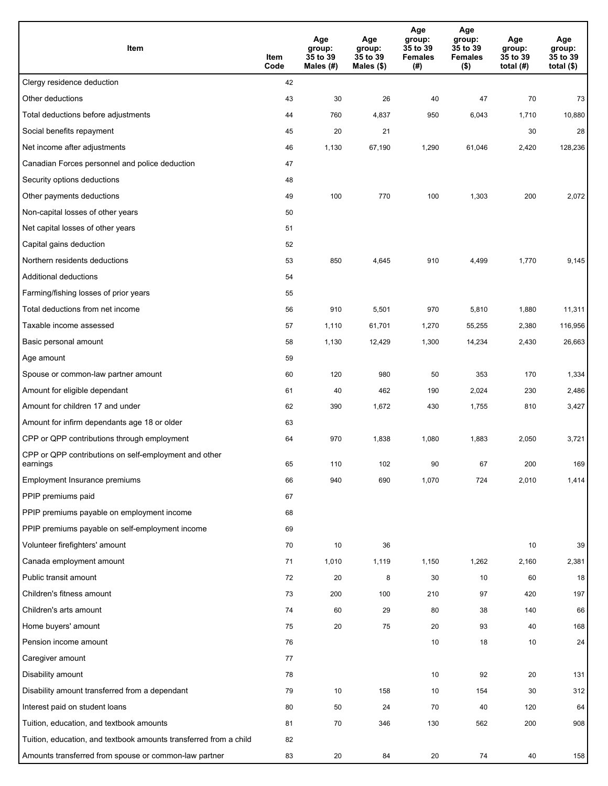| Item                                                              | Item<br>Code | Age<br>group:<br>35 to 39<br>Males (#) | Age<br>group:<br>35 to 39<br>Males (\$) | Age<br>group:<br>35 to 39<br><b>Females</b><br>(#) | Age<br>group:<br>35 to 39<br><b>Females</b><br>$($ \$) | Age<br>group:<br>35 to 39<br>total $(H)$ | Age<br>group:<br>35 to 39<br>total $($)$ |
|-------------------------------------------------------------------|--------------|----------------------------------------|-----------------------------------------|----------------------------------------------------|--------------------------------------------------------|------------------------------------------|------------------------------------------|
| Clergy residence deduction                                        | 42           |                                        |                                         |                                                    |                                                        |                                          |                                          |
| Other deductions                                                  | 43           | 30                                     | 26                                      | 40                                                 | 47                                                     | 70                                       | 73                                       |
| Total deductions before adjustments                               | 44           | 760                                    | 4,837                                   | 950                                                | 6,043                                                  | 1,710                                    | 10,880                                   |
| Social benefits repayment                                         | 45           | 20                                     | 21                                      |                                                    |                                                        | 30                                       | 28                                       |
| Net income after adjustments                                      | 46           | 1,130                                  | 67,190                                  | 1,290                                              | 61,046                                                 | 2,420                                    | 128,236                                  |
| Canadian Forces personnel and police deduction                    | 47           |                                        |                                         |                                                    |                                                        |                                          |                                          |
| Security options deductions                                       | 48           |                                        |                                         |                                                    |                                                        |                                          |                                          |
| Other payments deductions                                         | 49           | 100                                    | 770                                     | 100                                                | 1,303                                                  | 200                                      | 2,072                                    |
| Non-capital losses of other years                                 | 50           |                                        |                                         |                                                    |                                                        |                                          |                                          |
| Net capital losses of other years                                 | 51           |                                        |                                         |                                                    |                                                        |                                          |                                          |
| Capital gains deduction                                           | 52           |                                        |                                         |                                                    |                                                        |                                          |                                          |
| Northern residents deductions                                     | 53           | 850                                    | 4,645                                   | 910                                                | 4,499                                                  | 1,770                                    | 9,145                                    |
| Additional deductions                                             | 54           |                                        |                                         |                                                    |                                                        |                                          |                                          |
| Farming/fishing losses of prior years                             | 55           |                                        |                                         |                                                    |                                                        |                                          |                                          |
| Total deductions from net income                                  | 56           | 910                                    | 5,501                                   | 970                                                | 5,810                                                  | 1,880                                    | 11,311                                   |
| Taxable income assessed                                           | 57           | 1,110                                  | 61,701                                  | 1,270                                              | 55,255                                                 | 2,380                                    | 116,956                                  |
| Basic personal amount                                             | 58           | 1,130                                  | 12,429                                  | 1,300                                              | 14,234                                                 | 2,430                                    | 26,663                                   |
| Age amount                                                        | 59           |                                        |                                         |                                                    |                                                        |                                          |                                          |
| Spouse or common-law partner amount                               | 60           | 120                                    | 980                                     | 50                                                 | 353                                                    | 170                                      | 1,334                                    |
| Amount for eligible dependant                                     | 61           | 40                                     | 462                                     | 190                                                | 2,024                                                  | 230                                      | 2,486                                    |
| Amount for children 17 and under                                  | 62           | 390                                    | 1,672                                   | 430                                                | 1,755                                                  | 810                                      | 3,427                                    |
| Amount for infirm dependants age 18 or older                      | 63           |                                        |                                         |                                                    |                                                        |                                          |                                          |
| CPP or QPP contributions through employment                       | 64           | 970                                    | 1,838                                   | 1,080                                              | 1,883                                                  | 2,050                                    | 3,721                                    |
| CPP or QPP contributions on self-employment and other<br>earnings | 65           | 110                                    | 102                                     | 90                                                 | 67                                                     | 200                                      | 169                                      |
| Employment Insurance premiums                                     | 66           | 940                                    | 690                                     | 1,070                                              | 724                                                    | 2,010                                    | 1,414                                    |
| PPIP premiums paid                                                | 67           |                                        |                                         |                                                    |                                                        |                                          |                                          |
| PPIP premiums payable on employment income                        | 68           |                                        |                                         |                                                    |                                                        |                                          |                                          |
| PPIP premiums payable on self-employment income                   | 69           |                                        |                                         |                                                    |                                                        |                                          |                                          |
| Volunteer firefighters' amount                                    | 70           | 10                                     | 36                                      |                                                    |                                                        | 10                                       | 39                                       |
| Canada employment amount                                          | 71           | 1,010                                  | 1,119                                   | 1,150                                              | 1,262                                                  | 2,160                                    | 2,381                                    |
| Public transit amount                                             | 72           | 20                                     | 8                                       | 30                                                 | 10                                                     | 60                                       | 18                                       |
| Children's fitness amount                                         | 73           | 200                                    | 100                                     | 210                                                | 97                                                     | 420                                      | 197                                      |
| Children's arts amount                                            | 74           | 60                                     | 29                                      | 80                                                 | 38                                                     | 140                                      | 66                                       |
| Home buyers' amount                                               | 75           | $20\,$                                 | 75                                      | 20                                                 | 93                                                     | 40                                       | 168                                      |
| Pension income amount                                             | 76           |                                        |                                         | 10                                                 | 18                                                     | 10                                       | 24                                       |
| Caregiver amount                                                  | 77           |                                        |                                         |                                                    |                                                        |                                          |                                          |
| Disability amount                                                 | 78           |                                        |                                         | 10                                                 | 92                                                     | 20                                       | 131                                      |
| Disability amount transferred from a dependant                    | 79           | 10                                     | 158                                     | 10                                                 | 154                                                    | 30                                       | 312                                      |
| Interest paid on student loans                                    | 80           | 50                                     | 24                                      | 70                                                 | 40                                                     | 120                                      | 64                                       |
| Tuition, education, and textbook amounts                          | 81           | 70                                     | 346                                     | 130                                                | 562                                                    | 200                                      | 908                                      |
| Tuition, education, and textbook amounts transferred from a child | 82           |                                        |                                         |                                                    |                                                        |                                          |                                          |
| Amounts transferred from spouse or common-law partner             | 83           | 20                                     | 84                                      | 20                                                 | 74                                                     | 40                                       | 158                                      |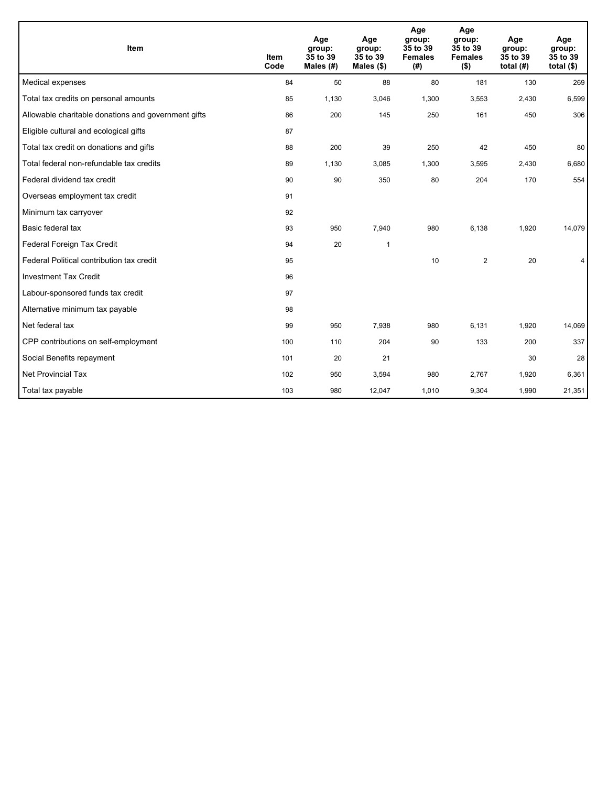| Item                                                | <b>Item</b><br>Code | Age<br>group:<br>35 to 39<br>Males (#) | Age<br>group:<br>35 to 39<br>Males $(\$)$ | Age<br>group:<br>35 to 39<br><b>Females</b><br>(# ) | Age<br>group:<br>35 to 39<br><b>Females</b><br>$($ \$) | Age<br>group:<br>35 to 39<br>total $(H)$ | Age<br>group:<br>35 to 39<br>total $($)$ |
|-----------------------------------------------------|---------------------|----------------------------------------|-------------------------------------------|-----------------------------------------------------|--------------------------------------------------------|------------------------------------------|------------------------------------------|
| Medical expenses                                    | 84                  | 50                                     | 88                                        | 80                                                  | 181                                                    | 130                                      | 269                                      |
| Total tax credits on personal amounts               | 85                  | 1,130                                  | 3,046                                     | 1,300                                               | 3,553                                                  | 2,430                                    | 6,599                                    |
| Allowable charitable donations and government gifts | 86                  | 200                                    | 145                                       | 250                                                 | 161                                                    | 450                                      | 306                                      |
| Eligible cultural and ecological gifts              | 87                  |                                        |                                           |                                                     |                                                        |                                          |                                          |
| Total tax credit on donations and gifts             | 88                  | 200                                    | 39                                        | 250                                                 | 42                                                     | 450                                      | 80                                       |
| Total federal non-refundable tax credits            | 89                  | 1,130                                  | 3,085                                     | 1,300                                               | 3,595                                                  | 2,430                                    | 6,680                                    |
| Federal dividend tax credit                         | 90                  | 90                                     | 350                                       | 80                                                  | 204                                                    | 170                                      | 554                                      |
| Overseas employment tax credit                      | 91                  |                                        |                                           |                                                     |                                                        |                                          |                                          |
| Minimum tax carryover                               | 92                  |                                        |                                           |                                                     |                                                        |                                          |                                          |
| Basic federal tax                                   | 93                  | 950                                    | 7,940                                     | 980                                                 | 6,138                                                  | 1,920                                    | 14,079                                   |
| Federal Foreign Tax Credit                          | 94                  | 20                                     | 1                                         |                                                     |                                                        |                                          |                                          |
| Federal Political contribution tax credit           | 95                  |                                        |                                           | 10                                                  | $\overline{2}$                                         | 20                                       | 4                                        |
| <b>Investment Tax Credit</b>                        | 96                  |                                        |                                           |                                                     |                                                        |                                          |                                          |
| Labour-sponsored funds tax credit                   | 97                  |                                        |                                           |                                                     |                                                        |                                          |                                          |
| Alternative minimum tax payable                     | 98                  |                                        |                                           |                                                     |                                                        |                                          |                                          |
| Net federal tax                                     | 99                  | 950                                    | 7,938                                     | 980                                                 | 6,131                                                  | 1,920                                    | 14,069                                   |
| CPP contributions on self-employment                | 100                 | 110                                    | 204                                       | 90                                                  | 133                                                    | 200                                      | 337                                      |
| Social Benefits repayment                           | 101                 | 20                                     | 21                                        |                                                     |                                                        | 30                                       | 28                                       |
| <b>Net Provincial Tax</b>                           | 102                 | 950                                    | 3,594                                     | 980                                                 | 2,767                                                  | 1,920                                    | 6,361                                    |
| Total tax payable                                   | 103                 | 980                                    | 12,047                                    | 1,010                                               | 9,304                                                  | 1,990                                    | 21,351                                   |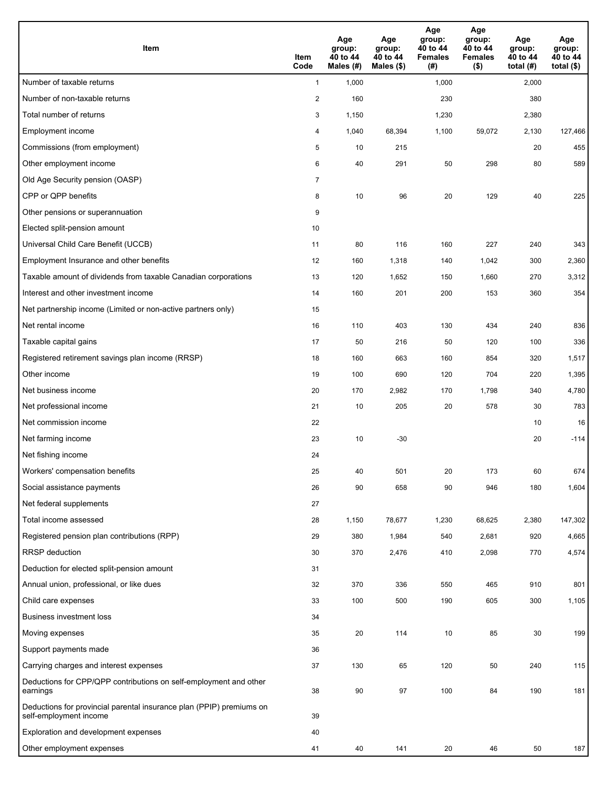| <b>Item</b>                                                                                    | Item<br>Code   | Age<br>group:<br>40 to 44<br>Males (#) | Age<br>group:<br>40 to 44<br>Males (\$) | Age<br>group:<br>40 to 44<br><b>Females</b><br>(#) | Age<br>group:<br>40 to 44<br><b>Females</b><br>$($ \$) | Age<br>group:<br>40 to 44<br>total $(H)$ | Age<br>group:<br>40 to 44<br>total $($)$ |
|------------------------------------------------------------------------------------------------|----------------|----------------------------------------|-----------------------------------------|----------------------------------------------------|--------------------------------------------------------|------------------------------------------|------------------------------------------|
| Number of taxable returns                                                                      | $\mathbf{1}$   | 1,000                                  |                                         | 1,000                                              |                                                        | 2,000                                    |                                          |
| Number of non-taxable returns                                                                  | $\overline{2}$ | 160                                    |                                         | 230                                                |                                                        | 380                                      |                                          |
| Total number of returns                                                                        | 3              | 1,150                                  |                                         | 1,230                                              |                                                        | 2,380                                    |                                          |
| Employment income                                                                              | 4              | 1,040                                  | 68,394                                  | 1,100                                              | 59,072                                                 | 2,130                                    | 127,466                                  |
| Commissions (from employment)                                                                  | 5              | 10                                     | 215                                     |                                                    |                                                        | 20                                       | 455                                      |
| Other employment income                                                                        | 6              | 40                                     | 291                                     | 50                                                 | 298                                                    | 80                                       | 589                                      |
| Old Age Security pension (OASP)                                                                | $\overline{7}$ |                                        |                                         |                                                    |                                                        |                                          |                                          |
| CPP or QPP benefits                                                                            | 8              | 10                                     | 96                                      | 20                                                 | 129                                                    | 40                                       | 225                                      |
| Other pensions or superannuation                                                               | 9              |                                        |                                         |                                                    |                                                        |                                          |                                          |
| Elected split-pension amount                                                                   | 10             |                                        |                                         |                                                    |                                                        |                                          |                                          |
| Universal Child Care Benefit (UCCB)                                                            | 11             | 80                                     | 116                                     | 160                                                | 227                                                    | 240                                      | 343                                      |
| Employment Insurance and other benefits                                                        | 12             | 160                                    | 1,318                                   | 140                                                | 1,042                                                  | 300                                      | 2,360                                    |
| Taxable amount of dividends from taxable Canadian corporations                                 | 13             | 120                                    | 1,652                                   | 150                                                | 1,660                                                  | 270                                      | 3,312                                    |
| Interest and other investment income                                                           | 14             | 160                                    | 201                                     | 200                                                | 153                                                    | 360                                      | 354                                      |
| Net partnership income (Limited or non-active partners only)                                   | 15             |                                        |                                         |                                                    |                                                        |                                          |                                          |
| Net rental income                                                                              | 16             | 110                                    | 403                                     | 130                                                | 434                                                    | 240                                      | 836                                      |
| Taxable capital gains                                                                          | 17             | 50                                     | 216                                     | 50                                                 | 120                                                    | 100                                      | 336                                      |
| Registered retirement savings plan income (RRSP)                                               | 18             | 160                                    | 663                                     | 160                                                | 854                                                    | 320                                      | 1,517                                    |
| Other income                                                                                   | 19             | 100                                    | 690                                     | 120                                                | 704                                                    | 220                                      | 1,395                                    |
| Net business income                                                                            | 20             | 170                                    | 2,982                                   | 170                                                | 1,798                                                  | 340                                      | 4,780                                    |
| Net professional income                                                                        | 21             | 10                                     | 205                                     | 20                                                 | 578                                                    | 30                                       | 783                                      |
| Net commission income                                                                          | 22             |                                        |                                         |                                                    |                                                        | 10                                       | 16                                       |
| Net farming income                                                                             | 23             | 10                                     | $-30$                                   |                                                    |                                                        | 20                                       | $-114$                                   |
| Net fishing income                                                                             | 24             |                                        |                                         |                                                    |                                                        |                                          |                                          |
| Workers' compensation benefits                                                                 | 25             | 40                                     | 501                                     | 20                                                 | 173                                                    | 60                                       | 674                                      |
| Social assistance payments                                                                     | 26             | 90                                     | 658                                     | 90                                                 | 946                                                    | 180                                      | 1,604                                    |
| Net federal supplements                                                                        | 27             |                                        |                                         |                                                    |                                                        |                                          |                                          |
| Total income assessed                                                                          | 28             | 1,150                                  | 78,677                                  | 1,230                                              | 68,625                                                 | 2,380                                    | 147,302                                  |
| Registered pension plan contributions (RPP)                                                    | 29             | 380                                    | 1,984                                   | 540                                                | 2,681                                                  | 920                                      | 4,665                                    |
| RRSP deduction                                                                                 | 30             | 370                                    | 2,476                                   | 410                                                | 2,098                                                  | 770                                      | 4,574                                    |
| Deduction for elected split-pension amount                                                     | 31             |                                        |                                         |                                                    |                                                        |                                          |                                          |
| Annual union, professional, or like dues                                                       | 32             | 370                                    | 336                                     | 550                                                | 465                                                    | 910                                      | 801                                      |
| Child care expenses                                                                            | 33             | 100                                    | 500                                     | 190                                                | 605                                                    | 300                                      | 1,105                                    |
| <b>Business investment loss</b>                                                                | 34             |                                        |                                         |                                                    |                                                        |                                          |                                          |
| Moving expenses                                                                                | 35             | 20                                     | 114                                     | 10                                                 | 85                                                     | 30                                       | 199                                      |
| Support payments made                                                                          | 36             |                                        |                                         |                                                    |                                                        |                                          |                                          |
| Carrying charges and interest expenses                                                         | 37             | 130                                    | 65                                      | 120                                                | 50                                                     | 240                                      | 115                                      |
| Deductions for CPP/QPP contributions on self-employment and other<br>earnings                  | 38             | 90                                     | 97                                      | 100                                                | 84                                                     | 190                                      | 181                                      |
| Deductions for provincial parental insurance plan (PPIP) premiums on<br>self-employment income | 39             |                                        |                                         |                                                    |                                                        |                                          |                                          |
| Exploration and development expenses                                                           | 40             |                                        |                                         |                                                    |                                                        |                                          |                                          |
| Other employment expenses                                                                      | 41             | 40                                     | 141                                     | 20                                                 | 46                                                     | 50                                       | 187                                      |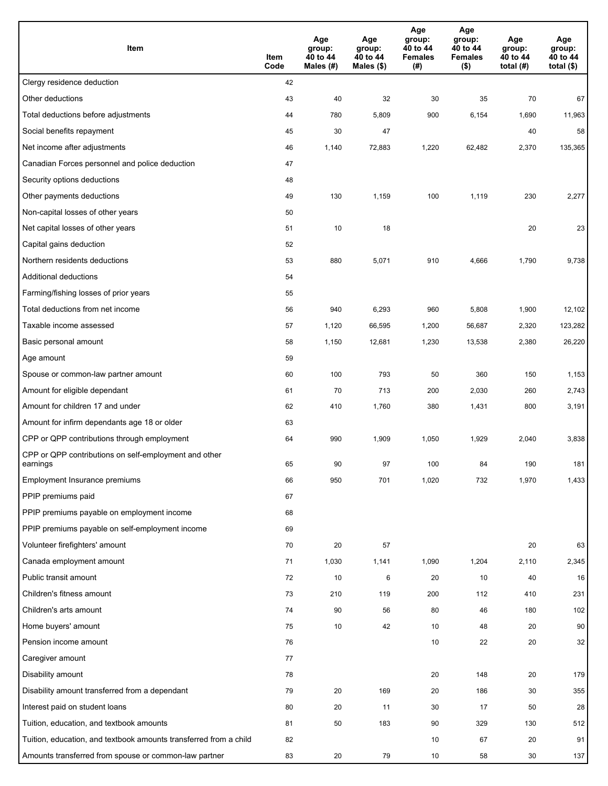| Item                                                              | Item<br>Code | Age<br>group:<br>40 to 44<br>Males (#) | Age<br>group:<br>40 to 44<br>Males (\$) | Age<br>group:<br>40 to 44<br><b>Females</b><br>(#) | Age<br>group:<br>40 to 44<br><b>Females</b><br>$($ \$) | Age<br>group:<br>40 to 44<br>total $(H)$ | Age<br>group:<br>40 to 44<br>total $($)$ |
|-------------------------------------------------------------------|--------------|----------------------------------------|-----------------------------------------|----------------------------------------------------|--------------------------------------------------------|------------------------------------------|------------------------------------------|
| Clergy residence deduction                                        | 42           |                                        |                                         |                                                    |                                                        |                                          |                                          |
| Other deductions                                                  | 43           | 40                                     | 32                                      | 30                                                 | 35                                                     | 70                                       | 67                                       |
| Total deductions before adjustments                               | 44           | 780                                    | 5,809                                   | 900                                                | 6,154                                                  | 1,690                                    | 11,963                                   |
| Social benefits repayment                                         | 45           | 30                                     | 47                                      |                                                    |                                                        | 40                                       | 58                                       |
| Net income after adjustments                                      | 46           | 1,140                                  | 72,883                                  | 1,220                                              | 62,482                                                 | 2,370                                    | 135,365                                  |
| Canadian Forces personnel and police deduction                    | 47           |                                        |                                         |                                                    |                                                        |                                          |                                          |
| Security options deductions                                       | 48           |                                        |                                         |                                                    |                                                        |                                          |                                          |
| Other payments deductions                                         | 49           | 130                                    | 1,159                                   | 100                                                | 1,119                                                  | 230                                      | 2,277                                    |
| Non-capital losses of other years                                 | 50           |                                        |                                         |                                                    |                                                        |                                          |                                          |
| Net capital losses of other years                                 | 51           | 10                                     | 18                                      |                                                    |                                                        | 20                                       | 23                                       |
| Capital gains deduction                                           | 52           |                                        |                                         |                                                    |                                                        |                                          |                                          |
| Northern residents deductions                                     | 53           | 880                                    | 5,071                                   | 910                                                | 4,666                                                  | 1,790                                    | 9,738                                    |
| Additional deductions                                             | 54           |                                        |                                         |                                                    |                                                        |                                          |                                          |
| Farming/fishing losses of prior years                             | 55           |                                        |                                         |                                                    |                                                        |                                          |                                          |
| Total deductions from net income                                  | 56           | 940                                    | 6,293                                   | 960                                                | 5,808                                                  | 1,900                                    | 12,102                                   |
| Taxable income assessed                                           | 57           | 1,120                                  | 66,595                                  | 1,200                                              | 56,687                                                 | 2,320                                    | 123,282                                  |
| Basic personal amount                                             | 58           | 1,150                                  | 12,681                                  | 1,230                                              | 13,538                                                 | 2,380                                    | 26,220                                   |
| Age amount                                                        | 59           |                                        |                                         |                                                    |                                                        |                                          |                                          |
| Spouse or common-law partner amount                               | 60           | 100                                    | 793                                     | 50                                                 | 360                                                    | 150                                      | 1,153                                    |
| Amount for eligible dependant                                     | 61           | 70                                     | 713                                     | 200                                                | 2,030                                                  | 260                                      | 2,743                                    |
| Amount for children 17 and under                                  | 62           | 410                                    | 1,760                                   | 380                                                | 1,431                                                  | 800                                      | 3,191                                    |
| Amount for infirm dependants age 18 or older                      | 63           |                                        |                                         |                                                    |                                                        |                                          |                                          |
| CPP or QPP contributions through employment                       | 64           | 990                                    | 1,909                                   | 1,050                                              | 1,929                                                  | 2,040                                    | 3,838                                    |
| CPP or QPP contributions on self-employment and other<br>earnings | 65           | 90                                     | 97                                      | 100                                                | 84                                                     | 190                                      | 181                                      |
| Employment Insurance premiums                                     | 66           | 950                                    | 701                                     | 1,020                                              | 732                                                    | 1,970                                    | 1,433                                    |
| PPIP premiums paid                                                | 67           |                                        |                                         |                                                    |                                                        |                                          |                                          |
| PPIP premiums payable on employment income                        | 68           |                                        |                                         |                                                    |                                                        |                                          |                                          |
| PPIP premiums payable on self-employment income                   | 69           |                                        |                                         |                                                    |                                                        |                                          |                                          |
| Volunteer firefighters' amount                                    | 70           | 20                                     | 57                                      |                                                    |                                                        | 20                                       | 63                                       |
| Canada employment amount                                          | 71           | 1,030                                  | 1,141                                   | 1,090                                              | 1,204                                                  | 2,110                                    | 2,345                                    |
| Public transit amount                                             | 72           | 10                                     | 6                                       | 20                                                 | 10                                                     | 40                                       | 16                                       |
| Children's fitness amount                                         | 73           | 210                                    | 119                                     | 200                                                | 112                                                    | 410                                      | 231                                      |
| Children's arts amount                                            | 74           | 90                                     | 56                                      | 80                                                 | 46                                                     | 180                                      | 102                                      |
| Home buyers' amount                                               | 75           | 10                                     | 42                                      | 10                                                 | 48                                                     | 20                                       | 90                                       |
| Pension income amount                                             | 76           |                                        |                                         | 10                                                 | 22                                                     | 20                                       | 32                                       |
| Caregiver amount                                                  | 77           |                                        |                                         |                                                    |                                                        |                                          |                                          |
| Disability amount                                                 | 78           |                                        |                                         | 20                                                 | 148                                                    | 20                                       | 179                                      |
| Disability amount transferred from a dependant                    | 79           | 20                                     | 169                                     | 20                                                 | 186                                                    | 30                                       | 355                                      |
| Interest paid on student loans                                    | 80           | 20                                     | 11                                      | 30                                                 | 17                                                     | 50                                       | 28                                       |
| Tuition, education, and textbook amounts                          | 81           | 50                                     | 183                                     | 90                                                 | 329                                                    | 130                                      | 512                                      |
| Tuition, education, and textbook amounts transferred from a child | 82           |                                        |                                         | 10                                                 | 67                                                     | 20                                       | 91                                       |
| Amounts transferred from spouse or common-law partner             | 83           | 20                                     | 79                                      | 10                                                 | 58                                                     | 30                                       | 137                                      |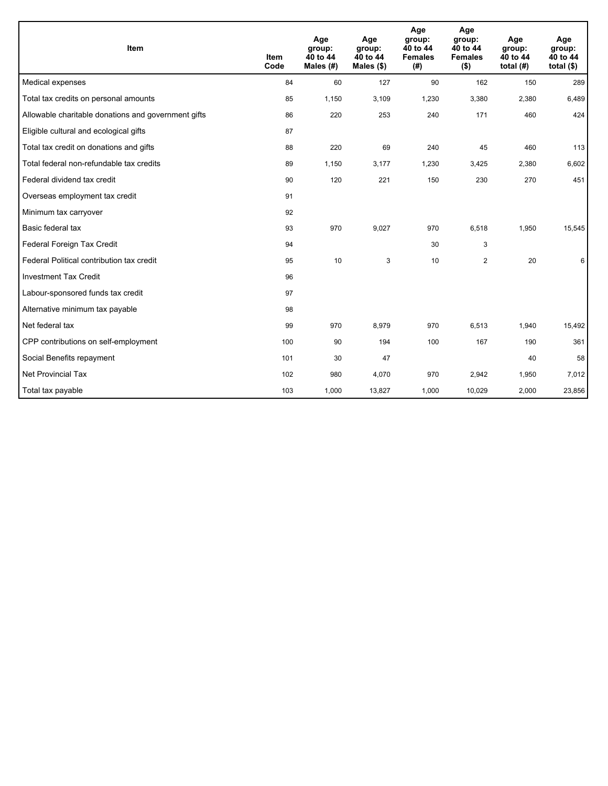| Item                                                | <b>Item</b><br>Code | Age<br>group:<br>40 to 44<br>Males $(H)$ | Age<br>group:<br>40 to 44<br>Males $(\$)$ | Age<br>group:<br>40 to 44<br><b>Females</b><br>(#) | Age<br>group:<br>40 to 44<br><b>Females</b><br>$($ \$) | Age<br>group:<br>40 to 44<br>total $(H)$ | Age<br>group:<br>40 to 44<br>total $(§)$ |
|-----------------------------------------------------|---------------------|------------------------------------------|-------------------------------------------|----------------------------------------------------|--------------------------------------------------------|------------------------------------------|------------------------------------------|
| Medical expenses                                    | 84                  | 60                                       | 127                                       | 90                                                 | 162                                                    | 150                                      | 289                                      |
| Total tax credits on personal amounts               | 85                  | 1,150                                    | 3,109                                     | 1,230                                              | 3,380                                                  | 2,380                                    | 6,489                                    |
| Allowable charitable donations and government gifts | 86                  | 220                                      | 253                                       | 240                                                | 171                                                    | 460                                      | 424                                      |
| Eligible cultural and ecological gifts              | 87                  |                                          |                                           |                                                    |                                                        |                                          |                                          |
| Total tax credit on donations and gifts             | 88                  | 220                                      | 69                                        | 240                                                | 45                                                     | 460                                      | 113                                      |
| Total federal non-refundable tax credits            | 89                  | 1,150                                    | 3,177                                     | 1,230                                              | 3,425                                                  | 2,380                                    | 6,602                                    |
| Federal dividend tax credit                         | 90                  | 120                                      | 221                                       | 150                                                | 230                                                    | 270                                      | 451                                      |
| Overseas employment tax credit                      | 91                  |                                          |                                           |                                                    |                                                        |                                          |                                          |
| Minimum tax carryover                               | 92                  |                                          |                                           |                                                    |                                                        |                                          |                                          |
| Basic federal tax                                   | 93                  | 970                                      | 9,027                                     | 970                                                | 6,518                                                  | 1,950                                    | 15,545                                   |
| Federal Foreign Tax Credit                          | 94                  |                                          |                                           | 30                                                 | 3                                                      |                                          |                                          |
| Federal Political contribution tax credit           | 95                  | 10                                       | 3                                         | 10                                                 | $\overline{2}$                                         | 20                                       | 6                                        |
| <b>Investment Tax Credit</b>                        | 96                  |                                          |                                           |                                                    |                                                        |                                          |                                          |
| Labour-sponsored funds tax credit                   | 97                  |                                          |                                           |                                                    |                                                        |                                          |                                          |
| Alternative minimum tax payable                     | 98                  |                                          |                                           |                                                    |                                                        |                                          |                                          |
| Net federal tax                                     | 99                  | 970                                      | 8,979                                     | 970                                                | 6,513                                                  | 1,940                                    | 15,492                                   |
| CPP contributions on self-employment                | 100                 | 90                                       | 194                                       | 100                                                | 167                                                    | 190                                      | 361                                      |
| Social Benefits repayment                           | 101                 | 30                                       | 47                                        |                                                    |                                                        | 40                                       | 58                                       |
| Net Provincial Tax                                  | 102                 | 980                                      | 4,070                                     | 970                                                | 2,942                                                  | 1,950                                    | 7,012                                    |
| Total tax payable                                   | 103                 | 1,000                                    | 13,827                                    | 1,000                                              | 10,029                                                 | 2,000                                    | 23,856                                   |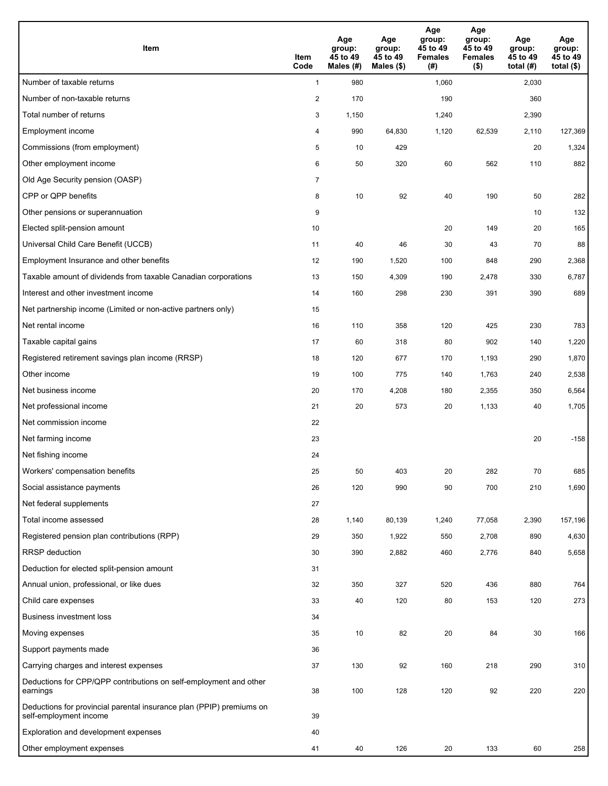| <b>Item</b>                                                                                    | Item<br>Code            | Age<br>group:<br>45 to 49<br>Males (#) | Age<br>group:<br>45 to 49<br>Males (\$) | Age<br>group:<br>45 to 49<br><b>Females</b><br>(#) | Age<br>group:<br>45 to 49<br><b>Females</b><br>$($ \$) | Age<br>group:<br>45 to 49<br>total (#) | Age<br>group:<br>45 to 49<br>total $($)$ |
|------------------------------------------------------------------------------------------------|-------------------------|----------------------------------------|-----------------------------------------|----------------------------------------------------|--------------------------------------------------------|----------------------------------------|------------------------------------------|
| Number of taxable returns                                                                      | $\mathbf{1}$            | 980                                    |                                         | 1,060                                              |                                                        | 2,030                                  |                                          |
| Number of non-taxable returns                                                                  | $\overline{\mathbf{c}}$ | 170                                    |                                         | 190                                                |                                                        | 360                                    |                                          |
| Total number of returns                                                                        | 3                       | 1,150                                  |                                         | 1,240                                              |                                                        | 2,390                                  |                                          |
| Employment income                                                                              | 4                       | 990                                    | 64,830                                  | 1,120                                              | 62,539                                                 | 2,110                                  | 127,369                                  |
| Commissions (from employment)                                                                  | 5                       | 10                                     | 429                                     |                                                    |                                                        | 20                                     | 1,324                                    |
| Other employment income                                                                        | 6                       | 50                                     | 320                                     | 60                                                 | 562                                                    | 110                                    | 882                                      |
| Old Age Security pension (OASP)                                                                | $\overline{7}$          |                                        |                                         |                                                    |                                                        |                                        |                                          |
| CPP or QPP benefits                                                                            | 8                       | 10                                     | 92                                      | 40                                                 | 190                                                    | 50                                     | 282                                      |
| Other pensions or superannuation                                                               | 9                       |                                        |                                         |                                                    |                                                        | 10                                     | 132                                      |
| Elected split-pension amount                                                                   | 10                      |                                        |                                         | 20                                                 | 149                                                    | 20                                     | 165                                      |
| Universal Child Care Benefit (UCCB)                                                            | 11                      | 40                                     | 46                                      | 30                                                 | 43                                                     | 70                                     | 88                                       |
| Employment Insurance and other benefits                                                        | 12                      | 190                                    | 1,520                                   | 100                                                | 848                                                    | 290                                    | 2,368                                    |
| Taxable amount of dividends from taxable Canadian corporations                                 | 13                      | 150                                    | 4,309                                   | 190                                                | 2,478                                                  | 330                                    | 6,787                                    |
| Interest and other investment income                                                           | 14                      | 160                                    | 298                                     | 230                                                | 391                                                    | 390                                    | 689                                      |
| Net partnership income (Limited or non-active partners only)                                   | 15                      |                                        |                                         |                                                    |                                                        |                                        |                                          |
| Net rental income                                                                              | 16                      | 110                                    | 358                                     | 120                                                | 425                                                    | 230                                    | 783                                      |
| Taxable capital gains                                                                          | 17                      | 60                                     | 318                                     | 80                                                 | 902                                                    | 140                                    | 1,220                                    |
| Registered retirement savings plan income (RRSP)                                               | 18                      | 120                                    | 677                                     | 170                                                | 1,193                                                  | 290                                    | 1,870                                    |
| Other income                                                                                   | 19                      | 100                                    | 775                                     | 140                                                | 1,763                                                  | 240                                    | 2,538                                    |
| Net business income                                                                            | 20                      | 170                                    | 4,208                                   | 180                                                | 2,355                                                  | 350                                    | 6,564                                    |
| Net professional income                                                                        | 21                      | 20                                     | 573                                     | 20                                                 | 1,133                                                  | 40                                     | 1,705                                    |
| Net commission income                                                                          | 22                      |                                        |                                         |                                                    |                                                        |                                        |                                          |
| Net farming income                                                                             | 23                      |                                        |                                         |                                                    |                                                        | 20                                     | $-158$                                   |
| Net fishing income                                                                             | 24                      |                                        |                                         |                                                    |                                                        |                                        |                                          |
| Workers' compensation benefits                                                                 | 25                      | 50                                     | 403                                     | 20                                                 | 282                                                    | 70                                     | 685                                      |
| Social assistance payments                                                                     | 26                      | 120                                    | 990                                     | 90                                                 | 700                                                    | 210                                    | 1,690                                    |
| Net federal supplements                                                                        | 27                      |                                        |                                         |                                                    |                                                        |                                        |                                          |
| Total income assessed                                                                          | 28                      | 1,140                                  | 80,139                                  | 1,240                                              | 77,058                                                 | 2,390                                  | 157,196                                  |
| Registered pension plan contributions (RPP)                                                    | 29                      | 350                                    | 1,922                                   | 550                                                | 2,708                                                  | 890                                    | 4,630                                    |
| RRSP deduction                                                                                 | 30                      | 390                                    | 2,882                                   | 460                                                | 2,776                                                  | 840                                    | 5,658                                    |
| Deduction for elected split-pension amount                                                     | 31                      |                                        |                                         |                                                    |                                                        |                                        |                                          |
| Annual union, professional, or like dues                                                       | 32                      | 350                                    | 327                                     | 520                                                | 436                                                    | 880                                    | 764                                      |
| Child care expenses                                                                            | 33                      | 40                                     | 120                                     | 80                                                 | 153                                                    | 120                                    | 273                                      |
| <b>Business investment loss</b>                                                                | 34                      |                                        |                                         |                                                    |                                                        |                                        |                                          |
| Moving expenses                                                                                | 35                      | 10                                     | 82                                      | 20                                                 | 84                                                     | 30                                     | 166                                      |
| Support payments made                                                                          | 36                      |                                        |                                         |                                                    |                                                        |                                        |                                          |
| Carrying charges and interest expenses                                                         | 37                      | 130                                    | 92                                      | 160                                                | 218                                                    | 290                                    | 310                                      |
| Deductions for CPP/QPP contributions on self-employment and other<br>earnings                  | 38                      | 100                                    | 128                                     | 120                                                | 92                                                     | 220                                    | 220                                      |
| Deductions for provincial parental insurance plan (PPIP) premiums on<br>self-employment income | 39                      |                                        |                                         |                                                    |                                                        |                                        |                                          |
| Exploration and development expenses                                                           | 40                      |                                        |                                         |                                                    |                                                        |                                        |                                          |
| Other employment expenses                                                                      | 41                      | 40                                     | 126                                     | 20                                                 | 133                                                    | 60                                     | 258                                      |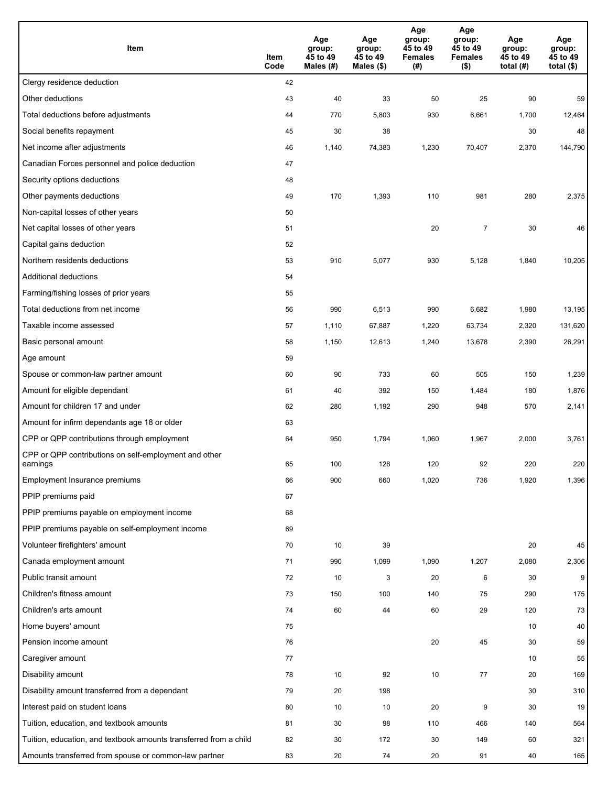| Item                                                              | Item<br>Code | Age<br>group:<br>45 to 49<br>Males (#) | Age<br>group:<br>45 to 49<br>Males (\$) | Age<br>group:<br>45 to 49<br><b>Females</b><br>(#) | Age<br>group:<br>45 to 49<br><b>Females</b><br>$($ \$) | Age<br>group:<br>45 to 49<br>total (#) | Age<br>group:<br>45 to 49<br>total $($)$ |
|-------------------------------------------------------------------|--------------|----------------------------------------|-----------------------------------------|----------------------------------------------------|--------------------------------------------------------|----------------------------------------|------------------------------------------|
| Clergy residence deduction                                        | 42           |                                        |                                         |                                                    |                                                        |                                        |                                          |
| Other deductions                                                  | 43           | 40                                     | 33                                      | 50                                                 | 25                                                     | 90                                     | 59                                       |
| Total deductions before adjustments                               | 44           | 770                                    | 5,803                                   | 930                                                | 6,661                                                  | 1,700                                  | 12,464                                   |
| Social benefits repayment                                         | 45           | 30                                     | 38                                      |                                                    |                                                        | 30                                     | 48                                       |
| Net income after adjustments                                      | 46           | 1,140                                  | 74,383                                  | 1,230                                              | 70,407                                                 | 2,370                                  | 144,790                                  |
| Canadian Forces personnel and police deduction                    | 47           |                                        |                                         |                                                    |                                                        |                                        |                                          |
| Security options deductions                                       | 48           |                                        |                                         |                                                    |                                                        |                                        |                                          |
| Other payments deductions                                         | 49           | 170                                    | 1,393                                   | 110                                                | 981                                                    | 280                                    | 2,375                                    |
| Non-capital losses of other years                                 | 50           |                                        |                                         |                                                    |                                                        |                                        |                                          |
| Net capital losses of other years                                 | 51           |                                        |                                         | 20                                                 | $\overline{7}$                                         | 30                                     | 46                                       |
| Capital gains deduction                                           | 52           |                                        |                                         |                                                    |                                                        |                                        |                                          |
| Northern residents deductions                                     | 53           | 910                                    | 5,077                                   | 930                                                | 5,128                                                  | 1,840                                  | 10,205                                   |
| Additional deductions                                             | 54           |                                        |                                         |                                                    |                                                        |                                        |                                          |
| Farming/fishing losses of prior years                             | 55           |                                        |                                         |                                                    |                                                        |                                        |                                          |
| Total deductions from net income                                  | 56           | 990                                    | 6,513                                   | 990                                                | 6,682                                                  | 1,980                                  | 13,195                                   |
| Taxable income assessed                                           | 57           | 1,110                                  | 67,887                                  | 1,220                                              | 63,734                                                 | 2,320                                  | 131,620                                  |
| Basic personal amount                                             | 58           | 1,150                                  | 12,613                                  | 1,240                                              | 13,678                                                 | 2,390                                  | 26,291                                   |
| Age amount                                                        | 59           |                                        |                                         |                                                    |                                                        |                                        |                                          |
| Spouse or common-law partner amount                               | 60           | 90                                     | 733                                     | 60                                                 | 505                                                    | 150                                    | 1,239                                    |
| Amount for eligible dependant                                     | 61           | 40                                     | 392                                     | 150                                                | 1,484                                                  | 180                                    | 1,876                                    |
| Amount for children 17 and under                                  | 62           | 280                                    | 1,192                                   | 290                                                | 948                                                    | 570                                    | 2,141                                    |
| Amount for infirm dependants age 18 or older                      | 63           |                                        |                                         |                                                    |                                                        |                                        |                                          |
| CPP or QPP contributions through employment                       | 64           | 950                                    | 1,794                                   | 1,060                                              | 1,967                                                  | 2,000                                  | 3,761                                    |
| CPP or QPP contributions on self-employment and other<br>earnings | 65           | 100                                    | 128                                     | 120                                                | 92                                                     | 220                                    | 220                                      |
| Employment Insurance premiums                                     | 66           | 900                                    | 660                                     | 1,020                                              | 736                                                    | 1,920                                  | 1,396                                    |
| PPIP premiums paid                                                | 67           |                                        |                                         |                                                    |                                                        |                                        |                                          |
| PPIP premiums payable on employment income                        | 68           |                                        |                                         |                                                    |                                                        |                                        |                                          |
| PPIP premiums payable on self-employment income                   | 69           |                                        |                                         |                                                    |                                                        |                                        |                                          |
| Volunteer firefighters' amount                                    | 70           | 10                                     | 39                                      |                                                    |                                                        | 20                                     | 45                                       |
| Canada employment amount                                          | 71           | 990                                    | 1,099                                   | 1,090                                              | 1,207                                                  | 2,080                                  | 2,306                                    |
| Public transit amount                                             | 72           | 10                                     | 3                                       | 20                                                 | 6                                                      | 30                                     | 9                                        |
| Children's fitness amount                                         | 73           | 150                                    | 100                                     | 140                                                | 75                                                     | 290                                    | 175                                      |
| Children's arts amount                                            | 74           | 60                                     | 44                                      | 60                                                 | 29                                                     | 120                                    | 73                                       |
| Home buyers' amount                                               | 75           |                                        |                                         |                                                    |                                                        | 10                                     | 40                                       |
| Pension income amount                                             | 76           |                                        |                                         | 20                                                 | 45                                                     | 30                                     | 59                                       |
| Caregiver amount                                                  | 77           |                                        |                                         |                                                    |                                                        | 10                                     | 55                                       |
| Disability amount                                                 | 78           | 10                                     | 92                                      | 10                                                 | 77                                                     | 20                                     | 169                                      |
| Disability amount transferred from a dependant                    | 79           | 20                                     | 198                                     |                                                    |                                                        | 30                                     | 310                                      |
| Interest paid on student loans                                    | 80           | 10                                     | 10                                      | 20                                                 | 9                                                      | 30                                     | 19                                       |
| Tuition, education, and textbook amounts                          | 81           | 30                                     | 98                                      | 110                                                | 466                                                    | 140                                    | 564                                      |
| Tuition, education, and textbook amounts transferred from a child | 82           | 30                                     | 172                                     | 30                                                 | 149                                                    | 60                                     | 321                                      |
| Amounts transferred from spouse or common-law partner             | 83           | 20                                     | 74                                      | 20                                                 | 91                                                     | 40                                     | 165                                      |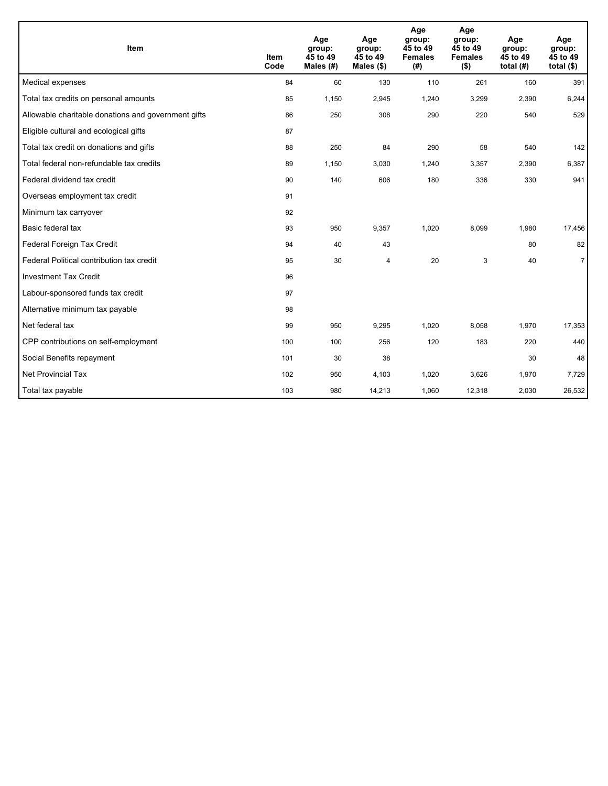| Item                                                | <b>Item</b><br>Code | Age<br>group:<br>45 to 49<br>Males (#) | Age<br>group:<br>45 to 49<br>Males $(\$)$ | Age<br>group:<br>45 to 49<br><b>Females</b><br>(# ) | Age<br>group:<br>45 to 49<br><b>Females</b><br>$($ \$) | Age<br>group:<br>45 to 49<br>total $(H)$ | Age<br>group:<br>45 to 49<br>total $($)$ |
|-----------------------------------------------------|---------------------|----------------------------------------|-------------------------------------------|-----------------------------------------------------|--------------------------------------------------------|------------------------------------------|------------------------------------------|
| Medical expenses                                    | 84                  | 60                                     | 130                                       | 110                                                 | 261                                                    | 160                                      | 391                                      |
| Total tax credits on personal amounts               | 85                  | 1,150                                  | 2,945                                     | 1,240                                               | 3,299                                                  | 2,390                                    | 6,244                                    |
| Allowable charitable donations and government gifts | 86                  | 250                                    | 308                                       | 290                                                 | 220                                                    | 540                                      | 529                                      |
| Eligible cultural and ecological gifts              | 87                  |                                        |                                           |                                                     |                                                        |                                          |                                          |
| Total tax credit on donations and gifts             | 88                  | 250                                    | 84                                        | 290                                                 | 58                                                     | 540                                      | 142                                      |
| Total federal non-refundable tax credits            | 89                  | 1,150                                  | 3,030                                     | 1,240                                               | 3,357                                                  | 2,390                                    | 6,387                                    |
| Federal dividend tax credit                         | 90                  | 140                                    | 606                                       | 180                                                 | 336                                                    | 330                                      | 941                                      |
| Overseas employment tax credit                      | 91                  |                                        |                                           |                                                     |                                                        |                                          |                                          |
| Minimum tax carryover                               | 92                  |                                        |                                           |                                                     |                                                        |                                          |                                          |
| Basic federal tax                                   | 93                  | 950                                    | 9,357                                     | 1,020                                               | 8,099                                                  | 1,980                                    | 17,456                                   |
| Federal Foreign Tax Credit                          | 94                  | 40                                     | 43                                        |                                                     |                                                        | 80                                       | 82                                       |
| Federal Political contribution tax credit           | 95                  | 30                                     | 4                                         | 20                                                  | 3                                                      | 40                                       | $\overline{7}$                           |
| <b>Investment Tax Credit</b>                        | 96                  |                                        |                                           |                                                     |                                                        |                                          |                                          |
| Labour-sponsored funds tax credit                   | 97                  |                                        |                                           |                                                     |                                                        |                                          |                                          |
| Alternative minimum tax payable                     | 98                  |                                        |                                           |                                                     |                                                        |                                          |                                          |
| Net federal tax                                     | 99                  | 950                                    | 9,295                                     | 1,020                                               | 8,058                                                  | 1,970                                    | 17,353                                   |
| CPP contributions on self-employment                | 100                 | 100                                    | 256                                       | 120                                                 | 183                                                    | 220                                      | 440                                      |
| Social Benefits repayment                           | 101                 | 30                                     | 38                                        |                                                     |                                                        | 30                                       | 48                                       |
| <b>Net Provincial Tax</b>                           | 102                 | 950                                    | 4,103                                     | 1,020                                               | 3,626                                                  | 1,970                                    | 7,729                                    |
| Total tax payable                                   | 103                 | 980                                    | 14,213                                    | 1,060                                               | 12,318                                                 | 2,030                                    | 26,532                                   |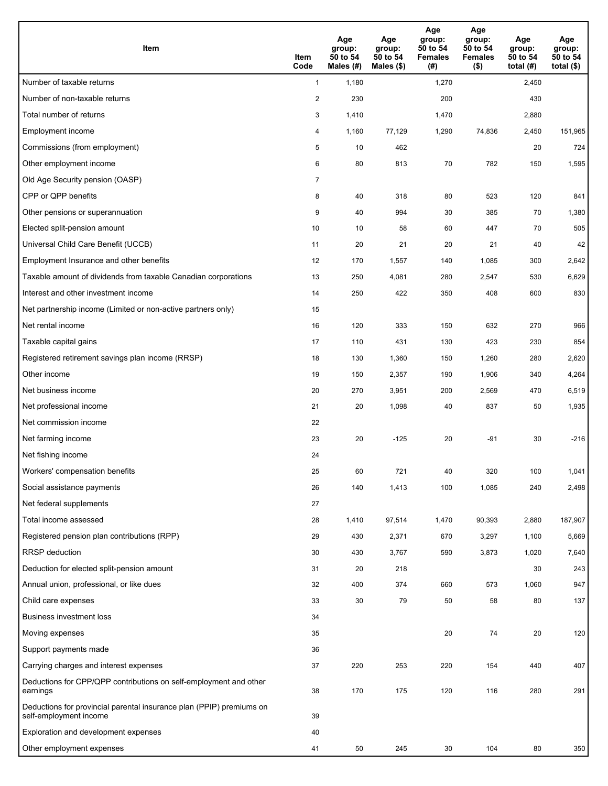| <b>Item</b>                                                                                    | Item<br>Code            | Age<br>group:<br>50 to 54<br>Males (#) | Age<br>group:<br>50 to 54<br>Males (\$) | Age<br>group:<br>50 to 54<br><b>Females</b><br>(#) | Age<br>group:<br>50 to 54<br><b>Females</b><br>$($ \$) | Age<br>group:<br>50 to 54<br>total $(H)$ | Age<br>group:<br>50 to 54<br>total $($)$ |
|------------------------------------------------------------------------------------------------|-------------------------|----------------------------------------|-----------------------------------------|----------------------------------------------------|--------------------------------------------------------|------------------------------------------|------------------------------------------|
| Number of taxable returns                                                                      | $\mathbf{1}$            | 1,180                                  |                                         | 1,270                                              |                                                        | 2,450                                    |                                          |
| Number of non-taxable returns                                                                  | $\overline{\mathbf{c}}$ | 230                                    |                                         | 200                                                |                                                        | 430                                      |                                          |
| Total number of returns                                                                        | 3                       | 1,410                                  |                                         | 1,470                                              |                                                        | 2,880                                    |                                          |
| Employment income                                                                              | 4                       | 1,160                                  | 77,129                                  | 1,290                                              | 74,836                                                 | 2,450                                    | 151,965                                  |
| Commissions (from employment)                                                                  | 5                       | 10                                     | 462                                     |                                                    |                                                        | 20                                       | 724                                      |
| Other employment income                                                                        | 6                       | 80                                     | 813                                     | 70                                                 | 782                                                    | 150                                      | 1,595                                    |
| Old Age Security pension (OASP)                                                                | $\overline{7}$          |                                        |                                         |                                                    |                                                        |                                          |                                          |
| CPP or QPP benefits                                                                            | 8                       | 40                                     | 318                                     | 80                                                 | 523                                                    | 120                                      | 841                                      |
| Other pensions or superannuation                                                               | 9                       | 40                                     | 994                                     | 30                                                 | 385                                                    | 70                                       | 1,380                                    |
| Elected split-pension amount                                                                   | 10                      | 10                                     | 58                                      | 60                                                 | 447                                                    | 70                                       | 505                                      |
| Universal Child Care Benefit (UCCB)                                                            | 11                      | 20                                     | 21                                      | 20                                                 | 21                                                     | 40                                       | 42                                       |
| Employment Insurance and other benefits                                                        | 12                      | 170                                    | 1,557                                   | 140                                                | 1,085                                                  | 300                                      | 2,642                                    |
| Taxable amount of dividends from taxable Canadian corporations                                 | 13                      | 250                                    | 4,081                                   | 280                                                | 2,547                                                  | 530                                      | 6,629                                    |
| Interest and other investment income                                                           | 14                      | 250                                    | 422                                     | 350                                                | 408                                                    | 600                                      | 830                                      |
| Net partnership income (Limited or non-active partners only)                                   | 15                      |                                        |                                         |                                                    |                                                        |                                          |                                          |
| Net rental income                                                                              | 16                      | 120                                    | 333                                     | 150                                                | 632                                                    | 270                                      | 966                                      |
| Taxable capital gains                                                                          | 17                      | 110                                    | 431                                     | 130                                                | 423                                                    | 230                                      | 854                                      |
| Registered retirement savings plan income (RRSP)                                               | 18                      | 130                                    | 1,360                                   | 150                                                | 1,260                                                  | 280                                      | 2,620                                    |
| Other income                                                                                   | 19                      | 150                                    | 2,357                                   | 190                                                | 1,906                                                  | 340                                      | 4,264                                    |
| Net business income                                                                            | 20                      | 270                                    | 3,951                                   | 200                                                | 2,569                                                  | 470                                      | 6,519                                    |
| Net professional income                                                                        | 21                      | 20                                     | 1,098                                   | 40                                                 | 837                                                    | 50                                       | 1,935                                    |
| Net commission income                                                                          | 22                      |                                        |                                         |                                                    |                                                        |                                          |                                          |
| Net farming income                                                                             | 23                      | 20                                     | $-125$                                  | 20                                                 | $-91$                                                  | 30                                       | $-216$                                   |
| Net fishing income                                                                             | 24                      |                                        |                                         |                                                    |                                                        |                                          |                                          |
| Workers' compensation benefits                                                                 | 25                      | 60                                     | 721                                     | 40                                                 | 320                                                    | 100                                      | 1,041                                    |
| Social assistance payments                                                                     | 26                      | 140                                    | 1,413                                   | 100                                                | 1,085                                                  | 240                                      | 2,498                                    |
| Net federal supplements                                                                        | 27                      |                                        |                                         |                                                    |                                                        |                                          |                                          |
| Total income assessed                                                                          | 28                      | 1,410                                  | 97,514                                  | 1,470                                              | 90,393                                                 | 2,880                                    | 187,907                                  |
| Registered pension plan contributions (RPP)                                                    | 29                      | 430                                    | 2,371                                   | 670                                                | 3,297                                                  | 1,100                                    | 5,669                                    |
| RRSP deduction                                                                                 | 30                      | 430                                    | 3,767                                   | 590                                                | 3,873                                                  | 1,020                                    | 7,640                                    |
| Deduction for elected split-pension amount                                                     | 31                      | 20                                     | 218                                     |                                                    |                                                        | 30                                       | 243                                      |
| Annual union, professional, or like dues                                                       | 32                      | 400                                    | 374                                     | 660                                                | 573                                                    | 1,060                                    | 947                                      |
| Child care expenses                                                                            | 33                      | 30                                     | 79                                      | 50                                                 | 58                                                     | 80                                       | 137                                      |
| <b>Business investment loss</b>                                                                | 34                      |                                        |                                         |                                                    |                                                        |                                          |                                          |
| Moving expenses                                                                                | 35                      |                                        |                                         | 20                                                 | 74                                                     | 20                                       | 120                                      |
| Support payments made                                                                          | 36                      |                                        |                                         |                                                    |                                                        |                                          |                                          |
| Carrying charges and interest expenses                                                         | 37                      | 220                                    | 253                                     | 220                                                | 154                                                    | 440                                      | 407                                      |
| Deductions for CPP/QPP contributions on self-employment and other<br>earnings                  | 38                      | 170                                    | 175                                     | 120                                                | 116                                                    | 280                                      | 291                                      |
| Deductions for provincial parental insurance plan (PPIP) premiums on<br>self-employment income | 39                      |                                        |                                         |                                                    |                                                        |                                          |                                          |
| Exploration and development expenses                                                           | 40                      |                                        |                                         |                                                    |                                                        |                                          |                                          |
| Other employment expenses                                                                      | 41                      | 50                                     | 245                                     | 30                                                 | 104                                                    | 80                                       | 350                                      |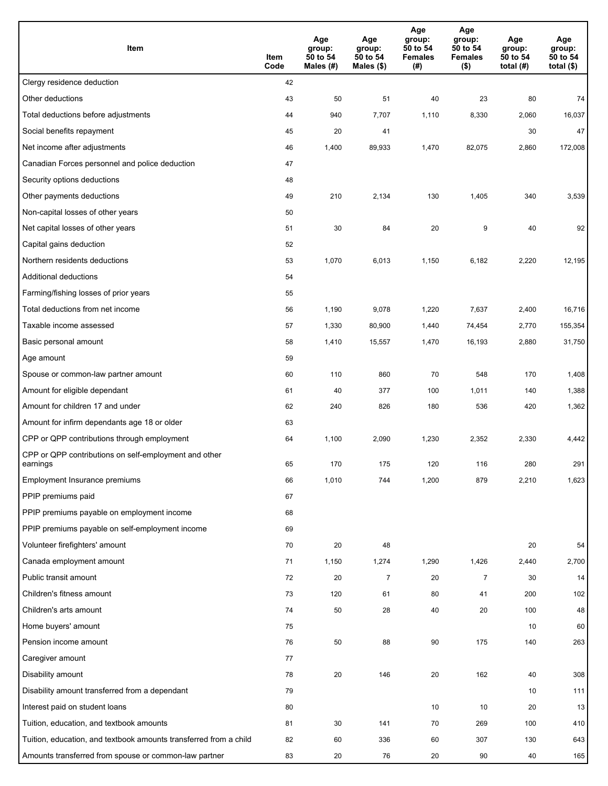| Item                                                              | Item<br>Code | Age<br>group:<br>50 to 54<br>Males (#) | Age<br>group:<br>50 to 54<br>Males (\$) | Age<br>group:<br>50 to 54<br><b>Females</b><br>(#) | Age<br>group:<br>50 to 54<br><b>Females</b><br>$($ \$) | Age<br>group:<br>50 to 54<br>total $(H)$ | Age<br>group:<br>50 to 54<br>total $($)$ |
|-------------------------------------------------------------------|--------------|----------------------------------------|-----------------------------------------|----------------------------------------------------|--------------------------------------------------------|------------------------------------------|------------------------------------------|
| Clergy residence deduction                                        | 42           |                                        |                                         |                                                    |                                                        |                                          |                                          |
| Other deductions                                                  | 43           | 50                                     | 51                                      | 40                                                 | 23                                                     | 80                                       | 74                                       |
| Total deductions before adjustments                               | 44           | 940                                    | 7,707                                   | 1,110                                              | 8,330                                                  | 2,060                                    | 16,037                                   |
| Social benefits repayment                                         | 45           | 20                                     | 41                                      |                                                    |                                                        | 30                                       | 47                                       |
| Net income after adjustments                                      | 46           | 1,400                                  | 89,933                                  | 1,470                                              | 82,075                                                 | 2,860                                    | 172,008                                  |
| Canadian Forces personnel and police deduction                    | 47           |                                        |                                         |                                                    |                                                        |                                          |                                          |
| Security options deductions                                       | 48           |                                        |                                         |                                                    |                                                        |                                          |                                          |
| Other payments deductions                                         | 49           | 210                                    | 2,134                                   | 130                                                | 1,405                                                  | 340                                      | 3,539                                    |
| Non-capital losses of other years                                 | 50           |                                        |                                         |                                                    |                                                        |                                          |                                          |
| Net capital losses of other years                                 | 51           | 30                                     | 84                                      | 20                                                 | 9                                                      | 40                                       | 92                                       |
| Capital gains deduction                                           | 52           |                                        |                                         |                                                    |                                                        |                                          |                                          |
| Northern residents deductions                                     | 53           | 1,070                                  | 6,013                                   | 1,150                                              | 6,182                                                  | 2,220                                    | 12,195                                   |
| Additional deductions                                             | 54           |                                        |                                         |                                                    |                                                        |                                          |                                          |
| Farming/fishing losses of prior years                             | 55           |                                        |                                         |                                                    |                                                        |                                          |                                          |
| Total deductions from net income                                  | 56           | 1,190                                  | 9,078                                   | 1,220                                              | 7,637                                                  | 2,400                                    | 16,716                                   |
| Taxable income assessed                                           | 57           | 1,330                                  | 80,900                                  | 1,440                                              | 74,454                                                 | 2,770                                    | 155,354                                  |
| Basic personal amount                                             | 58           | 1,410                                  | 15,557                                  | 1,470                                              | 16,193                                                 | 2,880                                    | 31,750                                   |
| Age amount                                                        | 59           |                                        |                                         |                                                    |                                                        |                                          |                                          |
| Spouse or common-law partner amount                               | 60           | 110                                    | 860                                     | 70                                                 | 548                                                    | 170                                      | 1,408                                    |
| Amount for eligible dependant                                     | 61           | 40                                     | 377                                     | 100                                                | 1,011                                                  | 140                                      | 1,388                                    |
| Amount for children 17 and under                                  | 62           | 240                                    | 826                                     | 180                                                | 536                                                    | 420                                      | 1,362                                    |
| Amount for infirm dependants age 18 or older                      | 63           |                                        |                                         |                                                    |                                                        |                                          |                                          |
| CPP or QPP contributions through employment                       | 64           | 1,100                                  | 2,090                                   | 1,230                                              | 2,352                                                  | 2,330                                    | 4,442                                    |
| CPP or QPP contributions on self-employment and other<br>earnings | 65           | 170                                    | 175                                     | 120                                                | 116                                                    | 280                                      | 291                                      |
| Employment Insurance premiums                                     | 66           | 1,010                                  | 744                                     | 1,200                                              | 879                                                    | 2,210                                    | 1,623                                    |
| PPIP premiums paid                                                | 67           |                                        |                                         |                                                    |                                                        |                                          |                                          |
| PPIP premiums payable on employment income                        | 68           |                                        |                                         |                                                    |                                                        |                                          |                                          |
| PPIP premiums payable on self-employment income                   | 69           |                                        |                                         |                                                    |                                                        |                                          |                                          |
| Volunteer firefighters' amount                                    | 70           | 20                                     | 48                                      |                                                    |                                                        | 20                                       | 54                                       |
| Canada employment amount                                          | 71           | 1,150                                  | 1,274                                   | 1,290                                              | 1,426                                                  | 2,440                                    | 2,700                                    |
| Public transit amount                                             | 72           | 20                                     | 7                                       | 20                                                 | $\overline{7}$                                         | 30                                       | 14                                       |
| Children's fitness amount                                         | 73           | 120                                    | 61                                      | 80                                                 | 41                                                     | 200                                      | 102                                      |
| Children's arts amount                                            | 74           | 50                                     | 28                                      | 40                                                 | 20                                                     | 100                                      | 48                                       |
| Home buyers' amount                                               | 75           |                                        |                                         |                                                    |                                                        | 10                                       | 60                                       |
| Pension income amount                                             | 76           | 50                                     | 88                                      | 90                                                 | 175                                                    | 140                                      | 263                                      |
| Caregiver amount                                                  | 77           |                                        |                                         |                                                    |                                                        |                                          |                                          |
| Disability amount                                                 | 78           | 20                                     | 146                                     | 20                                                 | 162                                                    | 40                                       | 308                                      |
| Disability amount transferred from a dependant                    | 79           |                                        |                                         |                                                    |                                                        | 10                                       | 111                                      |
| Interest paid on student loans                                    | 80           |                                        |                                         | 10                                                 | 10                                                     | 20                                       | 13                                       |
| Tuition, education, and textbook amounts                          | 81           | 30                                     | 141                                     | 70                                                 | 269                                                    | 100                                      | 410                                      |
| Tuition, education, and textbook amounts transferred from a child | 82           | 60                                     | 336                                     | 60                                                 | 307                                                    | 130                                      | 643                                      |
| Amounts transferred from spouse or common-law partner             | 83           | 20                                     | 76                                      | 20                                                 | 90                                                     | 40                                       | 165                                      |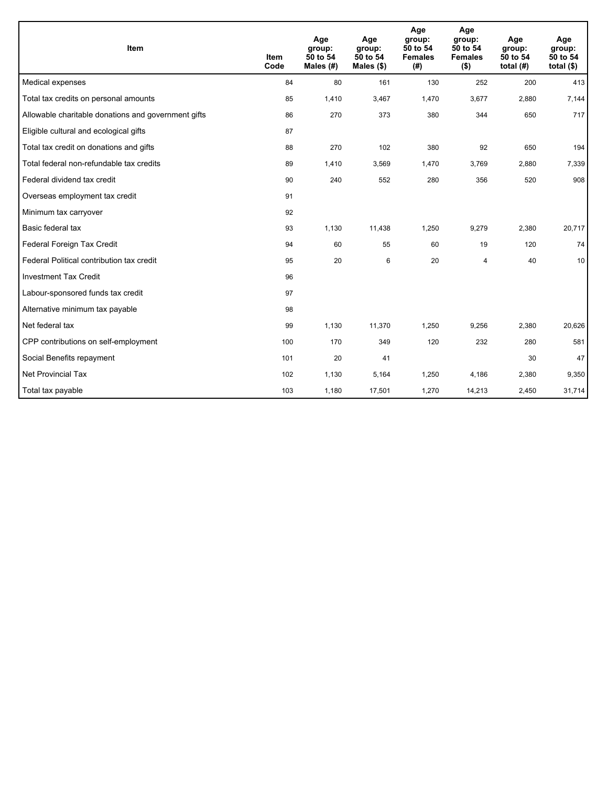| Item                                                | <b>Item</b><br>Code | Age<br>group:<br>50 to 54<br>Males (#) | Age<br>group:<br>50 to 54<br>Males $(\$)$ | Age<br>group:<br>50 to 54<br><b>Females</b><br>(#) | Age<br>group:<br>50 to 54<br><b>Females</b><br>$($ \$) | Age<br>group:<br>50 to 54<br>total $(H)$ | Age<br>group:<br>50 to 54<br>total $($)$ |
|-----------------------------------------------------|---------------------|----------------------------------------|-------------------------------------------|----------------------------------------------------|--------------------------------------------------------|------------------------------------------|------------------------------------------|
| Medical expenses                                    | 84                  | 80                                     | 161                                       | 130                                                | 252                                                    | 200                                      | 413                                      |
| Total tax credits on personal amounts               | 85                  | 1,410                                  | 3,467                                     | 1,470                                              | 3,677                                                  | 2,880                                    | 7,144                                    |
| Allowable charitable donations and government gifts | 86                  | 270                                    | 373                                       | 380                                                | 344                                                    | 650                                      | 717                                      |
| Eligible cultural and ecological gifts              | 87                  |                                        |                                           |                                                    |                                                        |                                          |                                          |
| Total tax credit on donations and gifts             | 88                  | 270                                    | 102                                       | 380                                                | 92                                                     | 650                                      | 194                                      |
| Total federal non-refundable tax credits            | 89                  | 1,410                                  | 3,569                                     | 1,470                                              | 3,769                                                  | 2,880                                    | 7,339                                    |
| Federal dividend tax credit                         | 90                  | 240                                    | 552                                       | 280                                                | 356                                                    | 520                                      | 908                                      |
| Overseas employment tax credit                      | 91                  |                                        |                                           |                                                    |                                                        |                                          |                                          |
| Minimum tax carryover                               | 92                  |                                        |                                           |                                                    |                                                        |                                          |                                          |
| Basic federal tax                                   | 93                  | 1,130                                  | 11,438                                    | 1,250                                              | 9,279                                                  | 2,380                                    | 20,717                                   |
| Federal Foreign Tax Credit                          | 94                  | 60                                     | 55                                        | 60                                                 | 19                                                     | 120                                      | 74                                       |
| Federal Political contribution tax credit           | 95                  | 20                                     | 6                                         | 20                                                 | $\overline{\mathbf{4}}$                                | 40                                       | 10                                       |
| <b>Investment Tax Credit</b>                        | 96                  |                                        |                                           |                                                    |                                                        |                                          |                                          |
| Labour-sponsored funds tax credit                   | 97                  |                                        |                                           |                                                    |                                                        |                                          |                                          |
| Alternative minimum tax payable                     | 98                  |                                        |                                           |                                                    |                                                        |                                          |                                          |
| Net federal tax                                     | 99                  | 1,130                                  | 11,370                                    | 1,250                                              | 9,256                                                  | 2,380                                    | 20,626                                   |
| CPP contributions on self-employment                | 100                 | 170                                    | 349                                       | 120                                                | 232                                                    | 280                                      | 581                                      |
| Social Benefits repayment                           | 101                 | 20                                     | 41                                        |                                                    |                                                        | 30                                       | 47                                       |
| Net Provincial Tax                                  | 102                 | 1,130                                  | 5,164                                     | 1,250                                              | 4,186                                                  | 2,380                                    | 9,350                                    |
| Total tax payable                                   | 103                 | 1,180                                  | 17,501                                    | 1,270                                              | 14,213                                                 | 2,450                                    | 31,714                                   |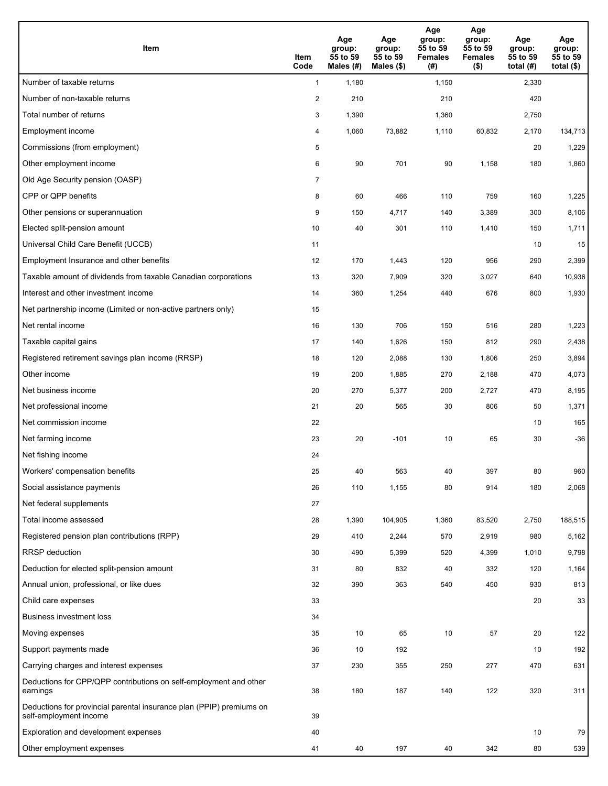| <b>Item</b>                                                                                    | Item<br>Code            | Age<br>group:<br>55 to 59<br>Males (#) | Age<br>group:<br>55 to 59<br>Males (\$) | Age<br>group:<br>55 to 59<br><b>Females</b><br>(#) | Age<br>group:<br>55 to 59<br><b>Females</b><br>$($ \$) | Age<br>group:<br>55 to 59<br>total $(#)$ | Age<br>group:<br>55 to 59<br>total $($)$ |
|------------------------------------------------------------------------------------------------|-------------------------|----------------------------------------|-----------------------------------------|----------------------------------------------------|--------------------------------------------------------|------------------------------------------|------------------------------------------|
| Number of taxable returns                                                                      | $\mathbf{1}$            | 1,180                                  |                                         | 1,150                                              |                                                        | 2,330                                    |                                          |
| Number of non-taxable returns                                                                  | $\overline{\mathbf{c}}$ | 210                                    |                                         | 210                                                |                                                        | 420                                      |                                          |
| Total number of returns                                                                        | 3                       | 1,390                                  |                                         | 1,360                                              |                                                        | 2,750                                    |                                          |
| Employment income                                                                              | 4                       | 1,060                                  | 73,882                                  | 1,110                                              | 60,832                                                 | 2,170                                    | 134,713                                  |
| Commissions (from employment)                                                                  | 5                       |                                        |                                         |                                                    |                                                        | 20                                       | 1,229                                    |
| Other employment income                                                                        | 6                       | 90                                     | 701                                     | 90                                                 | 1,158                                                  | 180                                      | 1,860                                    |
| Old Age Security pension (OASP)                                                                | $\overline{7}$          |                                        |                                         |                                                    |                                                        |                                          |                                          |
| CPP or QPP benefits                                                                            | 8                       | 60                                     | 466                                     | 110                                                | 759                                                    | 160                                      | 1,225                                    |
| Other pensions or superannuation                                                               | 9                       | 150                                    | 4,717                                   | 140                                                | 3,389                                                  | 300                                      | 8,106                                    |
| Elected split-pension amount                                                                   | 10                      | 40                                     | 301                                     | 110                                                | 1,410                                                  | 150                                      | 1,711                                    |
| Universal Child Care Benefit (UCCB)                                                            | 11                      |                                        |                                         |                                                    |                                                        | 10                                       | 15                                       |
| Employment Insurance and other benefits                                                        | 12                      | 170                                    | 1,443                                   | 120                                                | 956                                                    | 290                                      | 2,399                                    |
| Taxable amount of dividends from taxable Canadian corporations                                 | 13                      | 320                                    | 7,909                                   | 320                                                | 3,027                                                  | 640                                      | 10,936                                   |
| Interest and other investment income                                                           | 14                      | 360                                    | 1,254                                   | 440                                                | 676                                                    | 800                                      | 1,930                                    |
| Net partnership income (Limited or non-active partners only)                                   | 15                      |                                        |                                         |                                                    |                                                        |                                          |                                          |
| Net rental income                                                                              | 16                      | 130                                    | 706                                     | 150                                                | 516                                                    | 280                                      | 1,223                                    |
| Taxable capital gains                                                                          | 17                      | 140                                    | 1,626                                   | 150                                                | 812                                                    | 290                                      | 2,438                                    |
| Registered retirement savings plan income (RRSP)                                               | 18                      | 120                                    | 2,088                                   | 130                                                | 1,806                                                  | 250                                      | 3,894                                    |
| Other income                                                                                   | 19                      | 200                                    | 1,885                                   | 270                                                | 2,188                                                  | 470                                      | 4,073                                    |
| Net business income                                                                            | 20                      | 270                                    | 5,377                                   | 200                                                | 2,727                                                  | 470                                      | 8,195                                    |
| Net professional income                                                                        | 21                      | 20                                     | 565                                     | 30                                                 | 806                                                    | 50                                       | 1,371                                    |
| Net commission income                                                                          | 22                      |                                        |                                         |                                                    |                                                        | 10                                       | 165                                      |
| Net farming income                                                                             | 23                      | 20                                     | $-101$                                  | 10                                                 | 65                                                     | 30                                       | $-36$                                    |
| Net fishing income                                                                             | 24                      |                                        |                                         |                                                    |                                                        |                                          |                                          |
| Workers' compensation benefits                                                                 | 25                      | 40                                     | 563                                     | 40                                                 | 397                                                    | 80                                       | 960                                      |
| Social assistance payments                                                                     | 26                      | 110                                    | 1,155                                   | 80                                                 | 914                                                    | 180                                      | 2,068                                    |
| Net federal supplements                                                                        | 27                      |                                        |                                         |                                                    |                                                        |                                          |                                          |
| Total income assessed                                                                          | 28                      | 1,390                                  | 104,905                                 | 1,360                                              | 83,520                                                 | 2,750                                    | 188,515                                  |
| Registered pension plan contributions (RPP)                                                    | 29                      | 410                                    | 2,244                                   | 570                                                | 2,919                                                  | 980                                      | 5,162                                    |
| RRSP deduction                                                                                 | 30                      | 490                                    | 5,399                                   | 520                                                | 4,399                                                  | 1,010                                    | 9,798                                    |
| Deduction for elected split-pension amount                                                     | 31                      | 80                                     | 832                                     | 40                                                 | 332                                                    | 120                                      | 1,164                                    |
| Annual union, professional, or like dues                                                       | 32                      | 390                                    | 363                                     | 540                                                | 450                                                    | 930                                      | 813                                      |
| Child care expenses                                                                            | 33                      |                                        |                                         |                                                    |                                                        | 20                                       | 33                                       |
| <b>Business investment loss</b>                                                                | 34                      |                                        |                                         |                                                    |                                                        |                                          |                                          |
| Moving expenses                                                                                | 35                      | 10                                     | 65                                      | 10                                                 | 57                                                     | 20                                       | 122                                      |
| Support payments made                                                                          | 36                      | 10                                     | 192                                     |                                                    |                                                        | 10                                       | 192                                      |
| Carrying charges and interest expenses                                                         | 37                      | 230                                    | 355                                     | 250                                                | 277                                                    | 470                                      | 631                                      |
| Deductions for CPP/QPP contributions on self-employment and other<br>earnings                  | 38                      | 180                                    | 187                                     | 140                                                | 122                                                    | 320                                      | 311                                      |
| Deductions for provincial parental insurance plan (PPIP) premiums on<br>self-employment income | 39                      |                                        |                                         |                                                    |                                                        |                                          |                                          |
| Exploration and development expenses                                                           | 40                      |                                        |                                         |                                                    |                                                        | 10                                       | 79                                       |
| Other employment expenses                                                                      | 41                      | 40                                     | 197                                     | 40                                                 | 342                                                    | 80                                       | 539                                      |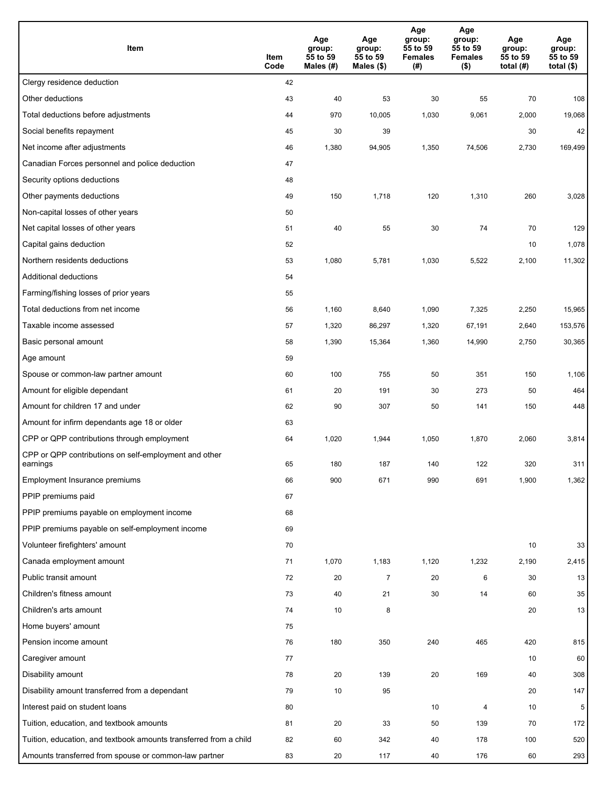| Item                                                              | Item<br>Code | Age<br>group:<br>55 to 59<br>Males (#) | Age<br>group:<br>55 to 59<br>Males (\$) | Age<br>group:<br>55 to 59<br><b>Females</b><br>(#) | Age<br>group:<br>55 to 59<br><b>Females</b><br>$($ \$) | Age<br>group:<br>55 to 59<br>total $(#)$ | Age<br>group:<br>55 to 59<br>total $($)$ |
|-------------------------------------------------------------------|--------------|----------------------------------------|-----------------------------------------|----------------------------------------------------|--------------------------------------------------------|------------------------------------------|------------------------------------------|
| Clergy residence deduction                                        | 42           |                                        |                                         |                                                    |                                                        |                                          |                                          |
| Other deductions                                                  | 43           | 40                                     | 53                                      | 30                                                 | 55                                                     | 70                                       | 108                                      |
| Total deductions before adjustments                               | 44           | 970                                    | 10,005                                  | 1,030                                              | 9,061                                                  | 2,000                                    | 19,068                                   |
| Social benefits repayment                                         | 45           | 30                                     | 39                                      |                                                    |                                                        | 30                                       | 42                                       |
| Net income after adjustments                                      | 46           | 1,380                                  | 94,905                                  | 1,350                                              | 74,506                                                 | 2,730                                    | 169,499                                  |
| Canadian Forces personnel and police deduction                    | 47           |                                        |                                         |                                                    |                                                        |                                          |                                          |
| Security options deductions                                       | 48           |                                        |                                         |                                                    |                                                        |                                          |                                          |
| Other payments deductions                                         | 49           | 150                                    | 1,718                                   | 120                                                | 1,310                                                  | 260                                      | 3,028                                    |
| Non-capital losses of other years                                 | 50           |                                        |                                         |                                                    |                                                        |                                          |                                          |
| Net capital losses of other years                                 | 51           | 40                                     | 55                                      | 30                                                 | 74                                                     | 70                                       | 129                                      |
| Capital gains deduction                                           | 52           |                                        |                                         |                                                    |                                                        | 10                                       | 1,078                                    |
| Northern residents deductions                                     | 53           | 1,080                                  | 5,781                                   | 1,030                                              | 5,522                                                  | 2,100                                    | 11,302                                   |
| Additional deductions                                             | 54           |                                        |                                         |                                                    |                                                        |                                          |                                          |
| Farming/fishing losses of prior years                             | 55           |                                        |                                         |                                                    |                                                        |                                          |                                          |
| Total deductions from net income                                  | 56           | 1,160                                  | 8,640                                   | 1,090                                              | 7,325                                                  | 2,250                                    | 15,965                                   |
| Taxable income assessed                                           | 57           | 1,320                                  | 86,297                                  | 1,320                                              | 67,191                                                 | 2,640                                    | 153,576                                  |
| Basic personal amount                                             | 58           | 1,390                                  | 15,364                                  | 1,360                                              | 14,990                                                 | 2,750                                    | 30,365                                   |
| Age amount                                                        | 59           |                                        |                                         |                                                    |                                                        |                                          |                                          |
| Spouse or common-law partner amount                               | 60           | 100                                    | 755                                     | 50                                                 | 351                                                    | 150                                      | 1,106                                    |
| Amount for eligible dependant                                     | 61           | 20                                     | 191                                     | 30                                                 | 273                                                    | 50                                       | 464                                      |
| Amount for children 17 and under                                  | 62           | 90                                     | 307                                     | 50                                                 | 141                                                    | 150                                      | 448                                      |
| Amount for infirm dependants age 18 or older                      | 63           |                                        |                                         |                                                    |                                                        |                                          |                                          |
| CPP or QPP contributions through employment                       | 64           | 1,020                                  | 1,944                                   | 1,050                                              | 1,870                                                  | 2,060                                    | 3,814                                    |
| CPP or QPP contributions on self-employment and other<br>earnings | 65           | 180                                    | 187                                     | 140                                                | 122                                                    | 320                                      | 311                                      |
| Employment Insurance premiums                                     | 66           | 900                                    | 671                                     | 990                                                | 691                                                    | 1,900                                    | 1,362                                    |
| PPIP premiums paid                                                | 67           |                                        |                                         |                                                    |                                                        |                                          |                                          |
| PPIP premiums payable on employment income                        | 68           |                                        |                                         |                                                    |                                                        |                                          |                                          |
| PPIP premiums payable on self-employment income                   | 69           |                                        |                                         |                                                    |                                                        |                                          |                                          |
| Volunteer firefighters' amount                                    | 70           |                                        |                                         |                                                    |                                                        | 10                                       | 33                                       |
| Canada employment amount                                          | 71           | 1,070                                  | 1,183                                   | 1,120                                              | 1,232                                                  | 2,190                                    | 2,415                                    |
| Public transit amount                                             | 72           | 20                                     | 7                                       | 20                                                 | 6                                                      | 30                                       | 13                                       |
| Children's fitness amount                                         | 73           | 40                                     | 21                                      | 30                                                 | 14                                                     | 60                                       | 35                                       |
| Children's arts amount                                            | 74           | 10                                     | 8                                       |                                                    |                                                        | 20                                       | 13                                       |
| Home buyers' amount                                               | 75           |                                        |                                         |                                                    |                                                        |                                          |                                          |
| Pension income amount                                             | 76           | 180                                    | 350                                     | 240                                                | 465                                                    | 420                                      | 815                                      |
| Caregiver amount                                                  | 77           |                                        |                                         |                                                    |                                                        | 10                                       | 60                                       |
| Disability amount                                                 | 78           | 20                                     | 139                                     | 20                                                 | 169                                                    | 40                                       | 308                                      |
| Disability amount transferred from a dependant                    | 79           | 10                                     | 95                                      |                                                    |                                                        | 20                                       | 147                                      |
| Interest paid on student loans                                    | 80           |                                        |                                         | 10                                                 | 4                                                      | 10                                       | 5                                        |
| Tuition, education, and textbook amounts                          | 81           | 20                                     | 33                                      | 50                                                 | 139                                                    | 70                                       | 172                                      |
| Tuition, education, and textbook amounts transferred from a child | 82           | 60                                     | 342                                     | 40                                                 | 178                                                    | 100                                      | 520                                      |
| Amounts transferred from spouse or common-law partner             | 83           | 20                                     | 117                                     | 40                                                 | 176                                                    | 60                                       | 293                                      |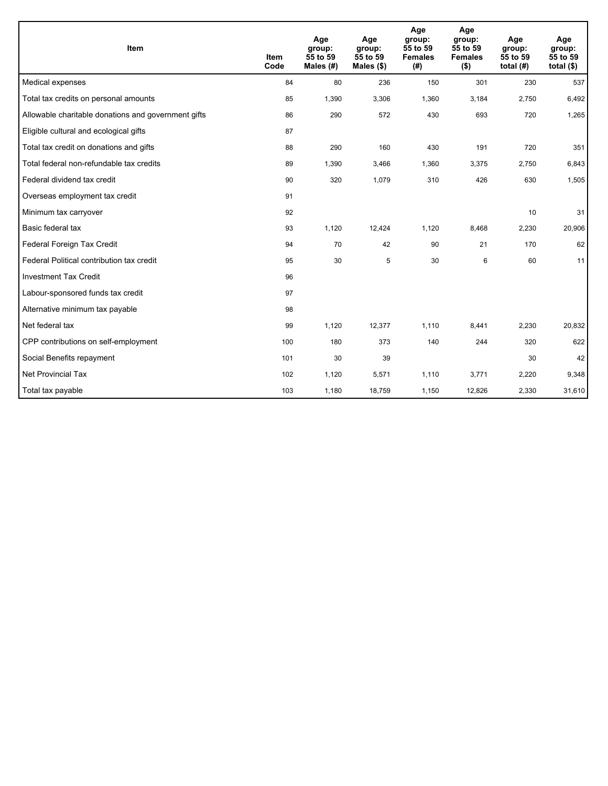| Item                                                | <b>Item</b><br>Code | Age<br>group:<br>55 to 59<br>Males (#) | Age<br>group:<br>55 to 59<br>Males $(\$)$ | Age<br>group:<br>55 to 59<br><b>Females</b><br>(# ) | Age<br>group:<br>55 to 59<br><b>Females</b><br>$($ \$) | Age<br>group:<br>55 to 59<br>total $(H)$ | Age<br>group:<br>55 to 59<br>total $($)$ |
|-----------------------------------------------------|---------------------|----------------------------------------|-------------------------------------------|-----------------------------------------------------|--------------------------------------------------------|------------------------------------------|------------------------------------------|
| Medical expenses                                    | 84                  | 80                                     | 236                                       | 150                                                 | 301                                                    | 230                                      | 537                                      |
| Total tax credits on personal amounts               | 85                  | 1,390                                  | 3,306                                     | 1,360                                               | 3,184                                                  | 2,750                                    | 6,492                                    |
| Allowable charitable donations and government gifts | 86                  | 290                                    | 572                                       | 430                                                 | 693                                                    | 720                                      | 1,265                                    |
| Eligible cultural and ecological gifts              | 87                  |                                        |                                           |                                                     |                                                        |                                          |                                          |
| Total tax credit on donations and gifts             | 88                  | 290                                    | 160                                       | 430                                                 | 191                                                    | 720                                      | 351                                      |
| Total federal non-refundable tax credits            | 89                  | 1,390                                  | 3,466                                     | 1,360                                               | 3,375                                                  | 2,750                                    | 6,843                                    |
| Federal dividend tax credit                         | 90                  | 320                                    | 1,079                                     | 310                                                 | 426                                                    | 630                                      | 1,505                                    |
| Overseas employment tax credit                      | 91                  |                                        |                                           |                                                     |                                                        |                                          |                                          |
| Minimum tax carryover                               | 92                  |                                        |                                           |                                                     |                                                        | 10                                       | 31                                       |
| Basic federal tax                                   | 93                  | 1,120                                  | 12,424                                    | 1,120                                               | 8,468                                                  | 2,230                                    | 20,906                                   |
| Federal Foreign Tax Credit                          | 94                  | 70                                     | 42                                        | 90                                                  | 21                                                     | 170                                      | 62                                       |
| Federal Political contribution tax credit           | 95                  | 30                                     | 5                                         | 30                                                  | 6                                                      | 60                                       | 11                                       |
| <b>Investment Tax Credit</b>                        | 96                  |                                        |                                           |                                                     |                                                        |                                          |                                          |
| Labour-sponsored funds tax credit                   | 97                  |                                        |                                           |                                                     |                                                        |                                          |                                          |
| Alternative minimum tax payable                     | 98                  |                                        |                                           |                                                     |                                                        |                                          |                                          |
| Net federal tax                                     | 99                  | 1,120                                  | 12,377                                    | 1,110                                               | 8,441                                                  | 2,230                                    | 20,832                                   |
| CPP contributions on self-employment                | 100                 | 180                                    | 373                                       | 140                                                 | 244                                                    | 320                                      | 622                                      |
| Social Benefits repayment                           | 101                 | 30                                     | 39                                        |                                                     |                                                        | 30                                       | 42                                       |
| Net Provincial Tax                                  | 102                 | 1,120                                  | 5,571                                     | 1,110                                               | 3,771                                                  | 2,220                                    | 9,348                                    |
| Total tax payable                                   | 103                 | 1,180                                  | 18,759                                    | 1,150                                               | 12,826                                                 | 2,330                                    | 31,610                                   |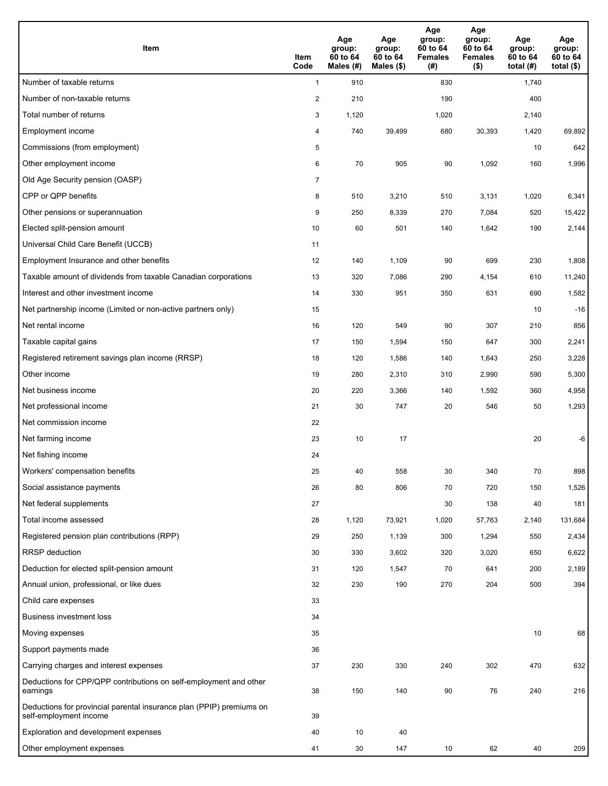| <b>Item</b>                                                                                    | Item<br>Code            | Age<br>group:<br>60 to 64<br>Males (#) | Age<br>group:<br>60 to 64<br>Males (\$) | Age<br>group:<br>60 to 64<br><b>Females</b><br>(#) | Age<br>group:<br>60 to 64<br><b>Females</b><br>$($ \$) | Age<br>group:<br>60 to 64<br>total $(H)$ | Age<br>group:<br>60 to 64<br>total $($)$ |
|------------------------------------------------------------------------------------------------|-------------------------|----------------------------------------|-----------------------------------------|----------------------------------------------------|--------------------------------------------------------|------------------------------------------|------------------------------------------|
| Number of taxable returns                                                                      | $\mathbf{1}$            | 910                                    |                                         | 830                                                |                                                        | 1,740                                    |                                          |
| Number of non-taxable returns                                                                  | $\overline{\mathbf{c}}$ | 210                                    |                                         | 190                                                |                                                        | 400                                      |                                          |
| Total number of returns                                                                        | 3                       | 1,120                                  |                                         | 1,020                                              |                                                        | 2,140                                    |                                          |
| Employment income                                                                              | 4                       | 740                                    | 39,499                                  | 680                                                | 30,393                                                 | 1,420                                    | 69,892                                   |
| Commissions (from employment)                                                                  | 5                       |                                        |                                         |                                                    |                                                        | 10                                       | 642                                      |
| Other employment income                                                                        | 6                       | 70                                     | 905                                     | 90                                                 | 1,092                                                  | 160                                      | 1,996                                    |
| Old Age Security pension (OASP)                                                                | $\overline{7}$          |                                        |                                         |                                                    |                                                        |                                          |                                          |
| CPP or QPP benefits                                                                            | 8                       | 510                                    | 3,210                                   | 510                                                | 3,131                                                  | 1,020                                    | 6,341                                    |
| Other pensions or superannuation                                                               | 9                       | 250                                    | 8,339                                   | 270                                                | 7,084                                                  | 520                                      | 15,422                                   |
| Elected split-pension amount                                                                   | 10                      | 60                                     | 501                                     | 140                                                | 1,642                                                  | 190                                      | 2,144                                    |
| Universal Child Care Benefit (UCCB)                                                            | 11                      |                                        |                                         |                                                    |                                                        |                                          |                                          |
| Employment Insurance and other benefits                                                        | 12                      | 140                                    | 1,109                                   | 90                                                 | 699                                                    | 230                                      | 1,808                                    |
| Taxable amount of dividends from taxable Canadian corporations                                 | 13                      | 320                                    | 7,086                                   | 290                                                | 4,154                                                  | 610                                      | 11,240                                   |
| Interest and other investment income                                                           | 14                      | 330                                    | 951                                     | 350                                                | 631                                                    | 690                                      | 1,582                                    |
| Net partnership income (Limited or non-active partners only)                                   | 15                      |                                        |                                         |                                                    |                                                        | 10                                       | $-16$                                    |
| Net rental income                                                                              | 16                      | 120                                    | 549                                     | 90                                                 | 307                                                    | 210                                      | 856                                      |
| Taxable capital gains                                                                          | 17                      | 150                                    | 1,594                                   | 150                                                | 647                                                    | 300                                      | 2,241                                    |
| Registered retirement savings plan income (RRSP)                                               | 18                      | 120                                    | 1,586                                   | 140                                                | 1,643                                                  | 250                                      | 3,228                                    |
| Other income                                                                                   | 19                      | 280                                    | 2,310                                   | 310                                                | 2,990                                                  | 590                                      | 5,300                                    |
| Net business income                                                                            | 20                      | 220                                    | 3,366                                   | 140                                                | 1,592                                                  | 360                                      | 4,958                                    |
| Net professional income                                                                        | 21                      | 30                                     | 747                                     | 20                                                 | 546                                                    | 50                                       | 1,293                                    |
| Net commission income                                                                          | 22                      |                                        |                                         |                                                    |                                                        |                                          |                                          |
| Net farming income                                                                             | 23                      | 10                                     | 17                                      |                                                    |                                                        | 20                                       | -6                                       |
| Net fishing income                                                                             | 24                      |                                        |                                         |                                                    |                                                        |                                          |                                          |
| Workers' compensation benefits                                                                 | 25                      | 40                                     | 558                                     | 30                                                 | 340                                                    | 70                                       | 898                                      |
| Social assistance payments                                                                     | 26                      | 80                                     | 806                                     | 70                                                 | 720                                                    | 150                                      | 1,526                                    |
| Net federal supplements                                                                        | 27                      |                                        |                                         | 30                                                 | 138                                                    | 40                                       | 181                                      |
| Total income assessed                                                                          | 28                      | 1,120                                  | 73,921                                  | 1,020                                              | 57,763                                                 | 2,140                                    | 131,684                                  |
| Registered pension plan contributions (RPP)                                                    | 29                      | 250                                    | 1,139                                   | 300                                                | 1,294                                                  | 550                                      | 2,434                                    |
| RRSP deduction                                                                                 | 30                      | 330                                    | 3,602                                   | 320                                                | 3,020                                                  | 650                                      | 6,622                                    |
| Deduction for elected split-pension amount                                                     | 31                      | 120                                    | 1,547                                   | 70                                                 | 641                                                    | 200                                      | 2,189                                    |
| Annual union, professional, or like dues                                                       | 32                      | 230                                    | 190                                     | 270                                                | 204                                                    | 500                                      | 394                                      |
| Child care expenses                                                                            | 33                      |                                        |                                         |                                                    |                                                        |                                          |                                          |
| <b>Business investment loss</b>                                                                | 34                      |                                        |                                         |                                                    |                                                        |                                          |                                          |
| Moving expenses                                                                                | 35                      |                                        |                                         |                                                    |                                                        | 10                                       | 68                                       |
| Support payments made                                                                          | 36                      |                                        |                                         |                                                    |                                                        |                                          |                                          |
| Carrying charges and interest expenses                                                         | 37                      | 230                                    | 330                                     | 240                                                | 302                                                    | 470                                      | 632                                      |
| Deductions for CPP/QPP contributions on self-employment and other<br>earnings                  | 38                      | 150                                    | 140                                     | 90                                                 | 76                                                     | 240                                      | 216                                      |
| Deductions for provincial parental insurance plan (PPIP) premiums on<br>self-employment income | 39                      |                                        |                                         |                                                    |                                                        |                                          |                                          |
| Exploration and development expenses                                                           | 40                      | 10                                     | 40                                      |                                                    |                                                        |                                          |                                          |
| Other employment expenses                                                                      | 41                      | 30                                     | 147                                     | 10                                                 | 62                                                     | 40                                       | 209                                      |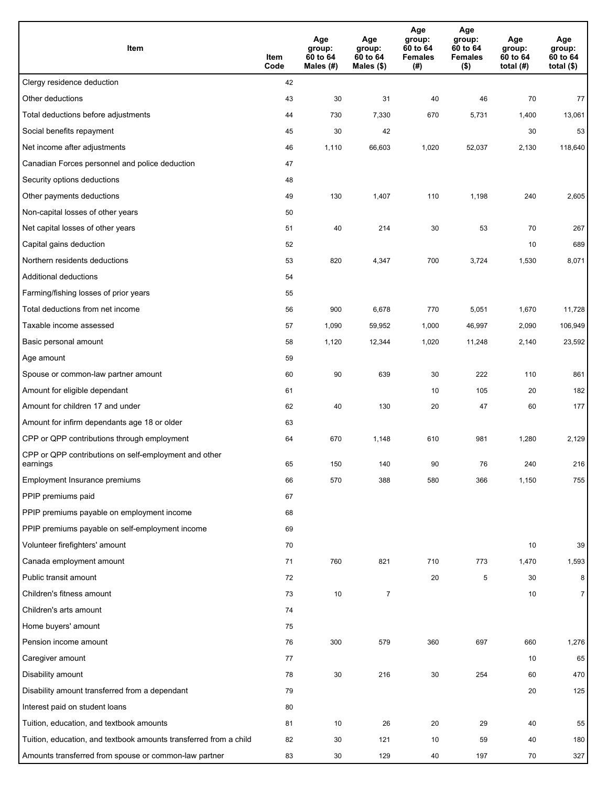| Item                                                              | Item<br>Code | Age<br>group:<br>60 to 64<br>Males (#) | Age<br>group:<br>60 to 64<br>Males (\$) | Age<br>group:<br>60 to 64<br><b>Females</b><br>(#) | Age<br>group:<br>60 to 64<br><b>Females</b><br>$($ \$) | Age<br>group:<br>60 to 64<br>total $(H)$ | Age<br>group:<br>60 to 64<br>total $($)$ |
|-------------------------------------------------------------------|--------------|----------------------------------------|-----------------------------------------|----------------------------------------------------|--------------------------------------------------------|------------------------------------------|------------------------------------------|
| Clergy residence deduction                                        | 42           |                                        |                                         |                                                    |                                                        |                                          |                                          |
| Other deductions                                                  | 43           | 30                                     | 31                                      | 40                                                 | 46                                                     | 70                                       | 77                                       |
| Total deductions before adjustments                               | 44           | 730                                    | 7,330                                   | 670                                                | 5,731                                                  | 1,400                                    | 13,061                                   |
| Social benefits repayment                                         | 45           | 30                                     | 42                                      |                                                    |                                                        | 30                                       | 53                                       |
| Net income after adjustments                                      | 46           | 1,110                                  | 66,603                                  | 1,020                                              | 52,037                                                 | 2,130                                    | 118,640                                  |
| Canadian Forces personnel and police deduction                    | 47           |                                        |                                         |                                                    |                                                        |                                          |                                          |
| Security options deductions                                       | 48           |                                        |                                         |                                                    |                                                        |                                          |                                          |
| Other payments deductions                                         | 49           | 130                                    | 1,407                                   | 110                                                | 1,198                                                  | 240                                      | 2,605                                    |
| Non-capital losses of other years                                 | 50           |                                        |                                         |                                                    |                                                        |                                          |                                          |
| Net capital losses of other years                                 | 51           | 40                                     | 214                                     | 30                                                 | 53                                                     | 70                                       | 267                                      |
| Capital gains deduction                                           | 52           |                                        |                                         |                                                    |                                                        | 10                                       | 689                                      |
| Northern residents deductions                                     | 53           | 820                                    | 4,347                                   | 700                                                | 3,724                                                  | 1,530                                    | 8,071                                    |
| Additional deductions                                             | 54           |                                        |                                         |                                                    |                                                        |                                          |                                          |
| Farming/fishing losses of prior years                             | 55           |                                        |                                         |                                                    |                                                        |                                          |                                          |
| Total deductions from net income                                  | 56           | 900                                    | 6,678                                   | 770                                                | 5,051                                                  | 1,670                                    | 11,728                                   |
| Taxable income assessed                                           | 57           | 1,090                                  | 59,952                                  | 1,000                                              | 46,997                                                 | 2,090                                    | 106,949                                  |
| Basic personal amount                                             | 58           | 1,120                                  | 12,344                                  | 1,020                                              | 11,248                                                 | 2,140                                    | 23,592                                   |
| Age amount                                                        | 59           |                                        |                                         |                                                    |                                                        |                                          |                                          |
| Spouse or common-law partner amount                               | 60           | 90                                     | 639                                     | 30                                                 | 222                                                    | 110                                      | 861                                      |
| Amount for eligible dependant                                     | 61           |                                        |                                         | 10                                                 | 105                                                    | 20                                       | 182                                      |
| Amount for children 17 and under                                  | 62           | 40                                     | 130                                     | 20                                                 | 47                                                     | 60                                       | 177                                      |
| Amount for infirm dependants age 18 or older                      | 63           |                                        |                                         |                                                    |                                                        |                                          |                                          |
| CPP or QPP contributions through employment                       | 64           | 670                                    | 1,148                                   | 610                                                | 981                                                    | 1,280                                    | 2,129                                    |
| CPP or QPP contributions on self-employment and other<br>earnings | 65           | 150                                    | 140                                     | 90                                                 | 76                                                     | 240                                      | 216                                      |
| Employment Insurance premiums                                     | 66           | 570                                    | 388                                     | 580                                                | 366                                                    | 1,150                                    | 755                                      |
| PPIP premiums paid                                                | 67           |                                        |                                         |                                                    |                                                        |                                          |                                          |
| PPIP premiums payable on employment income                        | 68           |                                        |                                         |                                                    |                                                        |                                          |                                          |
| PPIP premiums payable on self-employment income                   | 69           |                                        |                                         |                                                    |                                                        |                                          |                                          |
| Volunteer firefighters' amount                                    | 70           |                                        |                                         |                                                    |                                                        | 10                                       | 39                                       |
| Canada employment amount                                          | 71           | 760                                    | 821                                     | 710                                                | 773                                                    | 1,470                                    | 1,593                                    |
| Public transit amount                                             | 72           |                                        |                                         | 20                                                 | 5                                                      | 30                                       | 8                                        |
| Children's fitness amount                                         | 73           | 10                                     | $\overline{7}$                          |                                                    |                                                        | 10                                       | $\overline{7}$                           |
| Children's arts amount                                            | 74           |                                        |                                         |                                                    |                                                        |                                          |                                          |
| Home buyers' amount                                               | 75           |                                        |                                         |                                                    |                                                        |                                          |                                          |
| Pension income amount                                             | 76           | 300                                    | 579                                     | 360                                                | 697                                                    | 660                                      | 1,276                                    |
| Caregiver amount                                                  | 77           |                                        |                                         |                                                    |                                                        | 10                                       | 65                                       |
| Disability amount                                                 | 78           | 30                                     | 216                                     | 30                                                 | 254                                                    | 60                                       | 470                                      |
| Disability amount transferred from a dependant                    | 79           |                                        |                                         |                                                    |                                                        | 20                                       | 125                                      |
| Interest paid on student loans                                    | 80           |                                        |                                         |                                                    |                                                        |                                          |                                          |
| Tuition, education, and textbook amounts                          | 81           | 10                                     | 26                                      | 20                                                 | 29                                                     | 40                                       | 55                                       |
| Tuition, education, and textbook amounts transferred from a child | 82           | 30                                     | 121                                     | 10                                                 | 59                                                     | 40                                       | 180                                      |
| Amounts transferred from spouse or common-law partner             | 83           | 30                                     | 129                                     | 40                                                 | 197                                                    | 70                                       | 327                                      |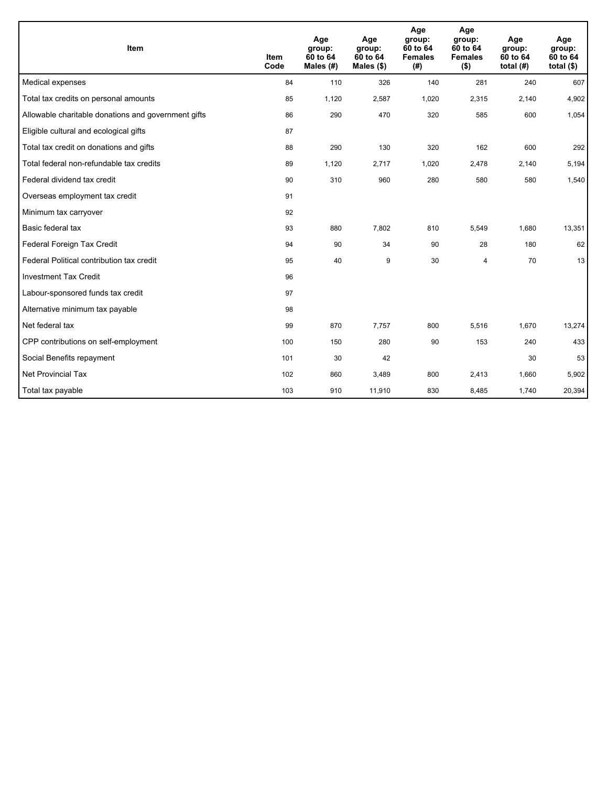| Item                                                | <b>Item</b><br>Code | Age<br>group:<br>60 to 64<br>Males (#) | Age<br>group:<br>60 to 64<br>Males $(\$)$ | Age<br>group:<br>60 to 64<br><b>Females</b><br>(# ) | Age<br>group:<br>60 to 64<br><b>Females</b><br>$($ \$) | Age<br>group:<br>60 to 64<br>total $(H)$ | Age<br>group:<br>60 to 64<br>total $($)$ |
|-----------------------------------------------------|---------------------|----------------------------------------|-------------------------------------------|-----------------------------------------------------|--------------------------------------------------------|------------------------------------------|------------------------------------------|
| Medical expenses                                    | 84                  | 110                                    | 326                                       | 140                                                 | 281                                                    | 240                                      | 607                                      |
| Total tax credits on personal amounts               | 85                  | 1,120                                  | 2,587                                     | 1,020                                               | 2,315                                                  | 2,140                                    | 4,902                                    |
| Allowable charitable donations and government gifts | 86                  | 290                                    | 470                                       | 320                                                 | 585                                                    | 600                                      | 1,054                                    |
| Eligible cultural and ecological gifts              | 87                  |                                        |                                           |                                                     |                                                        |                                          |                                          |
| Total tax credit on donations and gifts             | 88                  | 290                                    | 130                                       | 320                                                 | 162                                                    | 600                                      | 292                                      |
| Total federal non-refundable tax credits            | 89                  | 1,120                                  | 2,717                                     | 1,020                                               | 2,478                                                  | 2,140                                    | 5,194                                    |
| Federal dividend tax credit                         | 90                  | 310                                    | 960                                       | 280                                                 | 580                                                    | 580                                      | 1,540                                    |
| Overseas employment tax credit                      | 91                  |                                        |                                           |                                                     |                                                        |                                          |                                          |
| Minimum tax carryover                               | 92                  |                                        |                                           |                                                     |                                                        |                                          |                                          |
| Basic federal tax                                   | 93                  | 880                                    | 7,802                                     | 810                                                 | 5,549                                                  | 1,680                                    | 13,351                                   |
| Federal Foreign Tax Credit                          | 94                  | 90                                     | 34                                        | 90                                                  | 28                                                     | 180                                      | 62                                       |
| Federal Political contribution tax credit           | 95                  | 40                                     | 9                                         | 30                                                  | 4                                                      | 70                                       | 13                                       |
| <b>Investment Tax Credit</b>                        | 96                  |                                        |                                           |                                                     |                                                        |                                          |                                          |
| Labour-sponsored funds tax credit                   | 97                  |                                        |                                           |                                                     |                                                        |                                          |                                          |
| Alternative minimum tax payable                     | 98                  |                                        |                                           |                                                     |                                                        |                                          |                                          |
| Net federal tax                                     | 99                  | 870                                    | 7,757                                     | 800                                                 | 5,516                                                  | 1,670                                    | 13,274                                   |
| CPP contributions on self-employment                | 100                 | 150                                    | 280                                       | 90                                                  | 153                                                    | 240                                      | 433                                      |
| Social Benefits repayment                           | 101                 | 30                                     | 42                                        |                                                     |                                                        | 30                                       | 53                                       |
| <b>Net Provincial Tax</b>                           | 102                 | 860                                    | 3,489                                     | 800                                                 | 2,413                                                  | 1,660                                    | 5,902                                    |
| Total tax payable                                   | 103                 | 910                                    | 11,910                                    | 830                                                 | 8,485                                                  | 1,740                                    | 20,394                                   |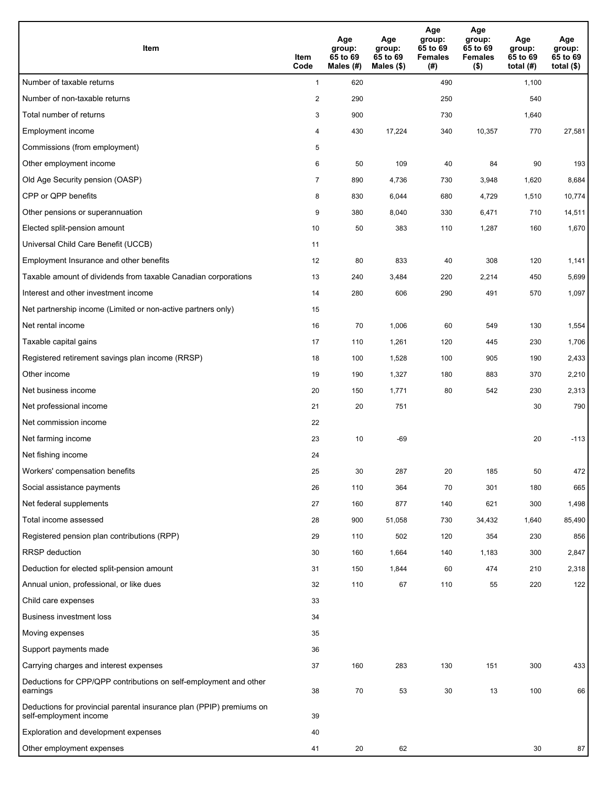| <b>Item</b>                                                                                    | Item<br>Code            | Age<br>group:<br>65 to 69<br>Males (#) | Age<br>group:<br>65 to 69<br>Males (\$) | Age<br>group:<br>65 to 69<br><b>Females</b><br>(#) | Age<br>group:<br>65 to 69<br><b>Females</b><br>$($ \$) | Age<br>group:<br>65 to 69<br>total $(H)$ | Age<br>group:<br>65 to 69<br>total $($)$ |
|------------------------------------------------------------------------------------------------|-------------------------|----------------------------------------|-----------------------------------------|----------------------------------------------------|--------------------------------------------------------|------------------------------------------|------------------------------------------|
| Number of taxable returns                                                                      | $\mathbf{1}$            | 620                                    |                                         | 490                                                |                                                        | 1,100                                    |                                          |
| Number of non-taxable returns                                                                  | $\overline{\mathbf{c}}$ | 290                                    |                                         | 250                                                |                                                        | 540                                      |                                          |
| Total number of returns                                                                        | 3                       | 900                                    |                                         | 730                                                |                                                        | 1,640                                    |                                          |
| Employment income                                                                              | 4                       | 430                                    | 17,224                                  | 340                                                | 10,357                                                 | 770                                      | 27,581                                   |
| Commissions (from employment)                                                                  | 5                       |                                        |                                         |                                                    |                                                        |                                          |                                          |
| Other employment income                                                                        | 6                       | 50                                     | 109                                     | 40                                                 | 84                                                     | 90                                       | 193                                      |
| Old Age Security pension (OASP)                                                                | $\overline{7}$          | 890                                    | 4,736                                   | 730                                                | 3,948                                                  | 1,620                                    | 8,684                                    |
| CPP or QPP benefits                                                                            | 8                       | 830                                    | 6,044                                   | 680                                                | 4,729                                                  | 1,510                                    | 10,774                                   |
| Other pensions or superannuation                                                               | 9                       | 380                                    | 8,040                                   | 330                                                | 6,471                                                  | 710                                      | 14,511                                   |
| Elected split-pension amount                                                                   | 10                      | 50                                     | 383                                     | 110                                                | 1,287                                                  | 160                                      | 1,670                                    |
| Universal Child Care Benefit (UCCB)                                                            | 11                      |                                        |                                         |                                                    |                                                        |                                          |                                          |
| Employment Insurance and other benefits                                                        | 12                      | 80                                     | 833                                     | 40                                                 | 308                                                    | 120                                      | 1,141                                    |
| Taxable amount of dividends from taxable Canadian corporations                                 | 13                      | 240                                    | 3,484                                   | 220                                                | 2,214                                                  | 450                                      | 5,699                                    |
| Interest and other investment income                                                           | 14                      | 280                                    | 606                                     | 290                                                | 491                                                    | 570                                      | 1,097                                    |
| Net partnership income (Limited or non-active partners only)                                   | 15                      |                                        |                                         |                                                    |                                                        |                                          |                                          |
| Net rental income                                                                              | 16                      | 70                                     | 1,006                                   | 60                                                 | 549                                                    | 130                                      | 1,554                                    |
| Taxable capital gains                                                                          | 17                      | 110                                    | 1,261                                   | 120                                                | 445                                                    | 230                                      | 1,706                                    |
| Registered retirement savings plan income (RRSP)                                               | 18                      | 100                                    | 1,528                                   | 100                                                | 905                                                    | 190                                      | 2,433                                    |
| Other income                                                                                   | 19                      | 190                                    | 1,327                                   | 180                                                | 883                                                    | 370                                      | 2,210                                    |
| Net business income                                                                            | 20                      | 150                                    | 1,771                                   | 80                                                 | 542                                                    | 230                                      | 2,313                                    |
| Net professional income                                                                        | 21                      | 20                                     | 751                                     |                                                    |                                                        | 30                                       | 790                                      |
| Net commission income                                                                          | 22                      |                                        |                                         |                                                    |                                                        |                                          |                                          |
| Net farming income                                                                             | 23                      | 10                                     | $-69$                                   |                                                    |                                                        | 20                                       | $-113$                                   |
| Net fishing income                                                                             | 24                      |                                        |                                         |                                                    |                                                        |                                          |                                          |
| Workers' compensation benefits                                                                 | 25                      | 30                                     | 287                                     | 20                                                 | 185                                                    | 50                                       | 472                                      |
| Social assistance payments                                                                     | 26                      | 110                                    | 364                                     | 70                                                 | 301                                                    | 180                                      | 665                                      |
| Net federal supplements                                                                        | 27                      | 160                                    | 877                                     | 140                                                | 621                                                    | 300                                      | 1,498                                    |
| Total income assessed                                                                          | 28                      | 900                                    | 51,058                                  | 730                                                | 34,432                                                 | 1,640                                    | 85,490                                   |
| Registered pension plan contributions (RPP)                                                    | 29                      | 110                                    | 502                                     | 120                                                | 354                                                    | 230                                      | 856                                      |
| RRSP deduction                                                                                 | 30                      | 160                                    | 1,664                                   | 140                                                | 1,183                                                  | 300                                      | 2,847                                    |
| Deduction for elected split-pension amount                                                     | 31                      | 150                                    | 1,844                                   | 60                                                 | 474                                                    | 210                                      | 2,318                                    |
| Annual union, professional, or like dues                                                       | 32                      | 110                                    | 67                                      | 110                                                | 55                                                     | 220                                      | 122                                      |
| Child care expenses                                                                            | 33                      |                                        |                                         |                                                    |                                                        |                                          |                                          |
| <b>Business investment loss</b>                                                                | 34                      |                                        |                                         |                                                    |                                                        |                                          |                                          |
| Moving expenses                                                                                | 35                      |                                        |                                         |                                                    |                                                        |                                          |                                          |
| Support payments made                                                                          | 36                      |                                        |                                         |                                                    |                                                        |                                          |                                          |
| Carrying charges and interest expenses                                                         | 37                      | 160                                    | 283                                     | 130                                                | 151                                                    | 300                                      | 433                                      |
| Deductions for CPP/QPP contributions on self-employment and other<br>earnings                  | 38                      | 70                                     | 53                                      | 30                                                 | 13                                                     | 100                                      | 66                                       |
| Deductions for provincial parental insurance plan (PPIP) premiums on<br>self-employment income | 39                      |                                        |                                         |                                                    |                                                        |                                          |                                          |
| Exploration and development expenses                                                           | 40                      |                                        |                                         |                                                    |                                                        |                                          |                                          |
| Other employment expenses                                                                      | 41                      | 20                                     | 62                                      |                                                    |                                                        | 30                                       | 87                                       |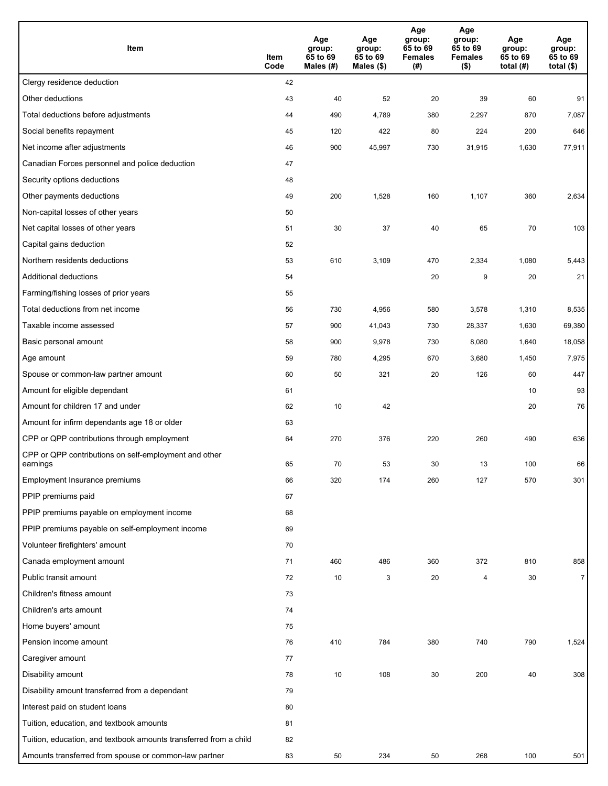| Item                                                              | Item<br>Code | Age<br>group:<br>65 to 69<br>Males (#) | Age<br>group:<br>65 to 69<br>Males (\$) | Age<br>group:<br>65 to 69<br><b>Females</b><br>(#) | Age<br>group:<br>65 to 69<br><b>Females</b><br>$($ \$) | Age<br>group:<br>65 to 69<br>total $(#)$ | Age<br>group:<br>65 to 69<br>total $($)$ |
|-------------------------------------------------------------------|--------------|----------------------------------------|-----------------------------------------|----------------------------------------------------|--------------------------------------------------------|------------------------------------------|------------------------------------------|
| Clergy residence deduction                                        | 42           |                                        |                                         |                                                    |                                                        |                                          |                                          |
| Other deductions                                                  | 43           | 40                                     | 52                                      | 20                                                 | 39                                                     | 60                                       | 91                                       |
| Total deductions before adjustments                               | 44           | 490                                    | 4,789                                   | 380                                                | 2,297                                                  | 870                                      | 7,087                                    |
| Social benefits repayment                                         | 45           | 120                                    | 422                                     | 80                                                 | 224                                                    | 200                                      | 646                                      |
| Net income after adjustments                                      | 46           | 900                                    | 45,997                                  | 730                                                | 31,915                                                 | 1,630                                    | 77,911                                   |
| Canadian Forces personnel and police deduction                    | 47           |                                        |                                         |                                                    |                                                        |                                          |                                          |
| Security options deductions                                       | 48           |                                        |                                         |                                                    |                                                        |                                          |                                          |
| Other payments deductions                                         | 49           | 200                                    | 1,528                                   | 160                                                | 1,107                                                  | 360                                      | 2,634                                    |
| Non-capital losses of other years                                 | 50           |                                        |                                         |                                                    |                                                        |                                          |                                          |
| Net capital losses of other years                                 | 51           | 30                                     | 37                                      | 40                                                 | 65                                                     | 70                                       | 103                                      |
| Capital gains deduction                                           | 52           |                                        |                                         |                                                    |                                                        |                                          |                                          |
| Northern residents deductions                                     | 53           | 610                                    | 3,109                                   | 470                                                | 2,334                                                  | 1,080                                    | 5,443                                    |
| Additional deductions                                             | 54           |                                        |                                         | 20                                                 | 9                                                      | 20                                       | 21                                       |
| Farming/fishing losses of prior years                             | 55           |                                        |                                         |                                                    |                                                        |                                          |                                          |
| Total deductions from net income                                  | 56           | 730                                    | 4,956                                   | 580                                                | 3,578                                                  | 1,310                                    | 8,535                                    |
| Taxable income assessed                                           | 57           | 900                                    | 41,043                                  | 730                                                | 28,337                                                 | 1,630                                    | 69,380                                   |
| Basic personal amount                                             | 58           | 900                                    | 9,978                                   | 730                                                | 8,080                                                  | 1,640                                    | 18,058                                   |
| Age amount                                                        | 59           | 780                                    | 4,295                                   | 670                                                | 3,680                                                  | 1,450                                    | 7,975                                    |
| Spouse or common-law partner amount                               | 60           | 50                                     | 321                                     | 20                                                 | 126                                                    | 60                                       | 447                                      |
| Amount for eligible dependant                                     | 61           |                                        |                                         |                                                    |                                                        | 10                                       | 93                                       |
| Amount for children 17 and under                                  | 62           | 10                                     | 42                                      |                                                    |                                                        | 20                                       | 76                                       |
| Amount for infirm dependants age 18 or older                      | 63           |                                        |                                         |                                                    |                                                        |                                          |                                          |
| CPP or QPP contributions through employment                       | 64           | 270                                    | 376                                     | 220                                                | 260                                                    | 490                                      | 636                                      |
| CPP or QPP contributions on self-employment and other<br>earnings | 65           | 70                                     | 53                                      | 30                                                 | 13                                                     | 100                                      | 66                                       |
| Employment Insurance premiums                                     | 66           | 320                                    | 174                                     | 260                                                | 127                                                    | 570                                      | 301                                      |
| PPIP premiums paid                                                | 67           |                                        |                                         |                                                    |                                                        |                                          |                                          |
| PPIP premiums payable on employment income                        | 68           |                                        |                                         |                                                    |                                                        |                                          |                                          |
| PPIP premiums payable on self-employment income                   | 69           |                                        |                                         |                                                    |                                                        |                                          |                                          |
| Volunteer firefighters' amount                                    | 70           |                                        |                                         |                                                    |                                                        |                                          |                                          |
| Canada employment amount                                          | 71           | 460                                    | 486                                     | 360                                                | 372                                                    | 810                                      | 858                                      |
| Public transit amount                                             | 72           | 10                                     | 3                                       | 20                                                 | 4                                                      | 30                                       | $\overline{7}$                           |
| Children's fitness amount                                         | 73           |                                        |                                         |                                                    |                                                        |                                          |                                          |
| Children's arts amount                                            | 74           |                                        |                                         |                                                    |                                                        |                                          |                                          |
| Home buyers' amount                                               | 75           |                                        |                                         |                                                    |                                                        |                                          |                                          |
| Pension income amount                                             | 76           | 410                                    | 784                                     | 380                                                | 740                                                    | 790                                      | 1,524                                    |
| Caregiver amount                                                  | 77           |                                        |                                         |                                                    |                                                        |                                          |                                          |
| Disability amount                                                 | 78           | 10                                     | 108                                     | 30                                                 | 200                                                    | 40                                       | 308                                      |
| Disability amount transferred from a dependant                    | 79           |                                        |                                         |                                                    |                                                        |                                          |                                          |
| Interest paid on student loans                                    | 80           |                                        |                                         |                                                    |                                                        |                                          |                                          |
| Tuition, education, and textbook amounts                          | 81           |                                        |                                         |                                                    |                                                        |                                          |                                          |
| Tuition, education, and textbook amounts transferred from a child | 82           |                                        |                                         |                                                    |                                                        |                                          |                                          |
| Amounts transferred from spouse or common-law partner             | 83           | 50                                     | 234                                     | 50                                                 | 268                                                    | 100                                      | 501                                      |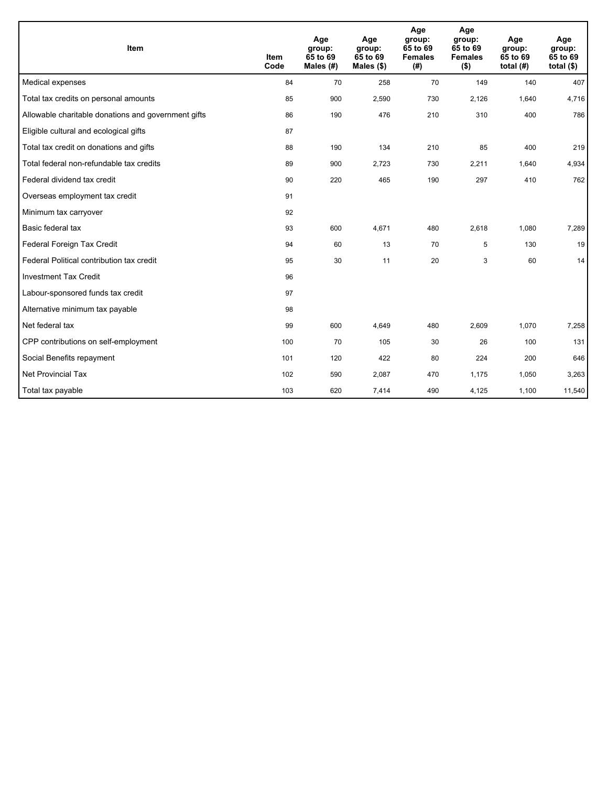| Item                                                | <b>Item</b><br>Code | Age<br>group:<br>65 to 69<br>Males (#) | Age<br>group:<br>65 to 69<br>Males $(\$)$ | Age<br>group:<br>65 to 69<br><b>Females</b><br>(#) | Age<br>group:<br>65 to 69<br><b>Females</b><br>$($ \$) | Age<br>group:<br>65 to 69<br>total $(H)$ | Age<br>group:<br>65 to 69<br>total $($)$ |
|-----------------------------------------------------|---------------------|----------------------------------------|-------------------------------------------|----------------------------------------------------|--------------------------------------------------------|------------------------------------------|------------------------------------------|
| Medical expenses                                    | 84                  | 70                                     | 258                                       | 70                                                 | 149                                                    | 140                                      | 407                                      |
| Total tax credits on personal amounts               | 85                  | 900                                    | 2,590                                     | 730                                                | 2,126                                                  | 1,640                                    | 4,716                                    |
| Allowable charitable donations and government gifts | 86                  | 190                                    | 476                                       | 210                                                | 310                                                    | 400                                      | 786                                      |
| Eligible cultural and ecological gifts              | 87                  |                                        |                                           |                                                    |                                                        |                                          |                                          |
| Total tax credit on donations and gifts             | 88                  | 190                                    | 134                                       | 210                                                | 85                                                     | 400                                      | 219                                      |
| Total federal non-refundable tax credits            | 89                  | 900                                    | 2,723                                     | 730                                                | 2,211                                                  | 1,640                                    | 4,934                                    |
| Federal dividend tax credit                         | 90                  | 220                                    | 465                                       | 190                                                | 297                                                    | 410                                      | 762                                      |
| Overseas employment tax credit                      | 91                  |                                        |                                           |                                                    |                                                        |                                          |                                          |
| Minimum tax carryover                               | 92                  |                                        |                                           |                                                    |                                                        |                                          |                                          |
| Basic federal tax                                   | 93                  | 600                                    | 4,671                                     | 480                                                | 2,618                                                  | 1,080                                    | 7,289                                    |
| Federal Foreign Tax Credit                          | 94                  | 60                                     | 13                                        | 70                                                 | 5                                                      | 130                                      | 19                                       |
| Federal Political contribution tax credit           | 95                  | 30                                     | 11                                        | 20                                                 | 3                                                      | 60                                       | 14                                       |
| <b>Investment Tax Credit</b>                        | 96                  |                                        |                                           |                                                    |                                                        |                                          |                                          |
| Labour-sponsored funds tax credit                   | 97                  |                                        |                                           |                                                    |                                                        |                                          |                                          |
| Alternative minimum tax payable                     | 98                  |                                        |                                           |                                                    |                                                        |                                          |                                          |
| Net federal tax                                     | 99                  | 600                                    | 4,649                                     | 480                                                | 2,609                                                  | 1,070                                    | 7,258                                    |
| CPP contributions on self-employment                | 100                 | 70                                     | 105                                       | 30                                                 | 26                                                     | 100                                      | 131                                      |
| Social Benefits repayment                           | 101                 | 120                                    | 422                                       | 80                                                 | 224                                                    | 200                                      | 646                                      |
| Net Provincial Tax                                  | 102                 | 590                                    | 2,087                                     | 470                                                | 1,175                                                  | 1,050                                    | 3,263                                    |
| Total tax payable                                   | 103                 | 620                                    | 7,414                                     | 490                                                | 4,125                                                  | 1,100                                    | 11,540                                   |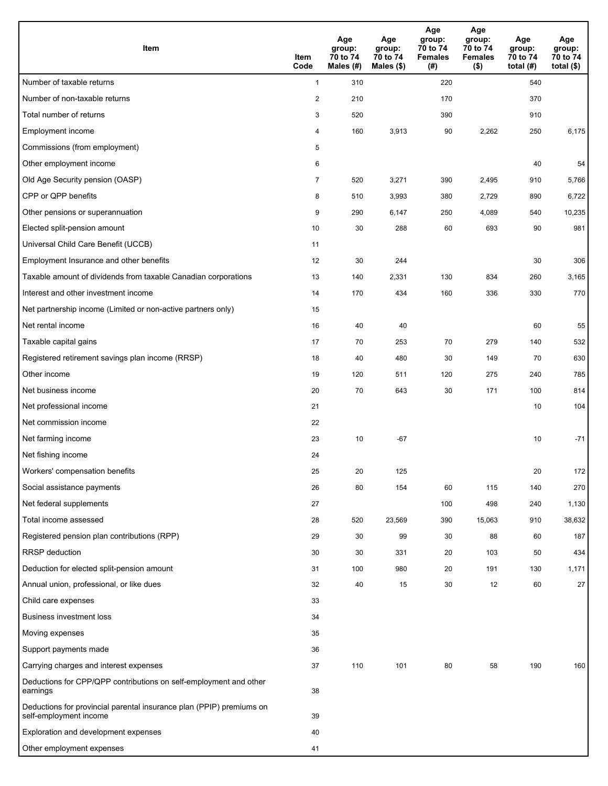| Item                                                                                           | Item<br>Code   | Age<br>group:<br>70 to 74<br>Males (#) | Age<br>group:<br>70 to 74<br>Males (\$) | Age<br>group:<br>70 to 74<br><b>Females</b><br>(# ) | Age<br>group:<br>70 to 74<br><b>Females</b><br>$($ \$) | Age<br>group:<br>70 to 74<br>total $(H)$ | Age<br>group:<br>70 to 74<br>total $($ |
|------------------------------------------------------------------------------------------------|----------------|----------------------------------------|-----------------------------------------|-----------------------------------------------------|--------------------------------------------------------|------------------------------------------|----------------------------------------|
| Number of taxable returns                                                                      | $\mathbf{1}$   | 310                                    |                                         | 220                                                 |                                                        | 540                                      |                                        |
| Number of non-taxable returns                                                                  | $\sqrt{2}$     | 210                                    |                                         | 170                                                 |                                                        | 370                                      |                                        |
| Total number of returns                                                                        | 3              | 520                                    |                                         | 390                                                 |                                                        | 910                                      |                                        |
| Employment income                                                                              | 4              | 160                                    | 3,913                                   | 90                                                  | 2,262                                                  | 250                                      | 6,175                                  |
| Commissions (from employment)                                                                  | 5              |                                        |                                         |                                                     |                                                        |                                          |                                        |
| Other employment income                                                                        | 6              |                                        |                                         |                                                     |                                                        | 40                                       | 54                                     |
| Old Age Security pension (OASP)                                                                | $\overline{7}$ | 520                                    | 3,271                                   | 390                                                 | 2,495                                                  | 910                                      | 5,766                                  |
| CPP or QPP benefits                                                                            | 8              | 510                                    | 3,993                                   | 380                                                 | 2,729                                                  | 890                                      | 6,722                                  |
| Other pensions or superannuation                                                               | 9              | 290                                    | 6,147                                   | 250                                                 | 4,089                                                  | 540                                      | 10,235                                 |
| Elected split-pension amount                                                                   | 10             | 30                                     | 288                                     | 60                                                  | 693                                                    | 90                                       | 981                                    |
| Universal Child Care Benefit (UCCB)                                                            | 11             |                                        |                                         |                                                     |                                                        |                                          |                                        |
| Employment Insurance and other benefits                                                        | 12             | 30                                     | 244                                     |                                                     |                                                        | 30                                       | 306                                    |
| Taxable amount of dividends from taxable Canadian corporations                                 | 13             | 140                                    | 2,331                                   | 130                                                 | 834                                                    | 260                                      | 3,165                                  |
| Interest and other investment income                                                           | 14             | 170                                    | 434                                     | 160                                                 | 336                                                    | 330                                      | 770                                    |
| Net partnership income (Limited or non-active partners only)                                   | 15             |                                        |                                         |                                                     |                                                        |                                          |                                        |
| Net rental income                                                                              | 16             | 40                                     | 40                                      |                                                     |                                                        | 60                                       | 55                                     |
| Taxable capital gains                                                                          | 17             | 70                                     | 253                                     | 70                                                  | 279                                                    | 140                                      | 532                                    |
| Registered retirement savings plan income (RRSP)                                               | 18             | 40                                     | 480                                     | 30                                                  | 149                                                    | 70                                       | 630                                    |
| Other income                                                                                   | 19             | 120                                    | 511                                     | 120                                                 | 275                                                    | 240                                      | 785                                    |
| Net business income                                                                            | 20             | 70                                     | 643                                     | 30                                                  | 171                                                    | 100                                      | 814                                    |
| Net professional income                                                                        | 21             |                                        |                                         |                                                     |                                                        | 10                                       | 104                                    |
| Net commission income                                                                          | 22             |                                        |                                         |                                                     |                                                        |                                          |                                        |
| Net farming income                                                                             | 23             | 10                                     | $-67$                                   |                                                     |                                                        | 10                                       | $-71$                                  |
| Net fishing income                                                                             | 24             |                                        |                                         |                                                     |                                                        |                                          |                                        |
| Workers' compensation benefits                                                                 | 25             | 20                                     | 125                                     |                                                     |                                                        | 20                                       | 172                                    |
| Social assistance payments                                                                     | 26             | 80                                     | 154                                     | 60                                                  | 115                                                    | 140                                      | 270                                    |
| Net federal supplements                                                                        | 27             |                                        |                                         | 100                                                 | 498                                                    | 240                                      | 1,130                                  |
| Total income assessed                                                                          | 28             | 520                                    | 23,569                                  | 390                                                 | 15,063                                                 | 910                                      | 38,632                                 |
| Registered pension plan contributions (RPP)                                                    | 29             | 30                                     | 99                                      | 30                                                  | 88                                                     | 60                                       | 187                                    |
| <b>RRSP</b> deduction                                                                          | 30             | 30                                     | 331                                     | 20                                                  | 103                                                    | 50                                       | 434                                    |
| Deduction for elected split-pension amount                                                     | 31             | 100                                    | 980                                     | 20                                                  | 191                                                    | 130                                      | 1,171                                  |
| Annual union, professional, or like dues                                                       | 32             | 40                                     | 15                                      | 30                                                  | 12                                                     | 60                                       | 27                                     |
| Child care expenses                                                                            | 33             |                                        |                                         |                                                     |                                                        |                                          |                                        |
| Business investment loss                                                                       | 34             |                                        |                                         |                                                     |                                                        |                                          |                                        |
| Moving expenses                                                                                | 35             |                                        |                                         |                                                     |                                                        |                                          |                                        |
| Support payments made                                                                          | 36             |                                        |                                         |                                                     |                                                        |                                          |                                        |
| Carrying charges and interest expenses                                                         | 37             | 110                                    | 101                                     | 80                                                  | 58                                                     | 190                                      | 160                                    |
| Deductions for CPP/QPP contributions on self-employment and other<br>earnings                  | 38             |                                        |                                         |                                                     |                                                        |                                          |                                        |
| Deductions for provincial parental insurance plan (PPIP) premiums on<br>self-employment income | 39             |                                        |                                         |                                                     |                                                        |                                          |                                        |
| Exploration and development expenses                                                           | 40             |                                        |                                         |                                                     |                                                        |                                          |                                        |
| Other employment expenses                                                                      | 41             |                                        |                                         |                                                     |                                                        |                                          |                                        |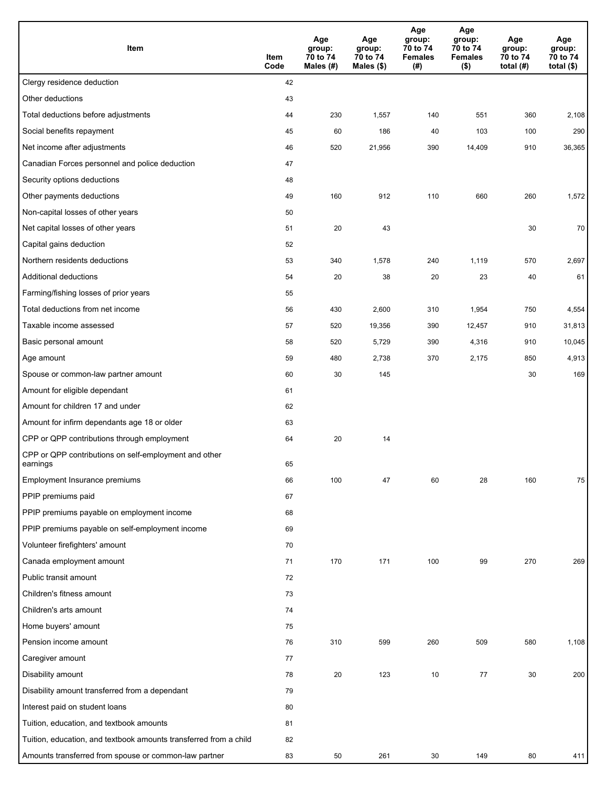| Item                                                              | Item<br>Code | Age<br>group:<br>70 to 74<br>Males (#) | Age<br>group:<br>70 to 74<br>Males (\$) | Age<br>group:<br>70 to 74<br><b>Females</b><br>(# ) | Age<br>group:<br>70 to 74<br><b>Females</b><br>$($ \$) | Age<br>group:<br>70 to 74<br>total $(H)$ | Age<br>group:<br>70 to 74<br>total $($)$ |
|-------------------------------------------------------------------|--------------|----------------------------------------|-----------------------------------------|-----------------------------------------------------|--------------------------------------------------------|------------------------------------------|------------------------------------------|
| Clergy residence deduction                                        | 42           |                                        |                                         |                                                     |                                                        |                                          |                                          |
| Other deductions                                                  | 43           |                                        |                                         |                                                     |                                                        |                                          |                                          |
| Total deductions before adjustments                               | 44           | 230                                    | 1,557                                   | 140                                                 | 551                                                    | 360                                      | 2,108                                    |
| Social benefits repayment                                         | 45           | 60                                     | 186                                     | 40                                                  | 103                                                    | 100                                      | 290                                      |
| Net income after adjustments                                      | 46           | 520                                    | 21,956                                  | 390                                                 | 14,409                                                 | 910                                      | 36,365                                   |
| Canadian Forces personnel and police deduction                    | 47           |                                        |                                         |                                                     |                                                        |                                          |                                          |
| Security options deductions                                       | 48           |                                        |                                         |                                                     |                                                        |                                          |                                          |
| Other payments deductions                                         | 49           | 160                                    | 912                                     | 110                                                 | 660                                                    | 260                                      | 1,572                                    |
| Non-capital losses of other years                                 | 50           |                                        |                                         |                                                     |                                                        |                                          |                                          |
| Net capital losses of other years                                 | 51           | 20                                     | 43                                      |                                                     |                                                        | 30                                       | 70                                       |
| Capital gains deduction                                           | 52           |                                        |                                         |                                                     |                                                        |                                          |                                          |
| Northern residents deductions                                     | 53           | 340                                    | 1,578                                   | 240                                                 | 1,119                                                  | 570                                      | 2,697                                    |
| Additional deductions                                             | 54           | 20                                     | 38                                      | 20                                                  | 23                                                     | 40                                       | 61                                       |
| Farming/fishing losses of prior years                             | 55           |                                        |                                         |                                                     |                                                        |                                          |                                          |
| Total deductions from net income                                  | 56           | 430                                    | 2,600                                   | 310                                                 | 1,954                                                  | 750                                      | 4,554                                    |
| Taxable income assessed                                           | 57           | 520                                    | 19,356                                  | 390                                                 | 12,457                                                 | 910                                      | 31,813                                   |
| Basic personal amount                                             | 58           | 520                                    | 5,729                                   | 390                                                 | 4,316                                                  | 910                                      | 10,045                                   |
| Age amount                                                        | 59           | 480                                    | 2,738                                   | 370                                                 | 2,175                                                  | 850                                      | 4,913                                    |
| Spouse or common-law partner amount                               | 60           | 30                                     | 145                                     |                                                     |                                                        | 30                                       | 169                                      |
| Amount for eligible dependant                                     | 61           |                                        |                                         |                                                     |                                                        |                                          |                                          |
| Amount for children 17 and under                                  | 62           |                                        |                                         |                                                     |                                                        |                                          |                                          |
| Amount for infirm dependants age 18 or older                      | 63           |                                        |                                         |                                                     |                                                        |                                          |                                          |
| CPP or QPP contributions through employment                       | 64           | 20                                     | 14                                      |                                                     |                                                        |                                          |                                          |
| CPP or QPP contributions on self-employment and other<br>earnings | 65           |                                        |                                         |                                                     |                                                        |                                          |                                          |
| Employment Insurance premiums                                     | 66           | 100                                    | 47                                      | 60                                                  | 28                                                     | 160                                      | 75                                       |
| PPIP premiums paid                                                | 67           |                                        |                                         |                                                     |                                                        |                                          |                                          |
| PPIP premiums payable on employment income                        | 68           |                                        |                                         |                                                     |                                                        |                                          |                                          |
| PPIP premiums payable on self-employment income                   | 69           |                                        |                                         |                                                     |                                                        |                                          |                                          |
| Volunteer firefighters' amount                                    | 70           |                                        |                                         |                                                     |                                                        |                                          |                                          |
| Canada employment amount                                          | 71           | 170                                    | 171                                     | 100                                                 | 99                                                     | 270                                      | 269                                      |
| Public transit amount                                             | 72           |                                        |                                         |                                                     |                                                        |                                          |                                          |
| Children's fitness amount                                         | 73           |                                        |                                         |                                                     |                                                        |                                          |                                          |
| Children's arts amount                                            | 74           |                                        |                                         |                                                     |                                                        |                                          |                                          |
| Home buyers' amount                                               | 75           |                                        |                                         |                                                     |                                                        |                                          |                                          |
| Pension income amount                                             | 76           | 310                                    | 599                                     | 260                                                 | 509                                                    | 580                                      | 1,108                                    |
| Caregiver amount                                                  | 77           |                                        |                                         |                                                     |                                                        |                                          |                                          |
| Disability amount                                                 | 78           | 20                                     | 123                                     | 10                                                  | 77                                                     | 30                                       | 200                                      |
| Disability amount transferred from a dependant                    | 79           |                                        |                                         |                                                     |                                                        |                                          |                                          |
| Interest paid on student loans                                    | 80           |                                        |                                         |                                                     |                                                        |                                          |                                          |
| Tuition, education, and textbook amounts                          | 81           |                                        |                                         |                                                     |                                                        |                                          |                                          |
| Tuition, education, and textbook amounts transferred from a child | 82           |                                        |                                         |                                                     |                                                        |                                          |                                          |
| Amounts transferred from spouse or common-law partner             | 83           | 50                                     | 261                                     | 30                                                  | 149                                                    | 80                                       | 411                                      |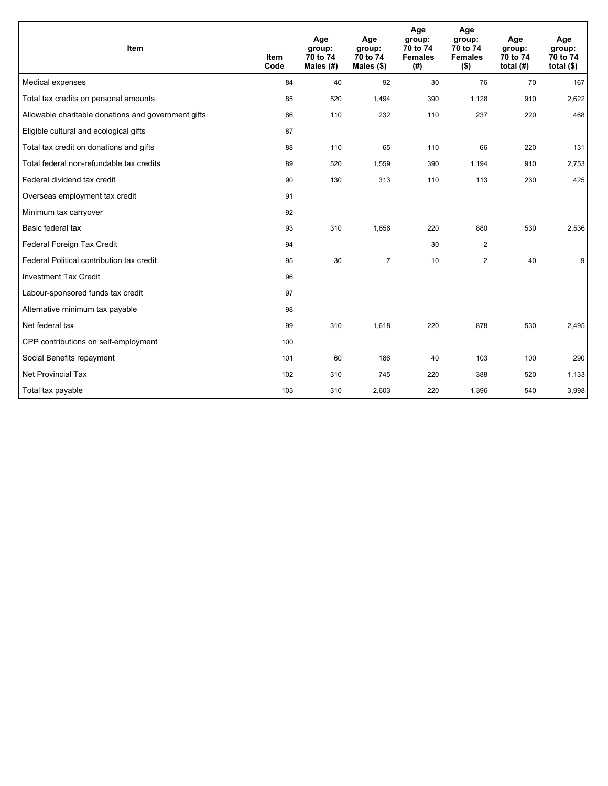| <b>Item</b>                                         | <b>Item</b><br>Code | Age<br>group:<br>70 to 74<br>Males (#) | Age<br>group:<br>70 to 74<br>Males $(\$)$ | Age<br>group:<br>70 to 74<br><b>Females</b><br>(# ) | Age<br>group:<br>70 to 74<br><b>Females</b><br>$($ \$) | Age<br>group:<br>70 to 74<br>total $(H)$ | Age<br>group:<br>70 to 74<br>total $($)$ |
|-----------------------------------------------------|---------------------|----------------------------------------|-------------------------------------------|-----------------------------------------------------|--------------------------------------------------------|------------------------------------------|------------------------------------------|
| Medical expenses                                    | 84                  | 40                                     | 92                                        | 30                                                  | 76                                                     | 70                                       | 167                                      |
| Total tax credits on personal amounts               | 85                  | 520                                    | 1,494                                     | 390                                                 | 1.128                                                  | 910                                      | 2,622                                    |
| Allowable charitable donations and government gifts | 86                  | 110                                    | 232                                       | 110                                                 | 237                                                    | 220                                      | 468                                      |
| Eligible cultural and ecological gifts              | 87                  |                                        |                                           |                                                     |                                                        |                                          |                                          |
| Total tax credit on donations and gifts             | 88                  | 110                                    | 65                                        | 110                                                 | 66                                                     | 220                                      | 131                                      |
| Total federal non-refundable tax credits            | 89                  | 520                                    | 1,559                                     | 390                                                 | 1,194                                                  | 910                                      | 2,753                                    |
| Federal dividend tax credit                         | 90                  | 130                                    | 313                                       | 110                                                 | 113                                                    | 230                                      | 425                                      |
| Overseas employment tax credit                      | 91                  |                                        |                                           |                                                     |                                                        |                                          |                                          |
| Minimum tax carryover                               | 92                  |                                        |                                           |                                                     |                                                        |                                          |                                          |
| Basic federal tax                                   | 93                  | 310                                    | 1,656                                     | 220                                                 | 880                                                    | 530                                      | 2,536                                    |
| Federal Foreign Tax Credit                          | 94                  |                                        |                                           | 30                                                  | $\overline{2}$                                         |                                          |                                          |
| Federal Political contribution tax credit           | 95                  | 30                                     | $\overline{7}$                            | 10                                                  | $\overline{2}$                                         | 40                                       | 9                                        |
| <b>Investment Tax Credit</b>                        | 96                  |                                        |                                           |                                                     |                                                        |                                          |                                          |
| Labour-sponsored funds tax credit                   | 97                  |                                        |                                           |                                                     |                                                        |                                          |                                          |
| Alternative minimum tax payable                     | 98                  |                                        |                                           |                                                     |                                                        |                                          |                                          |
| Net federal tax                                     | 99                  | 310                                    | 1,618                                     | 220                                                 | 878                                                    | 530                                      | 2,495                                    |
| CPP contributions on self-employment                | 100                 |                                        |                                           |                                                     |                                                        |                                          |                                          |
| Social Benefits repayment                           | 101                 | 60                                     | 186                                       | 40                                                  | 103                                                    | 100                                      | 290                                      |
| Net Provincial Tax                                  | 102                 | 310                                    | 745                                       | 220                                                 | 388                                                    | 520                                      | 1,133                                    |
| Total tax payable                                   | 103                 | 310                                    | 2,603                                     | 220                                                 | 1,396                                                  | 540                                      | 3,998                                    |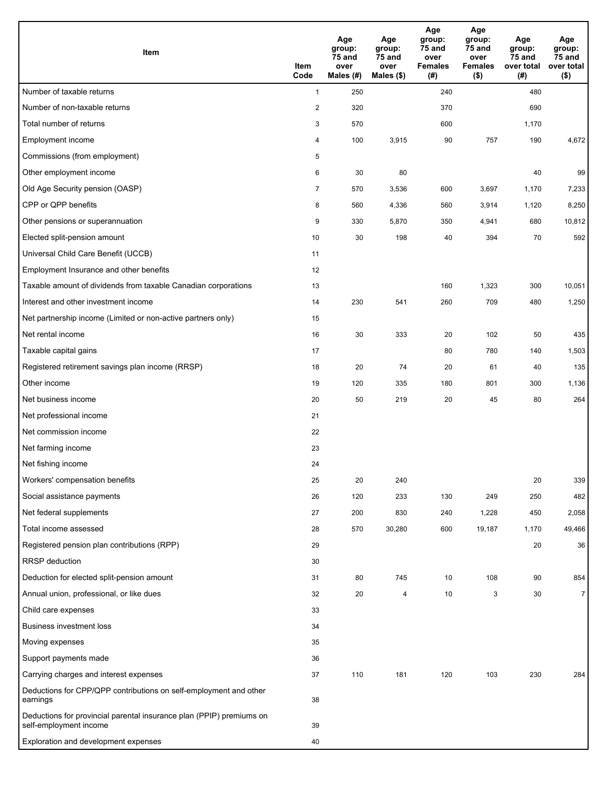| Item                                                                                           | Item<br>Code   | Age<br>group:<br>75 and<br>over<br>Males $(H)$ | Age<br>group:<br>75 and<br>over<br>Males $($)$ | Age<br>group:<br>75 and<br>over<br><b>Females</b><br>(#) | Age<br>group:<br>75 and<br>over<br><b>Females</b><br>$($ \$) | Age<br>group:<br>75 and<br>over total<br>(#) | Age<br>group:<br>75 and<br>over total<br>$($ \$) |
|------------------------------------------------------------------------------------------------|----------------|------------------------------------------------|------------------------------------------------|----------------------------------------------------------|--------------------------------------------------------------|----------------------------------------------|--------------------------------------------------|
| Number of taxable returns                                                                      | $\mathbf{1}$   | 250                                            |                                                | 240                                                      |                                                              | 480                                          |                                                  |
| Number of non-taxable returns                                                                  | $\overline{2}$ | 320                                            |                                                | 370                                                      |                                                              | 690                                          |                                                  |
| Total number of returns                                                                        | 3              | 570                                            |                                                | 600                                                      |                                                              | 1,170                                        |                                                  |
| Employment income                                                                              | 4              | 100                                            | 3,915                                          | 90                                                       | 757                                                          | 190                                          | 4,672                                            |
| Commissions (from employment)                                                                  | 5              |                                                |                                                |                                                          |                                                              |                                              |                                                  |
| Other employment income                                                                        | 6              | 30                                             | 80                                             |                                                          |                                                              | 40                                           | 99                                               |
| Old Age Security pension (OASP)                                                                | $\overline{7}$ | 570                                            | 3,536                                          | 600                                                      | 3,697                                                        | 1,170                                        | 7,233                                            |
| CPP or QPP benefits                                                                            | 8              | 560                                            | 4,336                                          | 560                                                      | 3,914                                                        | 1,120                                        | 8,250                                            |
| Other pensions or superannuation                                                               | 9              | 330                                            | 5,870                                          | 350                                                      | 4,941                                                        | 680                                          | 10,812                                           |
| Elected split-pension amount                                                                   | 10             | 30                                             | 198                                            | 40                                                       | 394                                                          | 70                                           | 592                                              |
| Universal Child Care Benefit (UCCB)                                                            | 11             |                                                |                                                |                                                          |                                                              |                                              |                                                  |
| Employment Insurance and other benefits                                                        | 12             |                                                |                                                |                                                          |                                                              |                                              |                                                  |
| Taxable amount of dividends from taxable Canadian corporations                                 | 13             |                                                |                                                | 160                                                      | 1,323                                                        | 300                                          | 10,051                                           |
| Interest and other investment income                                                           | 14             | 230                                            | 541                                            | 260                                                      | 709                                                          | 480                                          | 1,250                                            |
| Net partnership income (Limited or non-active partners only)                                   | 15             |                                                |                                                |                                                          |                                                              |                                              |                                                  |
| Net rental income                                                                              | 16             | 30                                             | 333                                            | 20                                                       | 102                                                          | 50                                           | 435                                              |
| Taxable capital gains                                                                          | 17             |                                                |                                                | 80                                                       | 780                                                          | 140                                          | 1,503                                            |
| Registered retirement savings plan income (RRSP)                                               | 18             | 20                                             | 74                                             | 20                                                       | 61                                                           | 40                                           | 135                                              |
| Other income                                                                                   | 19             | 120                                            | 335                                            | 180                                                      | 801                                                          | 300                                          | 1,136                                            |
| Net business income                                                                            | 20             | 50                                             | 219                                            | 20                                                       | 45                                                           | 80                                           | 264                                              |
| Net professional income                                                                        | 21             |                                                |                                                |                                                          |                                                              |                                              |                                                  |
| Net commission income                                                                          | 22             |                                                |                                                |                                                          |                                                              |                                              |                                                  |
| Net farming income                                                                             | 23             |                                                |                                                |                                                          |                                                              |                                              |                                                  |
| Net fishing income                                                                             | 24             |                                                |                                                |                                                          |                                                              |                                              |                                                  |
| Workers' compensation benefits                                                                 | 25             | 20                                             | 240                                            |                                                          |                                                              | 20                                           | 339                                              |
| Social assistance payments                                                                     | 26             | 120                                            | 233                                            | 130                                                      | 249                                                          | 250                                          | 482                                              |
| Net federal supplements                                                                        | 27             | 200                                            | 830                                            | 240                                                      | 1,228                                                        | 450                                          | 2,058                                            |
| Total income assessed                                                                          | 28             | 570                                            | 30,280                                         | 600                                                      | 19,187                                                       | 1,170                                        | 49,466                                           |
| Registered pension plan contributions (RPP)                                                    | 29             |                                                |                                                |                                                          |                                                              | 20                                           | 36                                               |
| <b>RRSP</b> deduction                                                                          | 30             |                                                |                                                |                                                          |                                                              |                                              |                                                  |
| Deduction for elected split-pension amount                                                     | 31             | 80                                             | 745                                            | 10                                                       | 108                                                          | 90                                           | 854                                              |
| Annual union, professional, or like dues                                                       | 32             | 20                                             | 4                                              | 10                                                       | 3                                                            | 30                                           | $\overline{7}$                                   |
| Child care expenses                                                                            | 33             |                                                |                                                |                                                          |                                                              |                                              |                                                  |
| <b>Business investment loss</b>                                                                | 34             |                                                |                                                |                                                          |                                                              |                                              |                                                  |
| Moving expenses                                                                                | 35             |                                                |                                                |                                                          |                                                              |                                              |                                                  |
| Support payments made                                                                          | 36             |                                                |                                                |                                                          |                                                              |                                              |                                                  |
| Carrying charges and interest expenses                                                         | 37             | 110                                            | 181                                            | 120                                                      | 103                                                          | 230                                          | 284                                              |
| Deductions for CPP/QPP contributions on self-employment and other<br>earnings                  | 38             |                                                |                                                |                                                          |                                                              |                                              |                                                  |
| Deductions for provincial parental insurance plan (PPIP) premiums on<br>self-employment income | 39             |                                                |                                                |                                                          |                                                              |                                              |                                                  |
| Exploration and development expenses                                                           | 40             |                                                |                                                |                                                          |                                                              |                                              |                                                  |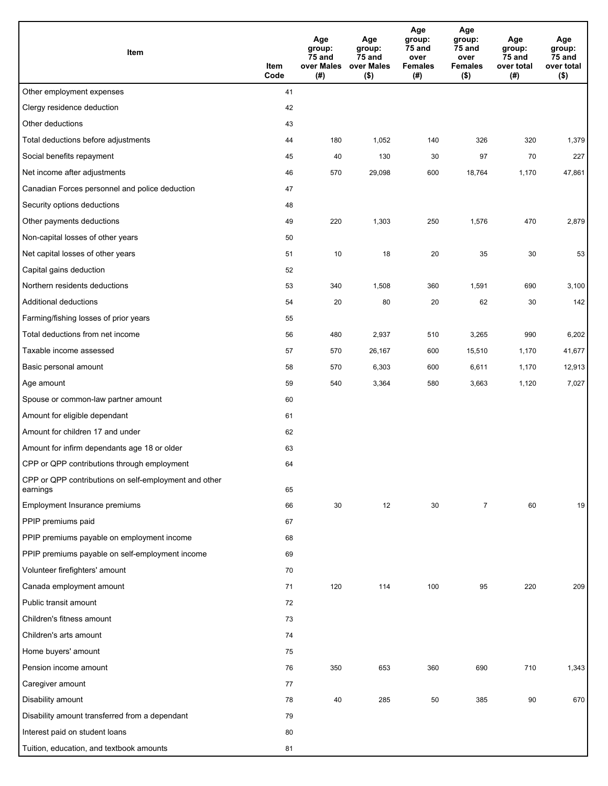| Item                                                              | Item<br>Code | Age<br>group:<br>75 and<br>over Males<br>(#) | Age<br>group:<br>75 and<br>over Males<br>$($ \$) | Age<br>group:<br>75 and<br>over<br><b>Females</b><br>(#) | Age<br>group:<br>$75$ and<br>over<br><b>Females</b><br>$($ \$) | Age<br>group:<br>75 and<br>over total<br>(#) | Age<br>group:<br><b>75 and</b><br>over total<br>$($ \$) |
|-------------------------------------------------------------------|--------------|----------------------------------------------|--------------------------------------------------|----------------------------------------------------------|----------------------------------------------------------------|----------------------------------------------|---------------------------------------------------------|
| Other employment expenses                                         | 41           |                                              |                                                  |                                                          |                                                                |                                              |                                                         |
| Clergy residence deduction                                        | 42           |                                              |                                                  |                                                          |                                                                |                                              |                                                         |
| Other deductions                                                  | 43           |                                              |                                                  |                                                          |                                                                |                                              |                                                         |
| Total deductions before adjustments                               | 44           | 180                                          | 1,052                                            | 140                                                      | 326                                                            | 320                                          | 1,379                                                   |
| Social benefits repayment                                         | 45           | 40                                           | 130                                              | 30                                                       | 97                                                             | 70                                           | 227                                                     |
| Net income after adjustments                                      | 46           | 570                                          | 29,098                                           | 600                                                      | 18,764                                                         | 1,170                                        | 47,861                                                  |
| Canadian Forces personnel and police deduction                    | 47           |                                              |                                                  |                                                          |                                                                |                                              |                                                         |
| Security options deductions                                       | 48           |                                              |                                                  |                                                          |                                                                |                                              |                                                         |
| Other payments deductions                                         | 49           | 220                                          | 1,303                                            | 250                                                      | 1,576                                                          | 470                                          | 2,879                                                   |
| Non-capital losses of other years                                 | 50           |                                              |                                                  |                                                          |                                                                |                                              |                                                         |
| Net capital losses of other years                                 | 51           | 10                                           | 18                                               | 20                                                       | 35                                                             | 30                                           | 53                                                      |
| Capital gains deduction                                           | 52           |                                              |                                                  |                                                          |                                                                |                                              |                                                         |
| Northern residents deductions                                     | 53           | 340                                          | 1,508                                            | 360                                                      | 1,591                                                          | 690                                          | 3,100                                                   |
| Additional deductions                                             | 54           | 20                                           | 80                                               | 20                                                       | 62                                                             | 30                                           | 142                                                     |
| Farming/fishing losses of prior years                             | 55           |                                              |                                                  |                                                          |                                                                |                                              |                                                         |
| Total deductions from net income                                  | 56           | 480                                          | 2,937                                            | 510                                                      | 3,265                                                          | 990                                          | 6,202                                                   |
| Taxable income assessed                                           | 57           | 570                                          | 26,167                                           | 600                                                      | 15,510                                                         | 1,170                                        | 41,677                                                  |
| Basic personal amount                                             | 58           | 570                                          | 6,303                                            | 600                                                      | 6,611                                                          | 1,170                                        | 12,913                                                  |
| Age amount                                                        | 59           | 540                                          | 3,364                                            | 580                                                      | 3,663                                                          | 1,120                                        | 7,027                                                   |
| Spouse or common-law partner amount                               | 60           |                                              |                                                  |                                                          |                                                                |                                              |                                                         |
| Amount for eligible dependant                                     | 61           |                                              |                                                  |                                                          |                                                                |                                              |                                                         |
| Amount for children 17 and under                                  | 62           |                                              |                                                  |                                                          |                                                                |                                              |                                                         |
| Amount for infirm dependants age 18 or older                      | 63           |                                              |                                                  |                                                          |                                                                |                                              |                                                         |
| CPP or QPP contributions through employment                       | 64           |                                              |                                                  |                                                          |                                                                |                                              |                                                         |
| CPP or QPP contributions on self-employment and other<br>earnings | 65           |                                              |                                                  |                                                          |                                                                |                                              |                                                         |
| Employment Insurance premiums                                     | 66           | 30                                           | 12                                               | 30                                                       | $\overline{7}$                                                 | 60                                           | 19                                                      |
| PPIP premiums paid                                                | 67           |                                              |                                                  |                                                          |                                                                |                                              |                                                         |
| PPIP premiums payable on employment income                        | 68           |                                              |                                                  |                                                          |                                                                |                                              |                                                         |
| PPIP premiums payable on self-employment income                   | 69           |                                              |                                                  |                                                          |                                                                |                                              |                                                         |
| Volunteer firefighters' amount                                    | 70           |                                              |                                                  |                                                          |                                                                |                                              |                                                         |
| Canada employment amount                                          | 71           | 120                                          | 114                                              | 100                                                      | 95                                                             | 220                                          | 209                                                     |
| Public transit amount                                             | 72           |                                              |                                                  |                                                          |                                                                |                                              |                                                         |
| Children's fitness amount                                         | 73           |                                              |                                                  |                                                          |                                                                |                                              |                                                         |
| Children's arts amount                                            | 74           |                                              |                                                  |                                                          |                                                                |                                              |                                                         |
| Home buyers' amount                                               | 75           |                                              |                                                  |                                                          |                                                                |                                              |                                                         |
| Pension income amount                                             | 76           | 350                                          | 653                                              | 360                                                      | 690                                                            | 710                                          | 1,343                                                   |
| Caregiver amount                                                  | 77           |                                              |                                                  |                                                          |                                                                |                                              |                                                         |
| Disability amount                                                 | 78           | 40                                           | 285                                              | 50                                                       | 385                                                            | $90\,$                                       | 670                                                     |
| Disability amount transferred from a dependant                    | 79           |                                              |                                                  |                                                          |                                                                |                                              |                                                         |
| Interest paid on student loans                                    | 80           |                                              |                                                  |                                                          |                                                                |                                              |                                                         |
| Tuition, education, and textbook amounts                          | 81           |                                              |                                                  |                                                          |                                                                |                                              |                                                         |